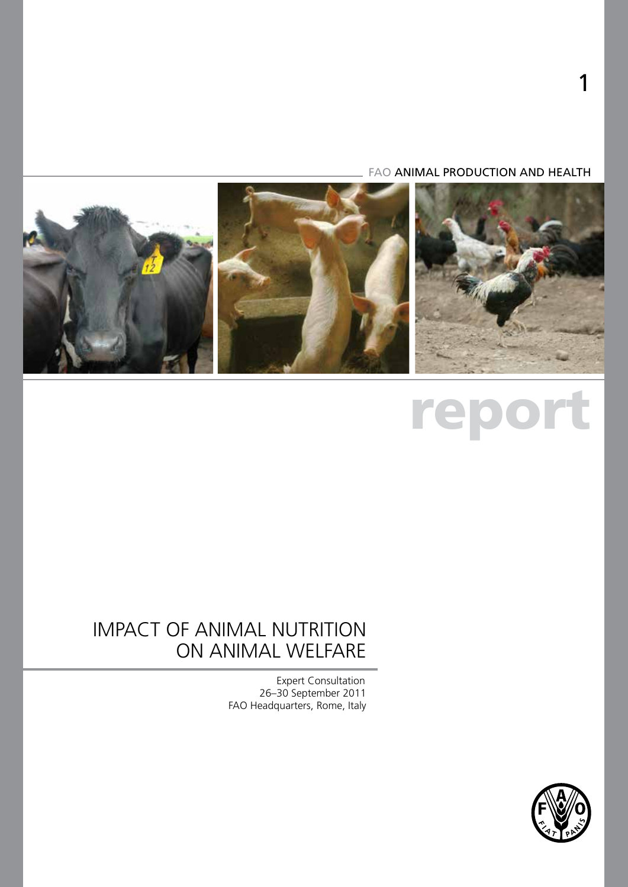FAO ANIMAL PRODUCTION AND HEALTH



# report

## IMPACT OF ANIMAL NUTRITION ON ANIMAL WELFARE

Expert Consultation 26–30 September 2011 FAO Headquarters, Rome, Italy

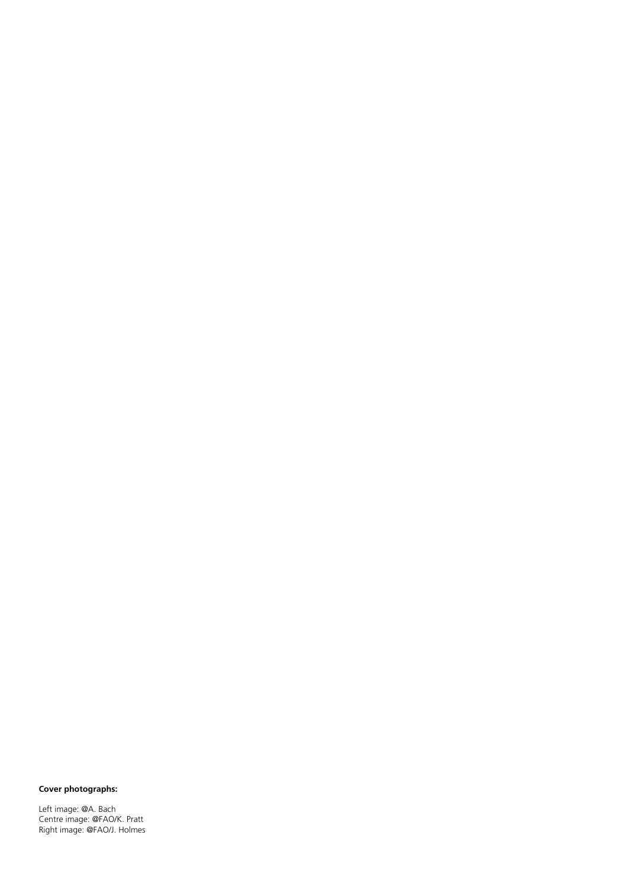#### **Cover photographs:**

Left image: @A. Bach Centre image: @FAO/K. Pratt Right image: @FAO/J. Holmes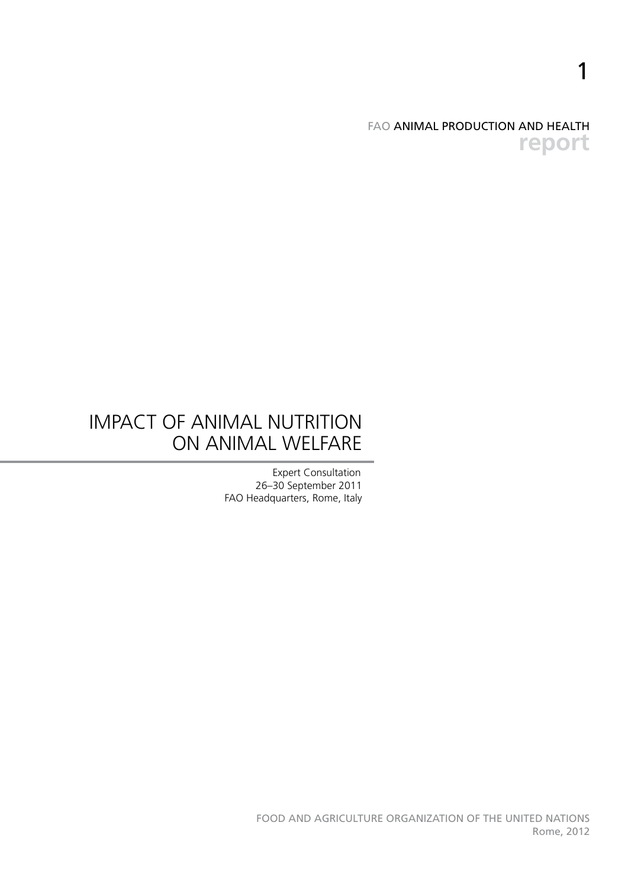FAO ANIMAL PRODUCTION AND HEALTH **report**

1

## IMPACT OF ANIMAL NUTRITION ON ANIMAL WELFARE

Expert Consultation 26–30 September 2011 FAO Headquarters, Rome, Italy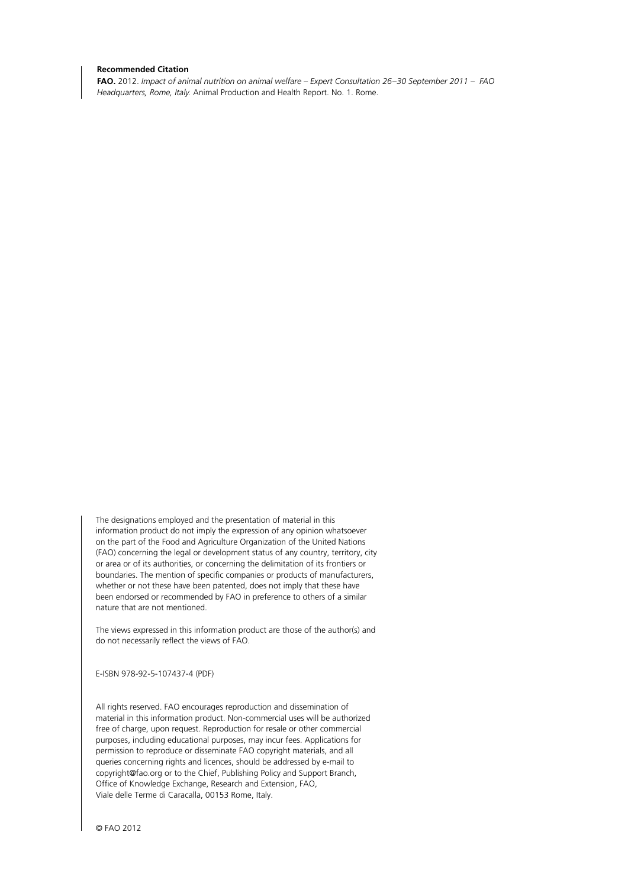#### **Recommended Citation**

**FAO.** 2012. *Impact of animal nutrition on animal welfare – Expert Consultation 26−30 September 2011 – FAO Headquarters, Rome, Italy.* Animal Production and Health Report. No. 1. Rome.

The designations employed and the presentation of material in this information product do not imply the expression of any opinion whatsoever on the part of the Food and Agriculture Organization of the United Nations (FAO) concerning the legal or development status of any country, territory, city or area or of its authorities, or concerning the delimitation of its frontiers or boundaries. The mention of specific companies or products of manufacturers, whether or not these have been patented, does not imply that these have been endorsed or recommended by FAO in preference to others of a similar nature that are not mentioned.

The views expressed in this information product are those of the author(s) and do not necessarily reflect the views of FAO.

E-ISBN 978-92-5-107437-4 (PDF)

All rights reserved. FAO encourages reproduction and dissemination of material in this information product. Non-commercial uses will be authorized free of charge, upon request. Reproduction for resale or other commercial purposes, including educational purposes, may incur fees. Applications for permission to reproduce or disseminate FAO copyright materials, and all queries concerning rights and licences, should be addressed by e-mail to copyright@fao.org or to the Chief, Publishing Policy and Support Branch, Office of Knowledge Exchange, Research and Extension, FAO, Viale delle Terme di Caracalla, 00153 Rome, Italy.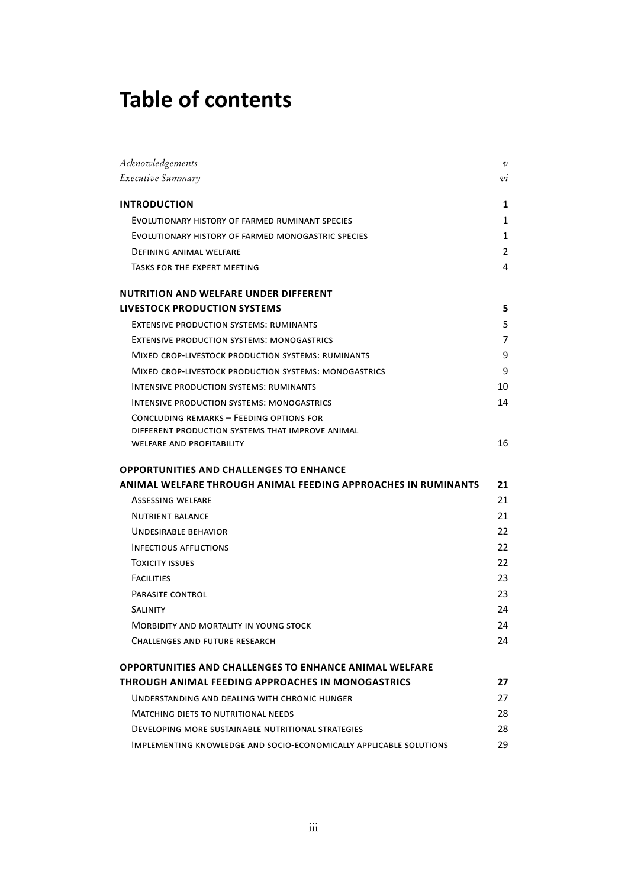# **Table of contents**

| Acknowledgements                                                                             | $\cal{V}$     |
|----------------------------------------------------------------------------------------------|---------------|
| Executive Summary                                                                            | $\mathcal{U}$ |
| <b>INTRODUCTION</b>                                                                          | 1             |
| EVOLUTIONARY HISTORY OF FARMED RUMINANT SPECIES                                              | 1             |
| EVOLUTIONARY HISTORY OF FARMED MONOGASTRIC SPECIES                                           | 1             |
| <b>DEFINING ANIMAL WELFARE</b>                                                               | 2             |
| TASKS FOR THE EXPERT MEETING                                                                 | 4             |
| <b>NUTRITION AND WELFARE UNDER DIFFERENT</b>                                                 |               |
| <b>LIVESTOCK PRODUCTION SYSTEMS</b>                                                          | 5             |
| <b>EXTENSIVE PRODUCTION SYSTEMS: RUMINANTS</b>                                               | 5             |
| <b>EXTENSIVE PRODUCTION SYSTEMS: MONOGASTRICS</b>                                            | 7             |
| MIXED CROP-LIVESTOCK PRODUCTION SYSTEMS: RUMINANTS                                           | 9             |
| MIXED CROP-LIVESTOCK PRODUCTION SYSTEMS: MONOGASTRICS                                        | 9             |
| <b>INTENSIVE PRODUCTION SYSTEMS: RUMINANTS</b>                                               | 10            |
| <b>INTENSIVE PRODUCTION SYSTEMS: MONOGASTRICS</b>                                            | 14            |
| CONCLUDING REMARKS - FEEDING OPTIONS FOR<br>DIFFERENT PRODUCTION SYSTEMS THAT IMPROVE ANIMAL |               |
| <b>WELFARE AND PROFITABILITY</b>                                                             | 16            |
| <b>OPPORTUNITIES AND CHALLENGES TO ENHANCE</b>                                               |               |
| ANIMAL WELFARE THROUGH ANIMAL FEEDING APPROACHES IN RUMINANTS                                |               |
|                                                                                              | 21            |
| <b>ASSESSING WELFARE</b>                                                                     | 21            |
| <b>NUTRIENT BALANCE</b>                                                                      | 21            |
| UNDESIRABLE BEHAVIOR                                                                         | 22            |
| <b>INFECTIOUS AFFLICTIONS</b>                                                                | 22            |
| <b>TOXICITY ISSUES</b>                                                                       | 22            |
| <b>FACILITIES</b>                                                                            | 23            |
| PARASITE CONTROL                                                                             | 23            |
| <b>SALINITY</b>                                                                              | 24            |
| <b>MORBIDITY AND MORTALITY IN YOUNG STOCK</b>                                                | 24            |
| CHALLENGES AND FUTURE RESEARCH                                                               | 24            |
| <b>OPPORTUNITIES AND CHALLENGES TO ENHANCE ANIMAL WELFARE</b>                                |               |
| THROUGH ANIMAL FEEDING APPROACHES IN MONOGASTRICS                                            | 27            |
| UNDERSTANDING AND DEALING WITH CHRONIC HUNGER                                                | 27            |
| <b>MATCHING DIETS TO NUTRITIONAL NEEDS</b>                                                   | 28            |
| DEVELOPING MORE SUSTAINABLE NUTRITIONAL STRATEGIES                                           | 28            |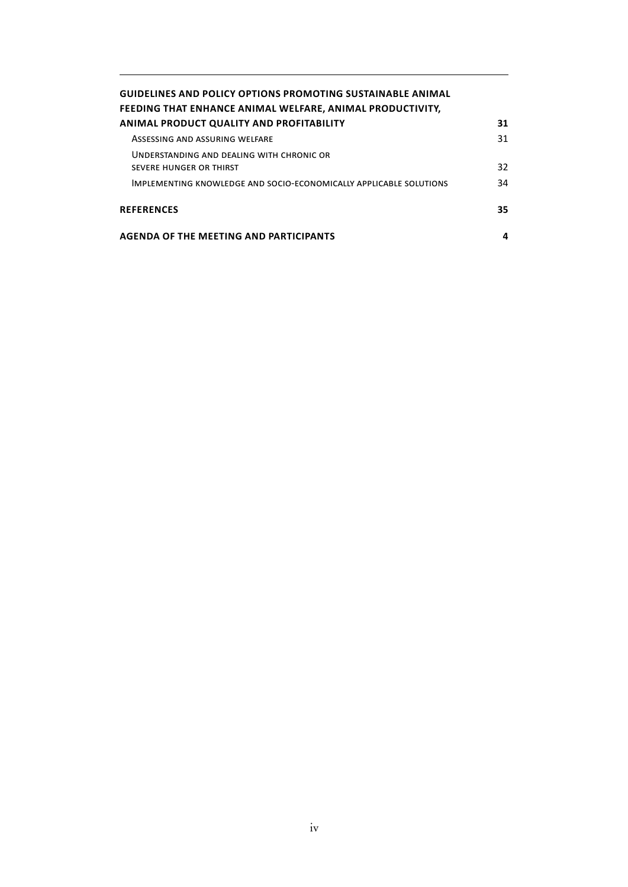| <b>GUIDELINES AND POLICY OPTIONS PROMOTING SUSTAINABLE ANIMAL</b><br>FEEDING THAT ENHANCE ANIMAL WELFARE, ANIMAL PRODUCTIVITY, |    |
|--------------------------------------------------------------------------------------------------------------------------------|----|
| <b>ANIMAL PRODUCT QUALITY AND PROFITABILITY</b>                                                                                | 31 |
| ASSESSING AND ASSURING WELFARE                                                                                                 | 31 |
| UNDERSTANDING AND DEALING WITH CHRONIC OR<br>SEVERE HUNGER OR THIRST                                                           | 32 |
| IMPLEMENTING KNOWLEDGE AND SOCIO-ECONOMICALLY APPLICABLE SOLUTIONS                                                             | 34 |
| <b>REFERENCES</b>                                                                                                              | 35 |
| <b>AGENDA OF THE MEETING AND PARTICIPANTS</b>                                                                                  |    |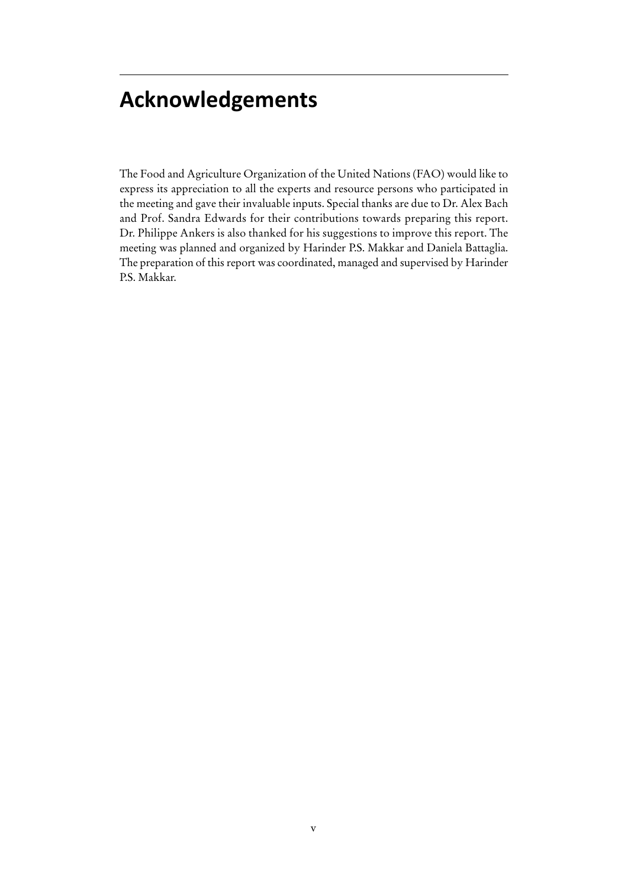# **Acknowledgements**

The Food and Agriculture Organization of the United Nations (FAO) would like to express its appreciation to all the experts and resource persons who participated in the meeting and gave their invaluable inputs. Special thanks are due to Dr. Alex Bach and Prof. Sandra Edwards for their contributions towards preparing this report. Dr. Philippe Ankers is also thanked for his suggestions to improve this report. The meeting was planned and organized by Harinder P.S. Makkar and Daniela Battaglia. The preparation of this report was coordinated, managed and supervised by Harinder P.S. Makkar.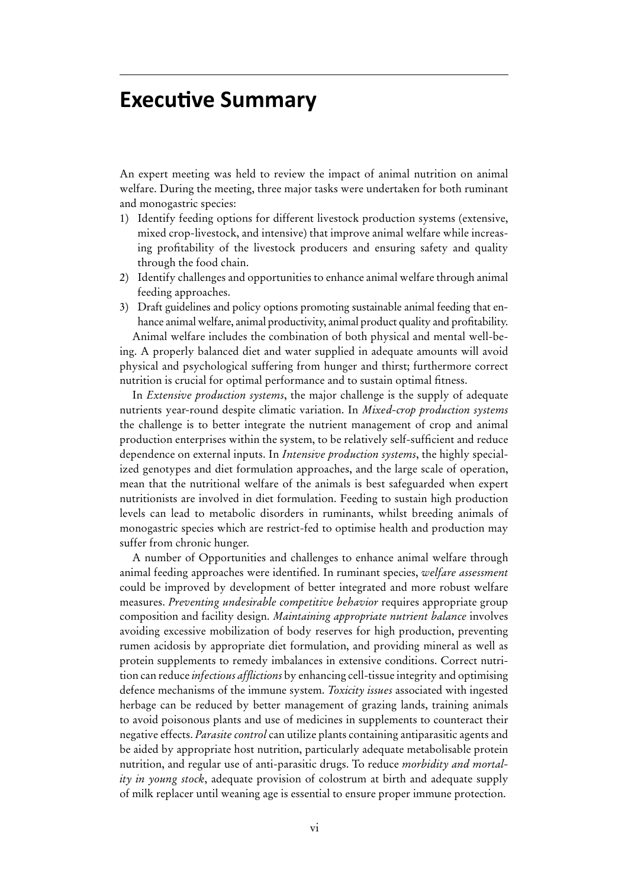### **Executive Summary**

An expert meeting was held to review the impact of animal nutrition on animal welfare. During the meeting, three major tasks were undertaken for both ruminant and monogastric species:

- 1) Identify feeding options for different livestock production systems (extensive, mixed crop-livestock, and intensive) that improve animal welfare while increasing profitability of the livestock producers and ensuring safety and quality through the food chain.
- 2) Identify challenges and opportunities to enhance animal welfare through animal feeding approaches.
- 3) Draft guidelines and policy options promoting sustainable animal feeding that enhance animal welfare, animal productivity, animal product quality and profitability.

Animal welfare includes the combination of both physical and mental well-being. A properly balanced diet and water supplied in adequate amounts will avoid physical and psychological suffering from hunger and thirst; furthermore correct nutrition is crucial for optimal performance and to sustain optimal fitness.

In *Extensive production systems*, the major challenge is the supply of adequate nutrients year-round despite climatic variation. In *Mixed-crop production systems*  the challenge is to better integrate the nutrient management of crop and animal production enterprises within the system, to be relatively self-sufficient and reduce dependence on external inputs. In *Intensive production systems*, the highly specialized genotypes and diet formulation approaches, and the large scale of operation, mean that the nutritional welfare of the animals is best safeguarded when expert nutritionists are involved in diet formulation. Feeding to sustain high production levels can lead to metabolic disorders in ruminants, whilst breeding animals of monogastric species which are restrict-fed to optimise health and production may suffer from chronic hunger.

A number of Opportunities and challenges to enhance animal welfare through animal feeding approaches were identified. In ruminant species, *welfare assessment* could be improved by development of better integrated and more robust welfare measures. *Preventing undesirable competitive behavior* requires appropriate group composition and facility design. *Maintaining appropriate nutrient balance* involves avoiding excessive mobilization of body reserves for high production, preventing rumen acidosis by appropriate diet formulation, and providing mineral as well as protein supplements to remedy imbalances in extensive conditions. Correct nutrition can reduce *infectious afflictions* by enhancing cell-tissue integrity and optimising defence mechanisms of the immune system. *Toxicity issues* associated with ingested herbage can be reduced by better management of grazing lands, training animals to avoid poisonous plants and use of medicines in supplements to counteract their negative effects. *Parasite control* can utilize plants containing antiparasitic agents and be aided by appropriate host nutrition, particularly adequate metabolisable protein nutrition, and regular use of anti-parasitic drugs. To reduce *morbidity and mortality in young stock*, adequate provision of colostrum at birth and adequate supply of milk replacer until weaning age is essential to ensure proper immune protection.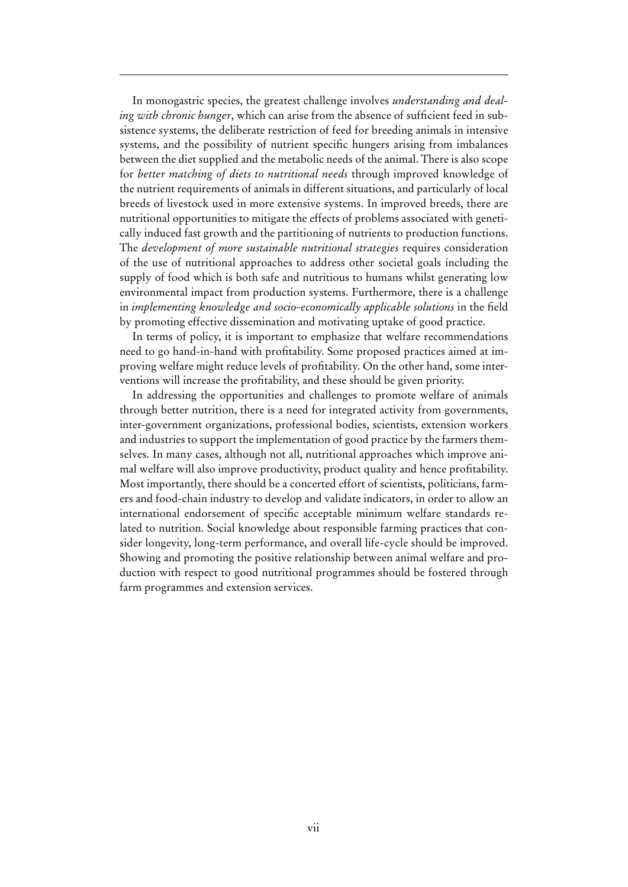In monogastric species, the greatest challenge involves *understanding and dealing with chronic hunger*, which can arise from the absence of sufficient feed in subsistence systems, the deliberate restriction of feed for breeding animals in intensive systems, and the possibility of nutrient specific hungers arising from imbalances between the diet supplied and the metabolic needs of the animal. There is also scope for *better matching of diets to nutritional needs* through improved knowledge of the nutrient requirements of animals in different situations, and particularly of local breeds of livestock used in more extensive systems. In improved breeds, there are nutritional opportunities to mitigate the effects of problems associated with genetically induced fast growth and the partitioning of nutrients to production functions. The *development of more sustainable nutritional strategies* requires consideration of the use of nutritional approaches to address other societal goals including the supply of food which is both safe and nutritious to humans whilst generating low environmental impact from production systems. Furthermore, there is a challenge in *implementing knowledge and socio-economically applicable solutions* in the field by promoting effective dissemination and motivating uptake of good practice.

In terms of policy, it is important to emphasize that welfare recommendations need to go hand-in-hand with profitability. Some proposed practices aimed at improving welfare might reduce levels of profitability. On the other hand, some interventions will increase the profitability, and these should be given priority.

In addressing the opportunities and challenges to promote welfare of animals through better nutrition, there is a need for integrated activity from governments, inter-government organizations, professional bodies, scientists, extension workers and industries to support the implementation of good practice by the farmers themselves. In many cases, although not all, nutritional approaches which improve animal welfare will also improve productivity, product quality and hence profitability. Most importantly, there should be a concerted effort of scientists, politicians, farmers and food-chain industry to develop and validate indicators, in order to allow an international endorsement of specific acceptable minimum welfare standards related to nutrition. Social knowledge about responsible farming practices that consider longevity, long-term performance, and overall life-cycle should be improved. Showing and promoting the positive relationship between animal welfare and production with respect to good nutritional programmes should be fostered through farm programmes and extension services.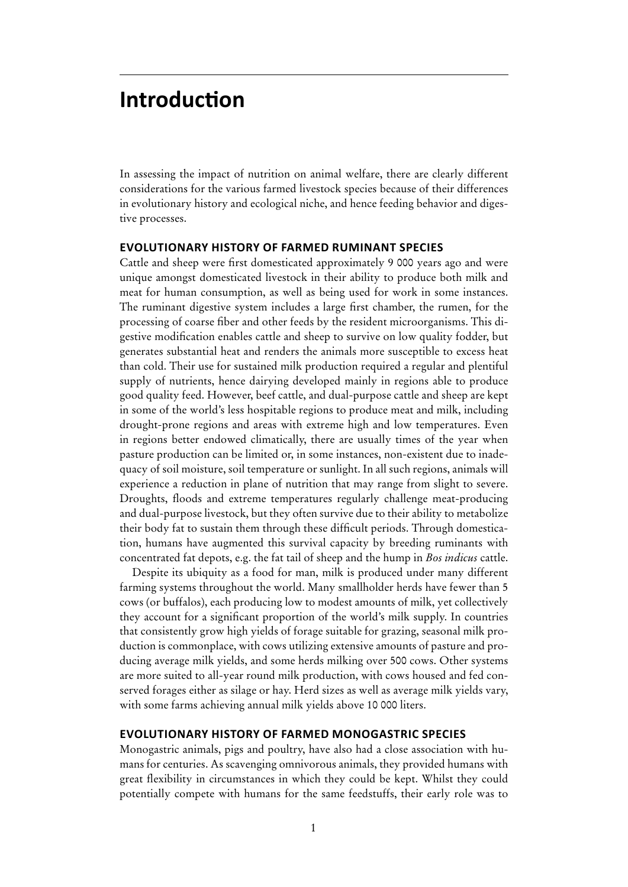### **Introduction**

In assessing the impact of nutrition on animal welfare, there are clearly different considerations for the various farmed livestock species because of their differences in evolutionary history and ecological niche, and hence feeding behavior and digestive processes.

#### **Evolutionary history of farmed ruminant species**

Cattle and sheep were first domesticated approximately 9 000 years ago and were unique amongst domesticated livestock in their ability to produce both milk and meat for human consumption, as well as being used for work in some instances. The ruminant digestive system includes a large first chamber, the rumen, for the processing of coarse fiber and other feeds by the resident microorganisms. This digestive modification enables cattle and sheep to survive on low quality fodder, but generates substantial heat and renders the animals more susceptible to excess heat than cold. Their use for sustained milk production required a regular and plentiful supply of nutrients, hence dairying developed mainly in regions able to produce good quality feed. However, beef cattle, and dual-purpose cattle and sheep are kept in some of the world's less hospitable regions to produce meat and milk, including drought-prone regions and areas with extreme high and low temperatures. Even in regions better endowed climatically, there are usually times of the year when pasture production can be limited or, in some instances, non-existent due to inadequacy of soil moisture, soil temperature or sunlight. In all such regions, animals will experience a reduction in plane of nutrition that may range from slight to severe. Droughts, floods and extreme temperatures regularly challenge meat-producing and dual-purpose livestock, but they often survive due to their ability to metabolize their body fat to sustain them through these difficult periods. Through domestication, humans have augmented this survival capacity by breeding ruminants with concentrated fat depots, e.g. the fat tail of sheep and the hump in *Bos indicus* cattle.

Despite its ubiquity as a food for man, milk is produced under many different farming systems throughout the world. Many smallholder herds have fewer than 5 cows (or buffalos), each producing low to modest amounts of milk, yet collectively they account for a significant proportion of the world's milk supply. In countries that consistently grow high yields of forage suitable for grazing, seasonal milk production is commonplace, with cows utilizing extensive amounts of pasture and producing average milk yields, and some herds milking over 500 cows. Other systems are more suited to all-year round milk production, with cows housed and fed conserved forages either as silage or hay. Herd sizes as well as average milk yields vary, with some farms achieving annual milk yields above 10 000 liters.

#### **Evolutionary history of farmed monogastric species**

Monogastric animals, pigs and poultry, have also had a close association with humans for centuries. As scavenging omnivorous animals, they provided humans with great flexibility in circumstances in which they could be kept. Whilst they could potentially compete with humans for the same feedstuffs, their early role was to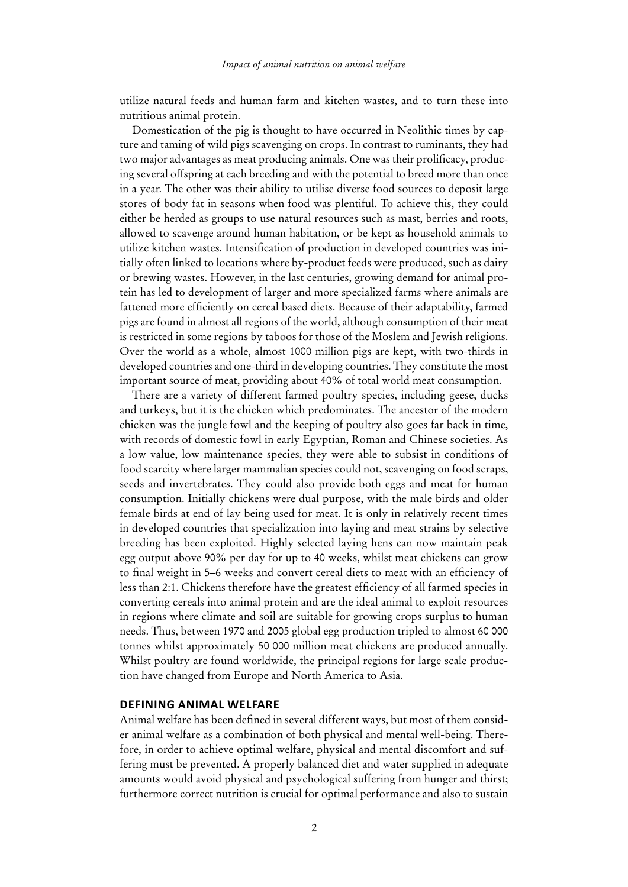utilize natural feeds and human farm and kitchen wastes, and to turn these into nutritious animal protein.

Domestication of the pig is thought to have occurred in Neolithic times by capture and taming of wild pigs scavenging on crops. In contrast to ruminants, they had two major advantages as meat producing animals. One was their prolificacy, producing several offspring at each breeding and with the potential to breed more than once in a year. The other was their ability to utilise diverse food sources to deposit large stores of body fat in seasons when food was plentiful. To achieve this, they could either be herded as groups to use natural resources such as mast, berries and roots, allowed to scavenge around human habitation, or be kept as household animals to utilize kitchen wastes. Intensification of production in developed countries was initially often linked to locations where by-product feeds were produced, such as dairy or brewing wastes. However, in the last centuries, growing demand for animal protein has led to development of larger and more specialized farms where animals are fattened more efficiently on cereal based diets. Because of their adaptability, farmed pigs are found in almost all regions of the world, although consumption of their meat is restricted in some regions by taboos for those of the Moslem and Jewish religions. Over the world as a whole, almost 1000 million pigs are kept, with two-thirds in developed countries and one-third in developing countries. They constitute the most important source of meat, providing about 40% of total world meat consumption.

There are a variety of different farmed poultry species, including geese, ducks and turkeys, but it is the chicken which predominates. The ancestor of the modern chicken was the jungle fowl and the keeping of poultry also goes far back in time, with records of domestic fowl in early Egyptian, Roman and Chinese societies. As a low value, low maintenance species, they were able to subsist in conditions of food scarcity where larger mammalian species could not, scavenging on food scraps, seeds and invertebrates. They could also provide both eggs and meat for human consumption. Initially chickens were dual purpose, with the male birds and older female birds at end of lay being used for meat. It is only in relatively recent times in developed countries that specialization into laying and meat strains by selective breeding has been exploited. Highly selected laying hens can now maintain peak egg output above 90% per day for up to 40 weeks, whilst meat chickens can grow to final weight in 5–6 weeks and convert cereal diets to meat with an efficiency of less than 2:1. Chickens therefore have the greatest efficiency of all farmed species in converting cereals into animal protein and are the ideal animal to exploit resources in regions where climate and soil are suitable for growing crops surplus to human needs. Thus, between 1970 and 2005 global egg production tripled to almost 60 000 tonnes whilst approximately 50 000 million meat chickens are produced annually. Whilst poultry are found worldwide, the principal regions for large scale production have changed from Europe and North America to Asia.

#### **Defining animal welfare**

Animal welfare has been defined in several different ways, but most of them consider animal welfare as a combination of both physical and mental well-being. Therefore, in order to achieve optimal welfare, physical and mental discomfort and suffering must be prevented. A properly balanced diet and water supplied in adequate amounts would avoid physical and psychological suffering from hunger and thirst; furthermore correct nutrition is crucial for optimal performance and also to sustain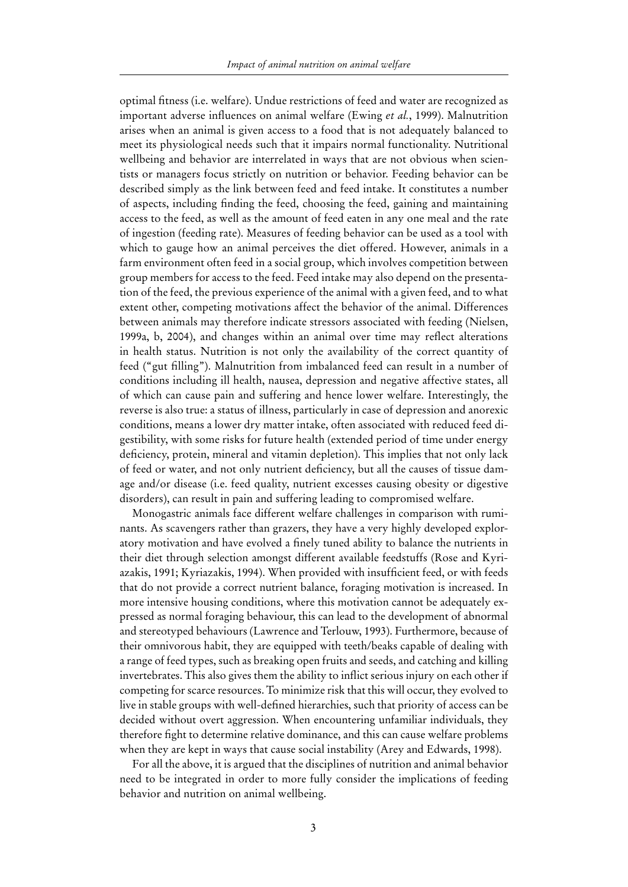optimal fitness (i.e. welfare). Undue restrictions of feed and water are recognized as important adverse influences on animal welfare (Ewing *et al.*, 1999). Malnutrition arises when an animal is given access to a food that is not adequately balanced to meet its physiological needs such that it impairs normal functionality. Nutritional wellbeing and behavior are interrelated in ways that are not obvious when scientists or managers focus strictly on nutrition or behavior. Feeding behavior can be described simply as the link between feed and feed intake. It constitutes a number of aspects, including finding the feed, choosing the feed, gaining and maintaining access to the feed, as well as the amount of feed eaten in any one meal and the rate of ingestion (feeding rate). Measures of feeding behavior can be used as a tool with which to gauge how an animal perceives the diet offered. However, animals in a farm environment often feed in a social group, which involves competition between group members for access to the feed. Feed intake may also depend on the presentation of the feed, the previous experience of the animal with a given feed, and to what extent other, competing motivations affect the behavior of the animal. Differences between animals may therefore indicate stressors associated with feeding (Nielsen, 1999a, b, 2004), and changes within an animal over time may reflect alterations in health status. Nutrition is not only the availability of the correct quantity of feed ("gut filling"). Malnutrition from imbalanced feed can result in a number of conditions including ill health, nausea, depression and negative affective states, all of which can cause pain and suffering and hence lower welfare. Interestingly, the reverse is also true: a status of illness, particularly in case of depression and anorexic conditions, means a lower dry matter intake, often associated with reduced feed digestibility, with some risks for future health (extended period of time under energy deficiency, protein, mineral and vitamin depletion). This implies that not only lack of feed or water, and not only nutrient deficiency, but all the causes of tissue damage and/or disease (i.e. feed quality, nutrient excesses causing obesity or digestive disorders), can result in pain and suffering leading to compromised welfare.

Monogastric animals face different welfare challenges in comparison with ruminants. As scavengers rather than grazers, they have a very highly developed exploratory motivation and have evolved a finely tuned ability to balance the nutrients in their diet through selection amongst different available feedstuffs (Rose and Kyriazakis, 1991; Kyriazakis, 1994). When provided with insufficient feed, or with feeds that do not provide a correct nutrient balance, foraging motivation is increased. In more intensive housing conditions, where this motivation cannot be adequately expressed as normal foraging behaviour, this can lead to the development of abnormal and stereotyped behaviours (Lawrence and Terlouw, 1993). Furthermore, because of their omnivorous habit, they are equipped with teeth/beaks capable of dealing with a range of feed types, such as breaking open fruits and seeds, and catching and killing invertebrates. This also gives them the ability to inflict serious injury on each other if competing for scarce resources. To minimize risk that this will occur, they evolved to live in stable groups with well-defined hierarchies, such that priority of access can be decided without overt aggression. When encountering unfamiliar individuals, they therefore fight to determine relative dominance, and this can cause welfare problems when they are kept in ways that cause social instability (Arey and Edwards, 1998).

For all the above, it is argued that the disciplines of nutrition and animal behavior need to be integrated in order to more fully consider the implications of feeding behavior and nutrition on animal wellbeing.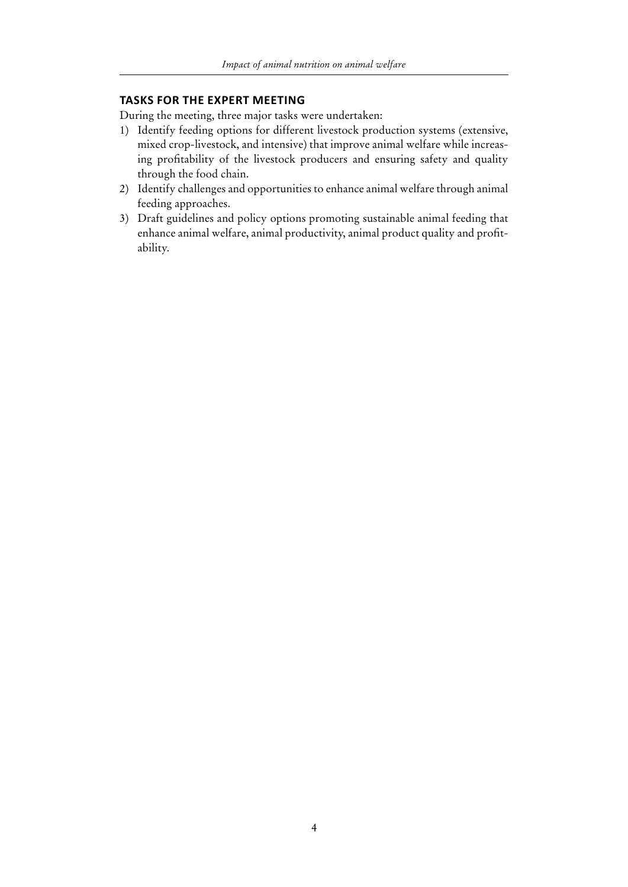#### **Tasks for the expert meeting**

During the meeting, three major tasks were undertaken:

- 1) Identify feeding options for different livestock production systems (extensive, mixed crop-livestock, and intensive) that improve animal welfare while increasing profitability of the livestock producers and ensuring safety and quality through the food chain.
- 2) Identify challenges and opportunities to enhance animal welfare through animal feeding approaches.
- 3) Draft guidelines and policy options promoting sustainable animal feeding that enhance animal welfare, animal productivity, animal product quality and profitability.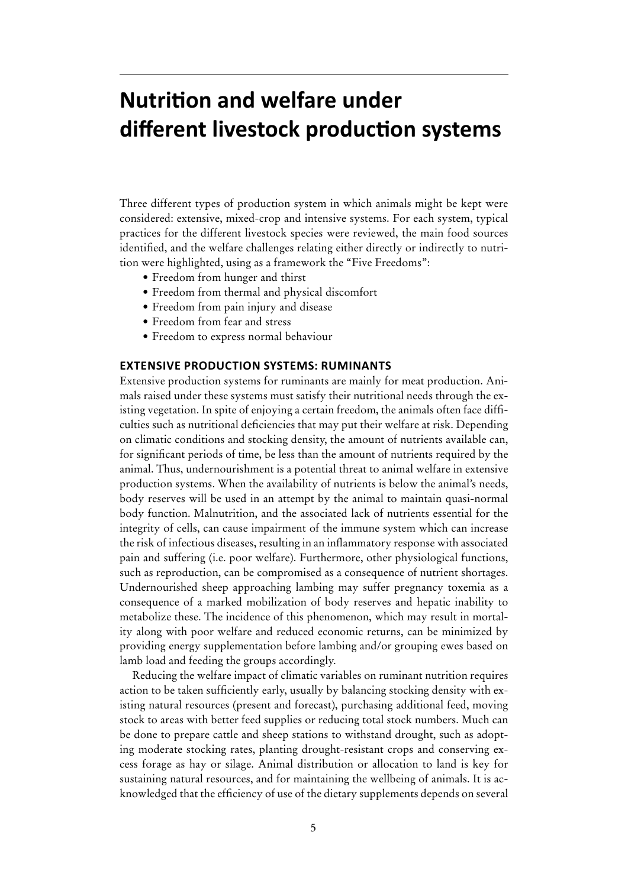# **Nutrition and welfare under different livestock production systems**

Three different types of production system in which animals might be kept were considered: extensive, mixed-crop and intensive systems. For each system, typical practices for the different livestock species were reviewed, the main food sources identified, and the welfare challenges relating either directly or indirectly to nutrition were highlighted, using as a framework the "Five Freedoms":

- Freedom from hunger and thirst
- Freedom from thermal and physical discomfort
- Freedom from pain injury and disease
- • Freedom from fear and stress
- • Freedom to express normal behaviour

#### **Extensive production systems: ruminants**

Extensive production systems for ruminants are mainly for meat production. Animals raised under these systems must satisfy their nutritional needs through the existing vegetation. In spite of enjoying a certain freedom, the animals often face difficulties such as nutritional deficiencies that may put their welfare at risk. Depending on climatic conditions and stocking density, the amount of nutrients available can, for significant periods of time, be less than the amount of nutrients required by the animal. Thus, undernourishment is a potential threat to animal welfare in extensive production systems. When the availability of nutrients is below the animal's needs, body reserves will be used in an attempt by the animal to maintain quasi-normal body function. Malnutrition, and the associated lack of nutrients essential for the integrity of cells, can cause impairment of the immune system which can increase the risk of infectious diseases, resulting in an inflammatory response with associated pain and suffering (i.e. poor welfare). Furthermore, other physiological functions, such as reproduction, can be compromised as a consequence of nutrient shortages. Undernourished sheep approaching lambing may suffer pregnancy toxemia as a consequence of a marked mobilization of body reserves and hepatic inability to metabolize these. The incidence of this phenomenon, which may result in mortality along with poor welfare and reduced economic returns, can be minimized by providing energy supplementation before lambing and/or grouping ewes based on lamb load and feeding the groups accordingly.

Reducing the welfare impact of climatic variables on ruminant nutrition requires action to be taken sufficiently early, usually by balancing stocking density with existing natural resources (present and forecast), purchasing additional feed, moving stock to areas with better feed supplies or reducing total stock numbers. Much can be done to prepare cattle and sheep stations to withstand drought, such as adopting moderate stocking rates, planting drought-resistant crops and conserving excess forage as hay or silage. Animal distribution or allocation to land is key for sustaining natural resources, and for maintaining the wellbeing of animals. It is acknowledged that the efficiency of use of the dietary supplements depends on several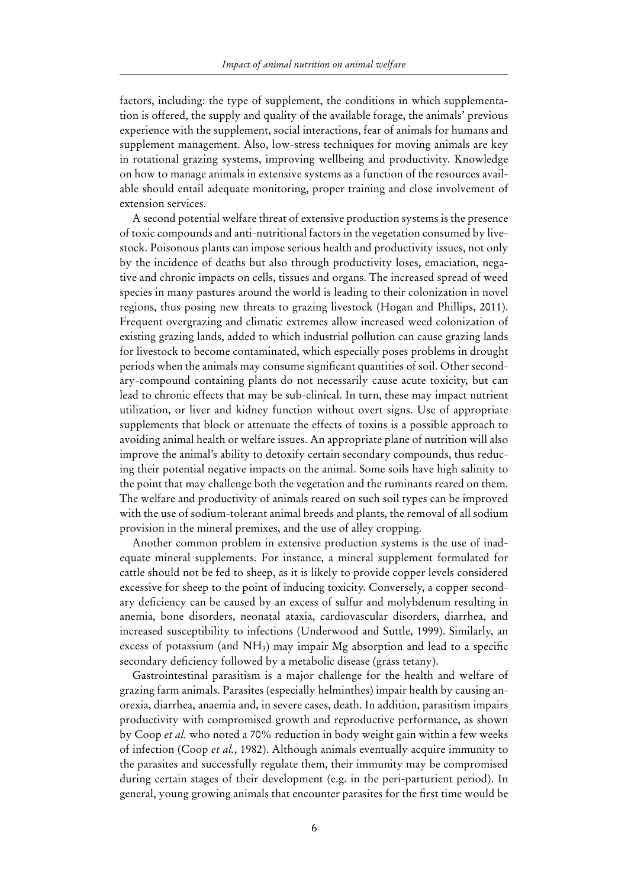factors, including: the type of supplement, the conditions in which supplementation is offered, the supply and quality of the available forage, the animals' previous experience with the supplement, social interactions, fear of animals for humans and supplement management. Also, low-stress techniques for moving animals are key in rotational grazing systems, improving wellbeing and productivity. Knowledge on how to manage animals in extensive systems as a function of the resources available should entail adequate monitoring, proper training and close involvement of extension services.

A second potential welfare threat of extensive production systems is the presence of toxic compounds and anti-nutritional factors in the vegetation consumed by livestock. Poisonous plants can impose serious health and productivity issues, not only by the incidence of deaths but also through productivity loses, emaciation, negative and chronic impacts on cells, tissues and organs. The increased spread of weed species in many pastures around the world is leading to their colonization in novel regions, thus posing new threats to grazing livestock (Hogan and Phillips, 2011). Frequent overgrazing and climatic extremes allow increased weed colonization of existing grazing lands, added to which industrial pollution can cause grazing lands for livestock to become contaminated, which especially poses problems in drought periods when the animals may consume significant quantities of soil. Other secondary-compound containing plants do not necessarily cause acute toxicity, but can lead to chronic effects that may be sub-clinical. In turn, these may impact nutrient utilization, or liver and kidney function without overt signs. Use of appropriate supplements that block or attenuate the effects of toxins is a possible approach to avoiding animal health or welfare issues. An appropriate plane of nutrition will also improve the animal's ability to detoxify certain secondary compounds, thus reducing their potential negative impacts on the animal. Some soils have high salinity to the point that may challenge both the vegetation and the ruminants reared on them. The welfare and productivity of animals reared on such soil types can be improved with the use of sodium-tolerant animal breeds and plants, the removal of all sodium provision in the mineral premixes, and the use of alley cropping.

Another common problem in extensive production systems is the use of inadequate mineral supplements. For instance, a mineral supplement formulated for cattle should not be fed to sheep, as it is likely to provide copper levels considered excessive for sheep to the point of inducing toxicity. Conversely, a copper secondary deficiency can be caused by an excess of sulfur and molybdenum resulting in anemia, bone disorders, neonatal ataxia, cardiovascular disorders, diarrhea, and increased susceptibility to infections (Underwood and Suttle, 1999). Similarly, an excess of potassium (and  $NH<sub>3</sub>$ ) may impair Mg absorption and lead to a specific secondary deficiency followed by a metabolic disease (grass tetany).

Gastrointestinal parasitism is a major challenge for the health and welfare of grazing farm animals. Parasites (especially helminthes) impair health by causing anorexia, diarrhea, anaemia and, in severe cases, death. In addition, parasitism impairs productivity with compromised growth and reproductive performance, as shown by Coop *et al.* who noted a 70% reduction in body weight gain within a few weeks of infection (Coop *et al.*, 1982). Although animals eventually acquire immunity to the parasites and successfully regulate them, their immunity may be compromised during certain stages of their development (e.g. in the peri-parturient period). In general, young growing animals that encounter parasites for the first time would be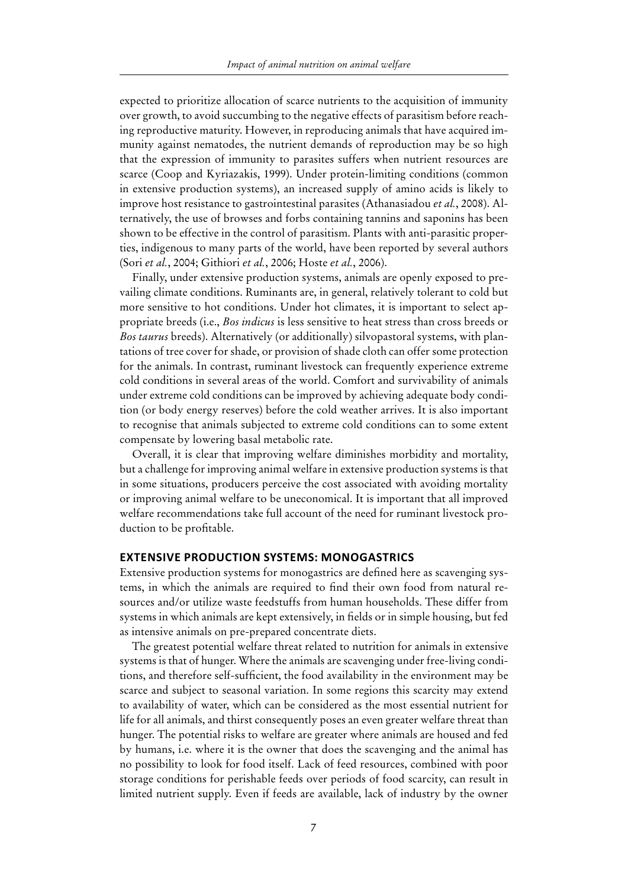expected to prioritize allocation of scarce nutrients to the acquisition of immunity over growth, to avoid succumbing to the negative effects of parasitism before reaching reproductive maturity. However, in reproducing animals that have acquired immunity against nematodes, the nutrient demands of reproduction may be so high that the expression of immunity to parasites suffers when nutrient resources are scarce (Coop and Kyriazakis, 1999). Under protein-limiting conditions (common in extensive production systems), an increased supply of amino acids is likely to improve host resistance to gastrointestinal parasites (Athanasiadou *et al.*, 2008). Alternatively, the use of browses and forbs containing tannins and saponins has been shown to be effective in the control of parasitism. Plants with anti-parasitic properties, indigenous to many parts of the world, have been reported by several authors (Sori *et al.*, 2004; Githiori *et al.*, 2006; Hoste *et al.*, 2006).

Finally, under extensive production systems, animals are openly exposed to prevailing climate conditions. Ruminants are, in general, relatively tolerant to cold but more sensitive to hot conditions. Under hot climates, it is important to select appropriate breeds (i.e., *Bos indicus* is less sensitive to heat stress than cross breeds or *Bos taurus* breeds). Alternatively (or additionally) silvopastoral systems, with plantations of tree cover for shade, or provision of shade cloth can offer some protection for the animals. In contrast, ruminant livestock can frequently experience extreme cold conditions in several areas of the world. Comfort and survivability of animals under extreme cold conditions can be improved by achieving adequate body condition (or body energy reserves) before the cold weather arrives. It is also important to recognise that animals subjected to extreme cold conditions can to some extent compensate by lowering basal metabolic rate.

Overall, it is clear that improving welfare diminishes morbidity and mortality, but a challenge for improving animal welfare in extensive production systems is that in some situations, producers perceive the cost associated with avoiding mortality or improving animal welfare to be uneconomical. It is important that all improved welfare recommendations take full account of the need for ruminant livestock production to be profitable.

#### **Extensive production systems: monogastrics**

Extensive production systems for monogastrics are defined here as scavenging systems, in which the animals are required to find their own food from natural resources and/or utilize waste feedstuffs from human households. These differ from systems in which animals are kept extensively, in fields or in simple housing, but fed as intensive animals on pre-prepared concentrate diets.

The greatest potential welfare threat related to nutrition for animals in extensive systems is that of hunger. Where the animals are scavenging under free-living conditions, and therefore self-sufficient, the food availability in the environment may be scarce and subject to seasonal variation. In some regions this scarcity may extend to availability of water, which can be considered as the most essential nutrient for life for all animals, and thirst consequently poses an even greater welfare threat than hunger. The potential risks to welfare are greater where animals are housed and fed by humans, i.e. where it is the owner that does the scavenging and the animal has no possibility to look for food itself. Lack of feed resources, combined with poor storage conditions for perishable feeds over periods of food scarcity, can result in limited nutrient supply. Even if feeds are available, lack of industry by the owner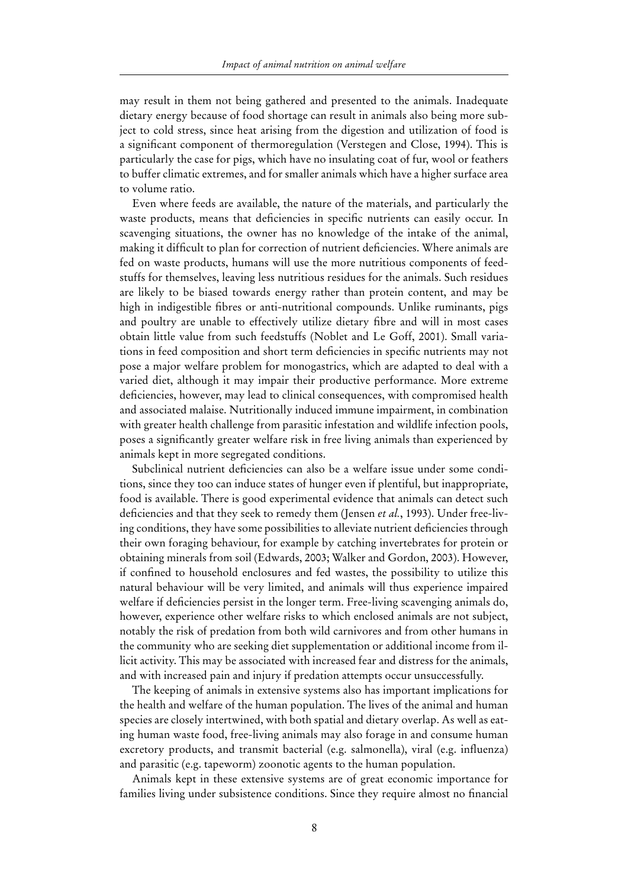may result in them not being gathered and presented to the animals. Inadequate dietary energy because of food shortage can result in animals also being more subject to cold stress, since heat arising from the digestion and utilization of food is a significant component of thermoregulation (Verstegen and Close, 1994). This is particularly the case for pigs, which have no insulating coat of fur, wool or feathers to buffer climatic extremes, and for smaller animals which have a higher surface area to volume ratio.

Even where feeds are available, the nature of the materials, and particularly the waste products, means that deficiencies in specific nutrients can easily occur. In scavenging situations, the owner has no knowledge of the intake of the animal, making it difficult to plan for correction of nutrient deficiencies. Where animals are fed on waste products, humans will use the more nutritious components of feedstuffs for themselves, leaving less nutritious residues for the animals. Such residues are likely to be biased towards energy rather than protein content, and may be high in indigestible fibres or anti-nutritional compounds. Unlike ruminants, pigs and poultry are unable to effectively utilize dietary fibre and will in most cases obtain little value from such feedstuffs (Noblet and Le Goff, 2001). Small variations in feed composition and short term deficiencies in specific nutrients may not pose a major welfare problem for monogastrics, which are adapted to deal with a varied diet, although it may impair their productive performance. More extreme deficiencies, however, may lead to clinical consequences, with compromised health and associated malaise. Nutritionally induced immune impairment, in combination with greater health challenge from parasitic infestation and wildlife infection pools, poses a significantly greater welfare risk in free living animals than experienced by animals kept in more segregated conditions.

Subclinical nutrient deficiencies can also be a welfare issue under some conditions, since they too can induce states of hunger even if plentiful, but inappropriate, food is available. There is good experimental evidence that animals can detect such deficiencies and that they seek to remedy them (Jensen *et al.*, 1993). Under free-living conditions, they have some possibilities to alleviate nutrient deficiencies through their own foraging behaviour, for example by catching invertebrates for protein or obtaining minerals from soil (Edwards, 2003; Walker and Gordon, 2003). However, if confined to household enclosures and fed wastes, the possibility to utilize this natural behaviour will be very limited, and animals will thus experience impaired welfare if deficiencies persist in the longer term. Free-living scavenging animals do, however, experience other welfare risks to which enclosed animals are not subject, notably the risk of predation from both wild carnivores and from other humans in the community who are seeking diet supplementation or additional income from illicit activity. This may be associated with increased fear and distress for the animals, and with increased pain and injury if predation attempts occur unsuccessfully.

The keeping of animals in extensive systems also has important implications for the health and welfare of the human population. The lives of the animal and human species are closely intertwined, with both spatial and dietary overlap. As well as eating human waste food, free-living animals may also forage in and consume human excretory products, and transmit bacterial (e.g. salmonella), viral (e.g. influenza) and parasitic (e.g. tapeworm) zoonotic agents to the human population.

Animals kept in these extensive systems are of great economic importance for families living under subsistence conditions. Since they require almost no financial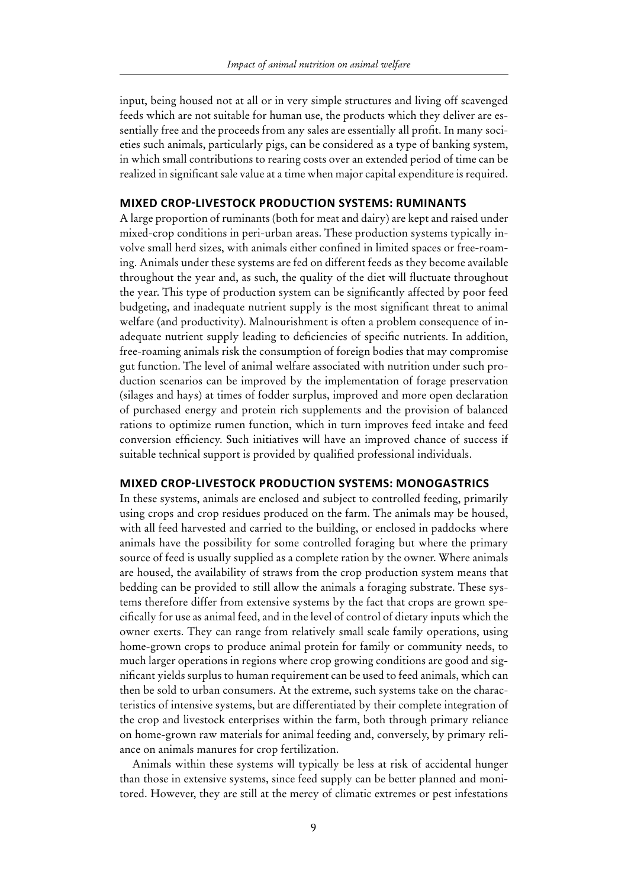input, being housed not at all or in very simple structures and living off scavenged feeds which are not suitable for human use, the products which they deliver are essentially free and the proceeds from any sales are essentially all profit. In many societies such animals, particularly pigs, can be considered as a type of banking system, in which small contributions to rearing costs over an extended period of time can be realized in significant sale value at a time when major capital expenditure is required.

#### **Mixed crop-livestock production systems: ruminants**

A large proportion of ruminants (both for meat and dairy) are kept and raised under mixed-crop conditions in peri-urban areas. These production systems typically involve small herd sizes, with animals either confined in limited spaces or free-roaming. Animals under these systems are fed on different feeds as they become available throughout the year and, as such, the quality of the diet will fluctuate throughout the year. This type of production system can be significantly affected by poor feed budgeting, and inadequate nutrient supply is the most significant threat to animal welfare (and productivity). Malnourishment is often a problem consequence of inadequate nutrient supply leading to deficiencies of specific nutrients. In addition, free-roaming animals risk the consumption of foreign bodies that may compromise gut function. The level of animal welfare associated with nutrition under such production scenarios can be improved by the implementation of forage preservation (silages and hays) at times of fodder surplus, improved and more open declaration of purchased energy and protein rich supplements and the provision of balanced rations to optimize rumen function, which in turn improves feed intake and feed conversion efficiency. Such initiatives will have an improved chance of success if suitable technical support is provided by qualified professional individuals.

#### **Mixed crop-livestock production systems: monogastrics**

In these systems, animals are enclosed and subject to controlled feeding, primarily using crops and crop residues produced on the farm. The animals may be housed, with all feed harvested and carried to the building, or enclosed in paddocks where animals have the possibility for some controlled foraging but where the primary source of feed is usually supplied as a complete ration by the owner. Where animals are housed, the availability of straws from the crop production system means that bedding can be provided to still allow the animals a foraging substrate. These systems therefore differ from extensive systems by the fact that crops are grown specifically for use as animal feed, and in the level of control of dietary inputs which the owner exerts. They can range from relatively small scale family operations, using home-grown crops to produce animal protein for family or community needs, to much larger operations in regions where crop growing conditions are good and significant yields surplus to human requirement can be used to feed animals, which can then be sold to urban consumers. At the extreme, such systems take on the characteristics of intensive systems, but are differentiated by their complete integration of the crop and livestock enterprises within the farm, both through primary reliance on home-grown raw materials for animal feeding and, conversely, by primary reliance on animals manures for crop fertilization.

Animals within these systems will typically be less at risk of accidental hunger than those in extensive systems, since feed supply can be better planned and monitored. However, they are still at the mercy of climatic extremes or pest infestations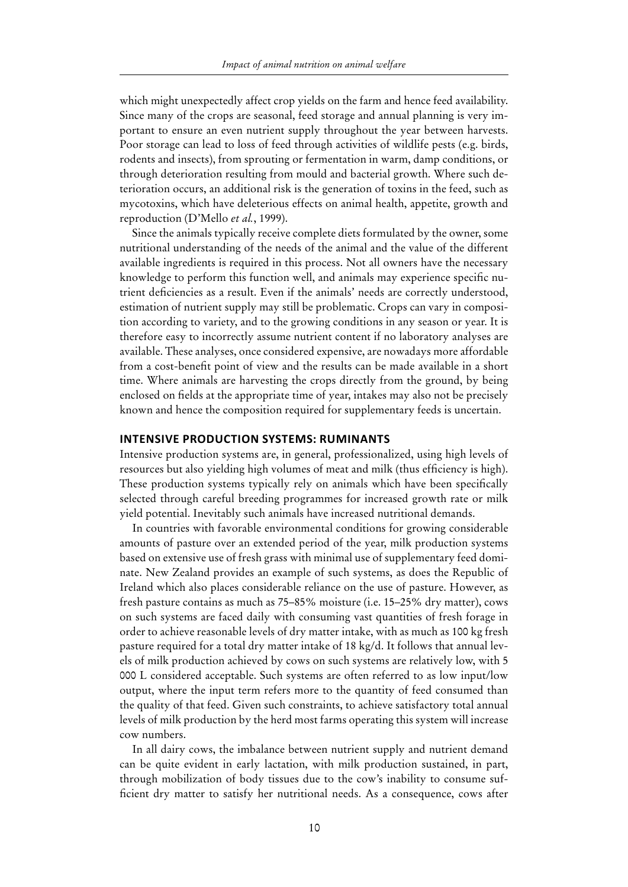which might unexpectedly affect crop yields on the farm and hence feed availability. Since many of the crops are seasonal, feed storage and annual planning is very important to ensure an even nutrient supply throughout the year between harvests. Poor storage can lead to loss of feed through activities of wildlife pests (e.g. birds, rodents and insects), from sprouting or fermentation in warm, damp conditions, or through deterioration resulting from mould and bacterial growth. Where such deterioration occurs, an additional risk is the generation of toxins in the feed, such as mycotoxins, which have deleterious effects on animal health, appetite, growth and reproduction (D'Mello *et al.*, 1999).

Since the animals typically receive complete diets formulated by the owner, some nutritional understanding of the needs of the animal and the value of the different available ingredients is required in this process. Not all owners have the necessary knowledge to perform this function well, and animals may experience specific nutrient deficiencies as a result. Even if the animals' needs are correctly understood, estimation of nutrient supply may still be problematic. Crops can vary in composition according to variety, and to the growing conditions in any season or year. It is therefore easy to incorrectly assume nutrient content if no laboratory analyses are available. These analyses, once considered expensive, are nowadays more affordable from a cost-benefit point of view and the results can be made available in a short time. Where animals are harvesting the crops directly from the ground, by being enclosed on fields at the appropriate time of year, intakes may also not be precisely known and hence the composition required for supplementary feeds is uncertain.

#### **Intensive production systems: ruminants**

Intensive production systems are, in general, professionalized, using high levels of resources but also yielding high volumes of meat and milk (thus efficiency is high). These production systems typically rely on animals which have been specifically selected through careful breeding programmes for increased growth rate or milk yield potential. Inevitably such animals have increased nutritional demands.

In countries with favorable environmental conditions for growing considerable amounts of pasture over an extended period of the year, milk production systems based on extensive use of fresh grass with minimal use of supplementary feed dominate. New Zealand provides an example of such systems, as does the Republic of Ireland which also places considerable reliance on the use of pasture. However, as fresh pasture contains as much as 75–85% moisture (i.e. 15–25% dry matter), cows on such systems are faced daily with consuming vast quantities of fresh forage in order to achieve reasonable levels of dry matter intake, with as much as 100 kg fresh pasture required for a total dry matter intake of 18 kg/d. It follows that annual levels of milk production achieved by cows on such systems are relatively low, with 5 000 L considered acceptable. Such systems are often referred to as low input/low output, where the input term refers more to the quantity of feed consumed than the quality of that feed. Given such constraints, to achieve satisfactory total annual levels of milk production by the herd most farms operating this system will increase cow numbers.

In all dairy cows, the imbalance between nutrient supply and nutrient demand can be quite evident in early lactation, with milk production sustained, in part, through mobilization of body tissues due to the cow's inability to consume sufficient dry matter to satisfy her nutritional needs. As a consequence, cows after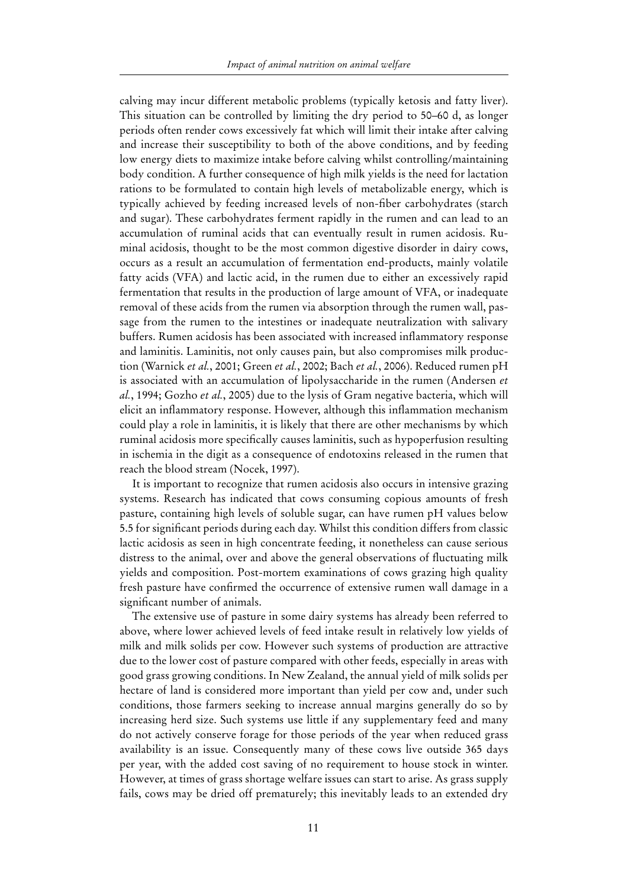calving may incur different metabolic problems (typically ketosis and fatty liver). This situation can be controlled by limiting the dry period to 50–60 d, as longer periods often render cows excessively fat which will limit their intake after calving and increase their susceptibility to both of the above conditions, and by feeding low energy diets to maximize intake before calving whilst controlling/maintaining body condition. A further consequence of high milk yields is the need for lactation rations to be formulated to contain high levels of metabolizable energy, which is typically achieved by feeding increased levels of non-fiber carbohydrates (starch and sugar). These carbohydrates ferment rapidly in the rumen and can lead to an accumulation of ruminal acids that can eventually result in rumen acidosis. Ruminal acidosis, thought to be the most common digestive disorder in dairy cows, occurs as a result an accumulation of fermentation end-products, mainly volatile fatty acids (VFA) and lactic acid, in the rumen due to either an excessively rapid fermentation that results in the production of large amount of VFA, or inadequate removal of these acids from the rumen via absorption through the rumen wall, passage from the rumen to the intestines or inadequate neutralization with salivary buffers. Rumen acidosis has been associated with increased inflammatory response and laminitis. Laminitis, not only causes pain, but also compromises milk production (Warnick *et al.*, 2001; Green *et al.*, 2002; Bach *et al.*, 2006). Reduced rumen pH is associated with an accumulation of lipolysaccharide in the rumen (Andersen *et al.*, 1994; Gozho *et al.*, 2005) due to the lysis of Gram negative bacteria, which will elicit an inflammatory response. However, although this inflammation mechanism could play a role in laminitis, it is likely that there are other mechanisms by which ruminal acidosis more specifically causes laminitis, such as hypoperfusion resulting in ischemia in the digit as a consequence of endotoxins released in the rumen that reach the blood stream (Nocek, 1997).

It is important to recognize that rumen acidosis also occurs in intensive grazing systems. Research has indicated that cows consuming copious amounts of fresh pasture, containing high levels of soluble sugar, can have rumen pH values below 5.5 for significant periods during each day. Whilst this condition differs from classic lactic acidosis as seen in high concentrate feeding, it nonetheless can cause serious distress to the animal, over and above the general observations of fluctuating milk yields and composition. Post-mortem examinations of cows grazing high quality fresh pasture have confirmed the occurrence of extensive rumen wall damage in a significant number of animals.

The extensive use of pasture in some dairy systems has already been referred to above, where lower achieved levels of feed intake result in relatively low yields of milk and milk solids per cow. However such systems of production are attractive due to the lower cost of pasture compared with other feeds, especially in areas with good grass growing conditions. In New Zealand, the annual yield of milk solids per hectare of land is considered more important than yield per cow and, under such conditions, those farmers seeking to increase annual margins generally do so by increasing herd size. Such systems use little if any supplementary feed and many do not actively conserve forage for those periods of the year when reduced grass availability is an issue. Consequently many of these cows live outside 365 days per year, with the added cost saving of no requirement to house stock in winter. However, at times of grass shortage welfare issues can start to arise. As grass supply fails, cows may be dried off prematurely; this inevitably leads to an extended dry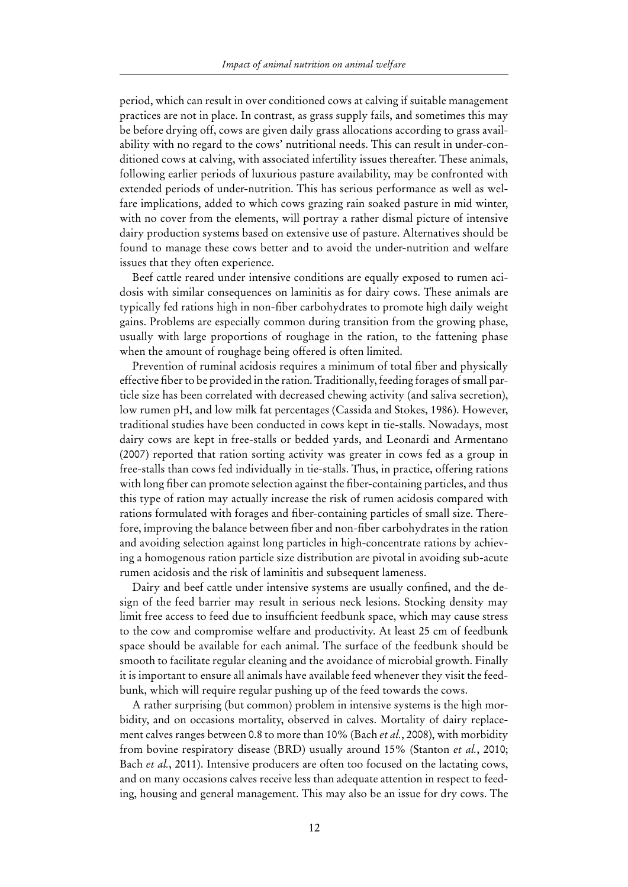period, which can result in over conditioned cows at calving if suitable management practices are not in place. In contrast, as grass supply fails, and sometimes this may be before drying off, cows are given daily grass allocations according to grass availability with no regard to the cows' nutritional needs. This can result in under-conditioned cows at calving, with associated infertility issues thereafter. These animals, following earlier periods of luxurious pasture availability, may be confronted with extended periods of under-nutrition. This has serious performance as well as welfare implications, added to which cows grazing rain soaked pasture in mid winter, with no cover from the elements, will portray a rather dismal picture of intensive dairy production systems based on extensive use of pasture. Alternatives should be found to manage these cows better and to avoid the under-nutrition and welfare issues that they often experience.

Beef cattle reared under intensive conditions are equally exposed to rumen acidosis with similar consequences on laminitis as for dairy cows. These animals are typically fed rations high in non-fiber carbohydrates to promote high daily weight gains. Problems are especially common during transition from the growing phase, usually with large proportions of roughage in the ration, to the fattening phase when the amount of roughage being offered is often limited.

Prevention of ruminal acidosis requires a minimum of total fiber and physically effective fiber to be provided in the ration. Traditionally, feeding forages of small particle size has been correlated with decreased chewing activity (and saliva secretion), low rumen pH, and low milk fat percentages (Cassida and Stokes, 1986). However, traditional studies have been conducted in cows kept in tie-stalls. Nowadays, most dairy cows are kept in free-stalls or bedded yards, and Leonardi and Armentano (2007) reported that ration sorting activity was greater in cows fed as a group in free-stalls than cows fed individually in tie-stalls. Thus, in practice, offering rations with long fiber can promote selection against the fiber-containing particles, and thus this type of ration may actually increase the risk of rumen acidosis compared with rations formulated with forages and fiber-containing particles of small size. Therefore, improving the balance between fiber and non-fiber carbohydrates in the ration and avoiding selection against long particles in high-concentrate rations by achieving a homogenous ration particle size distribution are pivotal in avoiding sub-acute rumen acidosis and the risk of laminitis and subsequent lameness.

Dairy and beef cattle under intensive systems are usually confined, and the design of the feed barrier may result in serious neck lesions. Stocking density may limit free access to feed due to insufficient feedbunk space, which may cause stress to the cow and compromise welfare and productivity. At least 25 cm of feedbunk space should be available for each animal. The surface of the feedbunk should be smooth to facilitate regular cleaning and the avoidance of microbial growth. Finally it is important to ensure all animals have available feed whenever they visit the feedbunk, which will require regular pushing up of the feed towards the cows.

A rather surprising (but common) problem in intensive systems is the high morbidity, and on occasions mortality, observed in calves. Mortality of dairy replacement calves ranges between 0.8 to more than 10% (Bach *et al.*, 2008), with morbidity from bovine respiratory disease (BRD) usually around 15% (Stanton *et al.*, 2010; Bach *et al.*, 2011). Intensive producers are often too focused on the lactating cows, and on many occasions calves receive less than adequate attention in respect to feeding, housing and general management. This may also be an issue for dry cows. The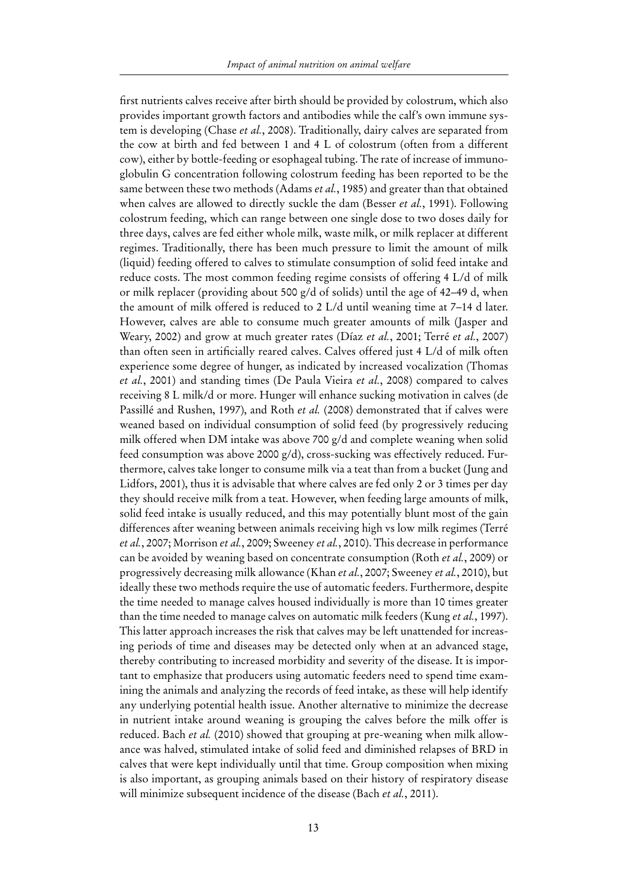first nutrients calves receive after birth should be provided by colostrum, which also provides important growth factors and antibodies while the calf's own immune system is developing (Chase *et al.*, 2008). Traditionally, dairy calves are separated from the cow at birth and fed between 1 and 4 L of colostrum (often from a different cow), either by bottle-feeding or esophageal tubing. The rate of increase of immunoglobulin G concentration following colostrum feeding has been reported to be the same between these two methods (Adams *et al.*, 1985) and greater than that obtained when calves are allowed to directly suckle the dam (Besser *et al.*, 1991). Following colostrum feeding, which can range between one single dose to two doses daily for three days, calves are fed either whole milk, waste milk, or milk replacer at different regimes. Traditionally, there has been much pressure to limit the amount of milk (liquid) feeding offered to calves to stimulate consumption of solid feed intake and reduce costs. The most common feeding regime consists of offering 4 L/d of milk or milk replacer (providing about 500 g/d of solids) until the age of 42–49 d, when the amount of milk offered is reduced to 2 L/d until weaning time at 7–14 d later. However, calves are able to consume much greater amounts of milk (Jasper and Weary, 2002) and grow at much greater rates (Díaz *et al.*, 2001; Terré *et al.*, 2007) than often seen in artificially reared calves. Calves offered just 4 L/d of milk often experience some degree of hunger, as indicated by increased vocalization (Thomas *et al.*, 2001) and standing times (De Paula Vieira *et al.*, 2008) compared to calves receiving 8 L milk/d or more. Hunger will enhance sucking motivation in calves (de Passillé and Rushen, 1997), and Roth *et al.* (2008) demonstrated that if calves were weaned based on individual consumption of solid feed (by progressively reducing milk offered when DM intake was above 700 g/d and complete weaning when solid feed consumption was above 2000 g/d), cross-sucking was effectively reduced. Furthermore, calves take longer to consume milk via a teat than from a bucket (Jung and Lidfors, 2001), thus it is advisable that where calves are fed only 2 or 3 times per day they should receive milk from a teat. However, when feeding large amounts of milk, solid feed intake is usually reduced, and this may potentially blunt most of the gain differences after weaning between animals receiving high vs low milk regimes (Terré *et al.*, 2007; Morrison *et al.*, 2009; Sweeney *et al.*, 2010). This decrease in performance can be avoided by weaning based on concentrate consumption (Roth *et al.*, 2009) or progressively decreasing milk allowance (Khan *et al.*, 2007; Sweeney *et al.*, 2010), but ideally these two methods require the use of automatic feeders. Furthermore, despite the time needed to manage calves housed individually is more than 10 times greater than the time needed to manage calves on automatic milk feeders (Kung *et al.*, 1997). This latter approach increases the risk that calves may be left unattended for increasing periods of time and diseases may be detected only when at an advanced stage, thereby contributing to increased morbidity and severity of the disease. It is important to emphasize that producers using automatic feeders need to spend time examining the animals and analyzing the records of feed intake, as these will help identify any underlying potential health issue. Another alternative to minimize the decrease in nutrient intake around weaning is grouping the calves before the milk offer is reduced. Bach *et al.* (2010) showed that grouping at pre-weaning when milk allowance was halved, stimulated intake of solid feed and diminished relapses of BRD in calves that were kept individually until that time. Group composition when mixing is also important, as grouping animals based on their history of respiratory disease will minimize subsequent incidence of the disease (Bach *et al.*, 2011).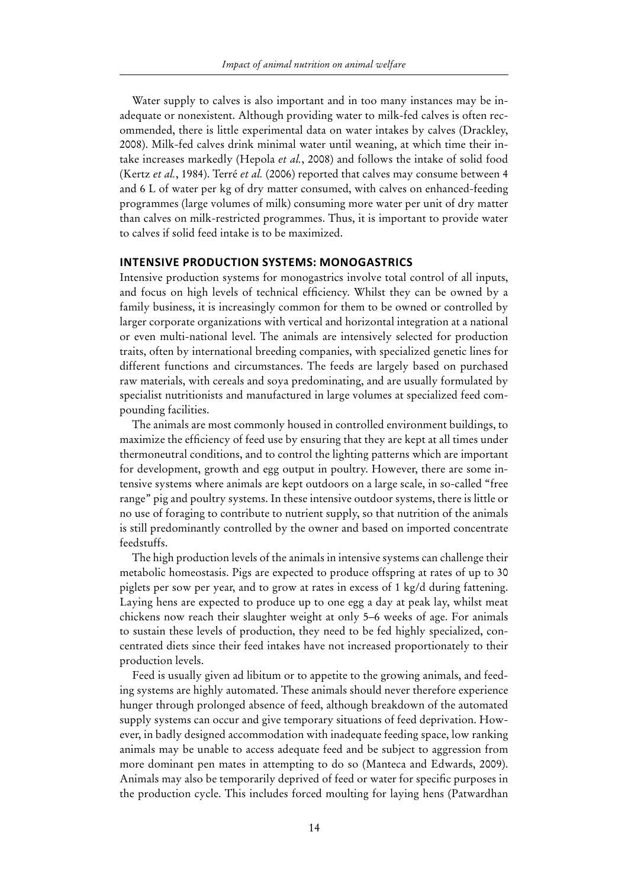Water supply to calves is also important and in too many instances may be inadequate or nonexistent. Although providing water to milk-fed calves is often recommended, there is little experimental data on water intakes by calves (Drackley, 2008). Milk-fed calves drink minimal water until weaning, at which time their intake increases markedly (Hepola *et al.*, 2008) and follows the intake of solid food (Kertz *et al.*, 1984). Terré *et al.* (2006) reported that calves may consume between 4 and 6 L of water per kg of dry matter consumed, with calves on enhanced-feeding programmes (large volumes of milk) consuming more water per unit of dry matter than calves on milk-restricted programmes. Thus, it is important to provide water to calves if solid feed intake is to be maximized.

#### **Intensive production systems: monogastrics**

Intensive production systems for monogastrics involve total control of all inputs, and focus on high levels of technical efficiency. Whilst they can be owned by a family business, it is increasingly common for them to be owned or controlled by larger corporate organizations with vertical and horizontal integration at a national or even multi-national level. The animals are intensively selected for production traits, often by international breeding companies, with specialized genetic lines for different functions and circumstances. The feeds are largely based on purchased raw materials, with cereals and soya predominating, and are usually formulated by specialist nutritionists and manufactured in large volumes at specialized feed compounding facilities.

The animals are most commonly housed in controlled environment buildings, to maximize the efficiency of feed use by ensuring that they are kept at all times under thermoneutral conditions, and to control the lighting patterns which are important for development, growth and egg output in poultry. However, there are some intensive systems where animals are kept outdoors on a large scale, in so-called "free range" pig and poultry systems. In these intensive outdoor systems, there is little or no use of foraging to contribute to nutrient supply, so that nutrition of the animals is still predominantly controlled by the owner and based on imported concentrate feedstuffs.

The high production levels of the animals in intensive systems can challenge their metabolic homeostasis. Pigs are expected to produce offspring at rates of up to 30 piglets per sow per year, and to grow at rates in excess of 1 kg/d during fattening. Laying hens are expected to produce up to one egg a day at peak lay, whilst meat chickens now reach their slaughter weight at only 5–6 weeks of age. For animals to sustain these levels of production, they need to be fed highly specialized, concentrated diets since their feed intakes have not increased proportionately to their production levels.

Feed is usually given ad libitum or to appetite to the growing animals, and feeding systems are highly automated. These animals should never therefore experience hunger through prolonged absence of feed, although breakdown of the automated supply systems can occur and give temporary situations of feed deprivation. However, in badly designed accommodation with inadequate feeding space, low ranking animals may be unable to access adequate feed and be subject to aggression from more dominant pen mates in attempting to do so (Manteca and Edwards, 2009). Animals may also be temporarily deprived of feed or water for specific purposes in the production cycle. This includes forced moulting for laying hens (Patwardhan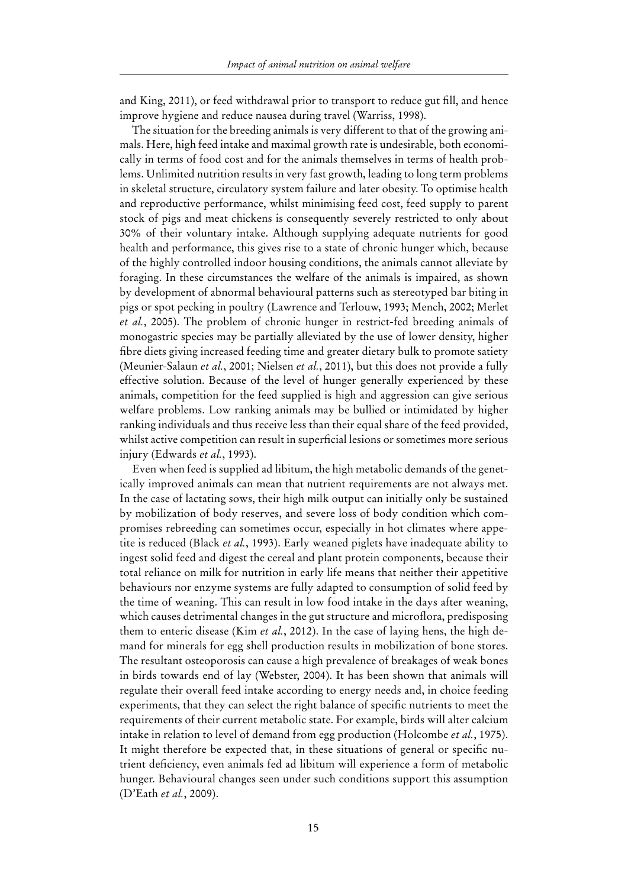and King, 2011), or feed withdrawal prior to transport to reduce gut fill, and hence improve hygiene and reduce nausea during travel (Warriss, 1998).

The situation for the breeding animals is very different to that of the growing animals. Here, high feed intake and maximal growth rate is undesirable, both economically in terms of food cost and for the animals themselves in terms of health problems. Unlimited nutrition results in very fast growth, leading to long term problems in skeletal structure, circulatory system failure and later obesity. To optimise health and reproductive performance, whilst minimising feed cost, feed supply to parent stock of pigs and meat chickens is consequently severely restricted to only about 30% of their voluntary intake. Although supplying adequate nutrients for good health and performance, this gives rise to a state of chronic hunger which, because of the highly controlled indoor housing conditions, the animals cannot alleviate by foraging. In these circumstances the welfare of the animals is impaired, as shown by development of abnormal behavioural patterns such as stereotyped bar biting in pigs or spot pecking in poultry (Lawrence and Terlouw, 1993; Mench, 2002; Merlet *et al.*, 2005). The problem of chronic hunger in restrict-fed breeding animals of monogastric species may be partially alleviated by the use of lower density, higher fibre diets giving increased feeding time and greater dietary bulk to promote satiety (Meunier-Salaun *et al.*, 2001; Nielsen *et al.*, 2011), but this does not provide a fully effective solution. Because of the level of hunger generally experienced by these animals, competition for the feed supplied is high and aggression can give serious welfare problems. Low ranking animals may be bullied or intimidated by higher ranking individuals and thus receive less than their equal share of the feed provided, whilst active competition can result in superficial lesions or sometimes more serious injury (Edwards *et al.*, 1993).

Even when feed is supplied ad libitum, the high metabolic demands of the genetically improved animals can mean that nutrient requirements are not always met. In the case of lactating sows, their high milk output can initially only be sustained by mobilization of body reserves, and severe loss of body condition which compromises rebreeding can sometimes occur, especially in hot climates where appetite is reduced (Black *et al.*, 1993). Early weaned piglets have inadequate ability to ingest solid feed and digest the cereal and plant protein components, because their total reliance on milk for nutrition in early life means that neither their appetitive behaviours nor enzyme systems are fully adapted to consumption of solid feed by the time of weaning. This can result in low food intake in the days after weaning, which causes detrimental changes in the gut structure and microflora, predisposing them to enteric disease (Kim *et al.*, 2012). In the case of laying hens, the high demand for minerals for egg shell production results in mobilization of bone stores. The resultant osteoporosis can cause a high prevalence of breakages of weak bones in birds towards end of lay (Webster, 2004). It has been shown that animals will regulate their overall feed intake according to energy needs and, in choice feeding experiments, that they can select the right balance of specific nutrients to meet the requirements of their current metabolic state. For example, birds will alter calcium intake in relation to level of demand from egg production (Holcombe *et al.*, 1975). It might therefore be expected that, in these situations of general or specific nutrient deficiency, even animals fed ad libitum will experience a form of metabolic hunger. Behavioural changes seen under such conditions support this assumption (D'Eath *et al.*, 2009).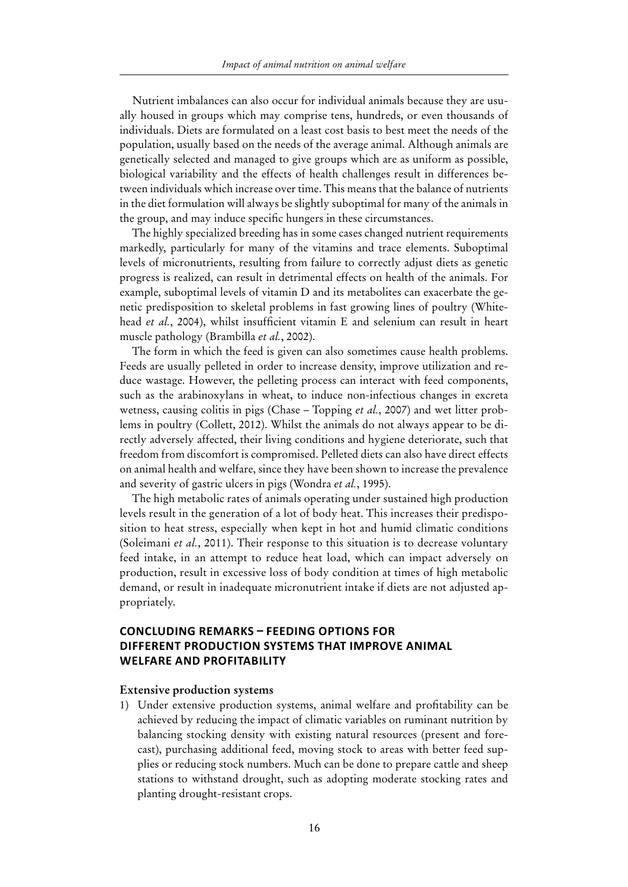Nutrient imbalances can also occur for individual animals because they are usually housed in groups which may comprise tens, hundreds, or even thousands of individuals. Diets are formulated on a least cost basis to best meet the needs of the population, usually based on the needs of the average animal. Although animals are genetically selected and managed to give groups which are as uniform as possible, biological variability and the effects of health challenges result in differences between individuals which increase over time. This means that the balance of nutrients in the diet formulation will always be slightly suboptimal for many of the animals in the group, and may induce specific hungers in these circumstances.

The highly specialized breeding has in some cases changed nutrient requirements markedly, particularly for many of the vitamins and trace elements. Suboptimal levels of micronutrients, resulting from failure to correctly adjust diets as genetic progress is realized, can result in detrimental effects on health of the animals. For example, suboptimal levels of vitamin D and its metabolites can exacerbate the genetic predisposition to skeletal problems in fast growing lines of poultry (Whitehead *et al.*, 2004), whilst insufficient vitamin E and selenium can result in heart muscle pathology (Brambilla *et al.*, 2002).

The form in which the feed is given can also sometimes cause health problems. Feeds are usually pelleted in order to increase density, improve utilization and reduce wastage. However, the pelleting process can interact with feed components, such as the arabinoxylans in wheat, to induce non-infectious changes in excreta wetness, causing colitis in pigs (Chase – Topping *et al.*, 2007) and wet litter problems in poultry (Collett, 2012). Whilst the animals do not always appear to be directly adversely affected, their living conditions and hygiene deteriorate, such that freedom from discomfort is compromised. Pelleted diets can also have direct effects on animal health and welfare, since they have been shown to increase the prevalence and severity of gastric ulcers in pigs (Wondra *et al.*, 1995).

The high metabolic rates of animals operating under sustained high production levels result in the generation of a lot of body heat. This increases their predisposition to heat stress, especially when kept in hot and humid climatic conditions (Soleimani *et al.*, 2011). Their response to this situation is to decrease voluntary feed intake, in an attempt to reduce heat load, which can impact adversely on production, result in excessive loss of body condition at times of high metabolic demand, or result in inadequate micronutrient intake if diets are not adjusted appropriately.

#### **Concluding remarks – Feeding options for different production systems that improve animal welfare and profitability**

#### **Extensive production systems**

1) Under extensive production systems, animal welfare and profitability can be achieved by reducing the impact of climatic variables on ruminant nutrition by balancing stocking density with existing natural resources (present and forecast), purchasing additional feed, moving stock to areas with better feed supplies or reducing stock numbers. Much can be done to prepare cattle and sheep stations to withstand drought, such as adopting moderate stocking rates and planting drought-resistant crops.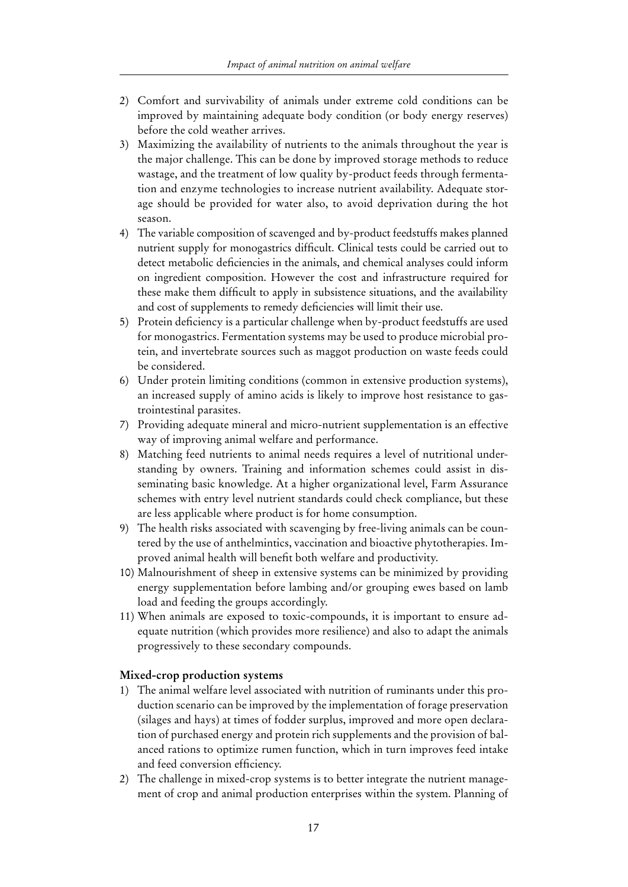- 2) Comfort and survivability of animals under extreme cold conditions can be improved by maintaining adequate body condition (or body energy reserves) before the cold weather arrives.
- 3) Maximizing the availability of nutrients to the animals throughout the year is the major challenge. This can be done by improved storage methods to reduce wastage, and the treatment of low quality by-product feeds through fermentation and enzyme technologies to increase nutrient availability. Adequate storage should be provided for water also, to avoid deprivation during the hot season.
- 4) The variable composition of scavenged and by-product feedstuffs makes planned nutrient supply for monogastrics difficult. Clinical tests could be carried out to detect metabolic deficiencies in the animals, and chemical analyses could inform on ingredient composition. However the cost and infrastructure required for these make them difficult to apply in subsistence situations, and the availability and cost of supplements to remedy deficiencies will limit their use.
- 5) Protein deficiency is a particular challenge when by-product feedstuffs are used for monogastrics. Fermentation systems may be used to produce microbial protein, and invertebrate sources such as maggot production on waste feeds could be considered.
- 6) Under protein limiting conditions (common in extensive production systems), an increased supply of amino acids is likely to improve host resistance to gastrointestinal parasites.
- 7) Providing adequate mineral and micro-nutrient supplementation is an effective way of improving animal welfare and performance.
- 8) Matching feed nutrients to animal needs requires a level of nutritional understanding by owners. Training and information schemes could assist in disseminating basic knowledge. At a higher organizational level, Farm Assurance schemes with entry level nutrient standards could check compliance, but these are less applicable where product is for home consumption.
- 9) The health risks associated with scavenging by free-living animals can be countered by the use of anthelmintics, vaccination and bioactive phytotherapies. Improved animal health will benefit both welfare and productivity.
- 10) Malnourishment of sheep in extensive systems can be minimized by providing energy supplementation before lambing and/or grouping ewes based on lamb load and feeding the groups accordingly.
- 11) When animals are exposed to toxic-compounds, it is important to ensure adequate nutrition (which provides more resilience) and also to adapt the animals progressively to these secondary compounds.

#### **Mixed-crop production systems**

- 1) The animal welfare level associated with nutrition of ruminants under this production scenario can be improved by the implementation of forage preservation (silages and hays) at times of fodder surplus, improved and more open declaration of purchased energy and protein rich supplements and the provision of balanced rations to optimize rumen function, which in turn improves feed intake and feed conversion efficiency.
- 2) The challenge in mixed-crop systems is to better integrate the nutrient management of crop and animal production enterprises within the system. Planning of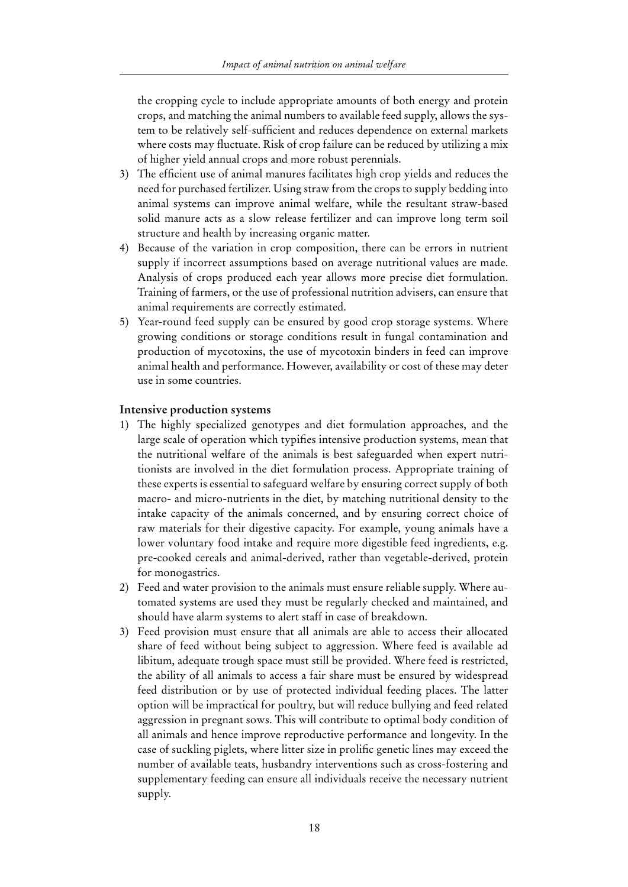the cropping cycle to include appropriate amounts of both energy and protein crops, and matching the animal numbers to available feed supply, allows the system to be relatively self-sufficient and reduces dependence on external markets where costs may fluctuate. Risk of crop failure can be reduced by utilizing a mix of higher yield annual crops and more robust perennials.

- 3) The efficient use of animal manures facilitates high crop yields and reduces the need for purchased fertilizer. Using straw from the crops to supply bedding into animal systems can improve animal welfare, while the resultant straw-based solid manure acts as a slow release fertilizer and can improve long term soil structure and health by increasing organic matter.
- 4) Because of the variation in crop composition, there can be errors in nutrient supply if incorrect assumptions based on average nutritional values are made. Analysis of crops produced each year allows more precise diet formulation. Training of farmers, or the use of professional nutrition advisers, can ensure that animal requirements are correctly estimated.
- 5) Year-round feed supply can be ensured by good crop storage systems. Where growing conditions or storage conditions result in fungal contamination and production of mycotoxins, the use of mycotoxin binders in feed can improve animal health and performance. However, availability or cost of these may deter use in some countries.

#### **Intensive production systems**

- 1) The highly specialized genotypes and diet formulation approaches, and the large scale of operation which typifies intensive production systems, mean that the nutritional welfare of the animals is best safeguarded when expert nutritionists are involved in the diet formulation process. Appropriate training of these experts is essential to safeguard welfare by ensuring correct supply of both macro- and micro-nutrients in the diet, by matching nutritional density to the intake capacity of the animals concerned, and by ensuring correct choice of raw materials for their digestive capacity. For example, young animals have a lower voluntary food intake and require more digestible feed ingredients, e.g. pre-cooked cereals and animal-derived, rather than vegetable-derived, protein for monogastrics.
- 2) Feed and water provision to the animals must ensure reliable supply. Where automated systems are used they must be regularly checked and maintained, and should have alarm systems to alert staff in case of breakdown.
- 3) Feed provision must ensure that all animals are able to access their allocated share of feed without being subject to aggression. Where feed is available ad libitum, adequate trough space must still be provided. Where feed is restricted, the ability of all animals to access a fair share must be ensured by widespread feed distribution or by use of protected individual feeding places. The latter option will be impractical for poultry, but will reduce bullying and feed related aggression in pregnant sows. This will contribute to optimal body condition of all animals and hence improve reproductive performance and longevity. In the case of suckling piglets, where litter size in prolific genetic lines may exceed the number of available teats, husbandry interventions such as cross-fostering and supplementary feeding can ensure all individuals receive the necessary nutrient supply.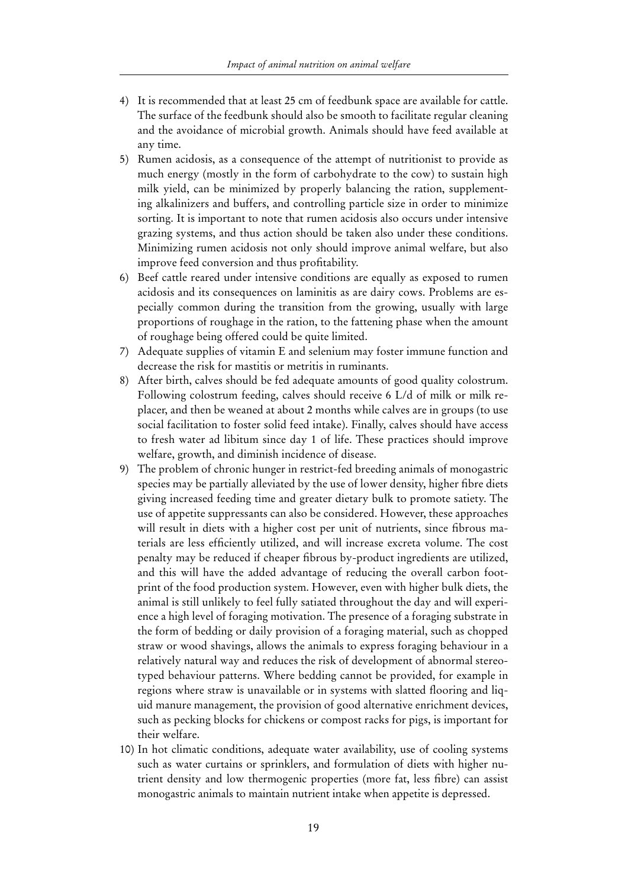- 4) It is recommended that at least 25 cm of feedbunk space are available for cattle. The surface of the feedbunk should also be smooth to facilitate regular cleaning and the avoidance of microbial growth. Animals should have feed available at any time.
- 5) Rumen acidosis, as a consequence of the attempt of nutritionist to provide as much energy (mostly in the form of carbohydrate to the cow) to sustain high milk yield, can be minimized by properly balancing the ration, supplementing alkalinizers and buffers, and controlling particle size in order to minimize sorting. It is important to note that rumen acidosis also occurs under intensive grazing systems, and thus action should be taken also under these conditions. Minimizing rumen acidosis not only should improve animal welfare, but also improve feed conversion and thus profitability.
- 6) Beef cattle reared under intensive conditions are equally as exposed to rumen acidosis and its consequences on laminitis as are dairy cows. Problems are especially common during the transition from the growing, usually with large proportions of roughage in the ration, to the fattening phase when the amount of roughage being offered could be quite limited.
- 7) Adequate supplies of vitamin E and selenium may foster immune function and decrease the risk for mastitis or metritis in ruminants.
- 8) After birth, calves should be fed adequate amounts of good quality colostrum. Following colostrum feeding, calves should receive 6 L/d of milk or milk replacer, and then be weaned at about 2 months while calves are in groups (to use social facilitation to foster solid feed intake). Finally, calves should have access to fresh water ad libitum since day 1 of life. These practices should improve welfare, growth, and diminish incidence of disease.
- 9) The problem of chronic hunger in restrict-fed breeding animals of monogastric species may be partially alleviated by the use of lower density, higher fibre diets giving increased feeding time and greater dietary bulk to promote satiety. The use of appetite suppressants can also be considered. However, these approaches will result in diets with a higher cost per unit of nutrients, since fibrous materials are less efficiently utilized, and will increase excreta volume. The cost penalty may be reduced if cheaper fibrous by-product ingredients are utilized, and this will have the added advantage of reducing the overall carbon footprint of the food production system. However, even with higher bulk diets, the animal is still unlikely to feel fully satiated throughout the day and will experience a high level of foraging motivation. The presence of a foraging substrate in the form of bedding or daily provision of a foraging material, such as chopped straw or wood shavings, allows the animals to express foraging behaviour in a relatively natural way and reduces the risk of development of abnormal stereotyped behaviour patterns. Where bedding cannot be provided, for example in regions where straw is unavailable or in systems with slatted flooring and liquid manure management, the provision of good alternative enrichment devices, such as pecking blocks for chickens or compost racks for pigs, is important for their welfare.
- 10) In hot climatic conditions, adequate water availability, use of cooling systems such as water curtains or sprinklers, and formulation of diets with higher nutrient density and low thermogenic properties (more fat, less fibre) can assist monogastric animals to maintain nutrient intake when appetite is depressed.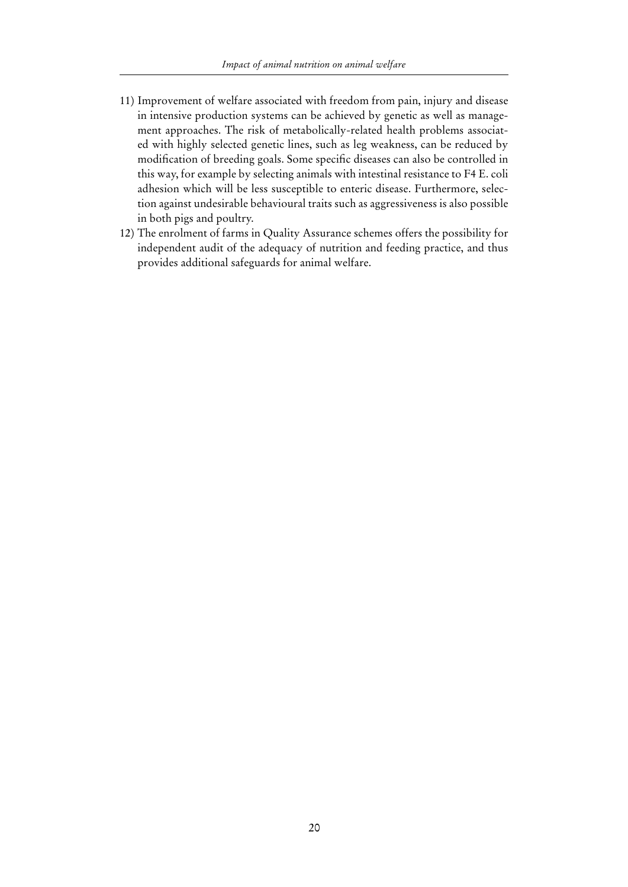- 11) Improvement of welfare associated with freedom from pain, injury and disease in intensive production systems can be achieved by genetic as well as management approaches. The risk of metabolically-related health problems associated with highly selected genetic lines, such as leg weakness, can be reduced by modification of breeding goals. Some specific diseases can also be controlled in this way, for example by selecting animals with intestinal resistance to F4 E. coli adhesion which will be less susceptible to enteric disease. Furthermore, selection against undesirable behavioural traits such as aggressiveness is also possible in both pigs and poultry.
- 12) The enrolment of farms in Quality Assurance schemes offers the possibility for independent audit of the adequacy of nutrition and feeding practice, and thus provides additional safeguards for animal welfare.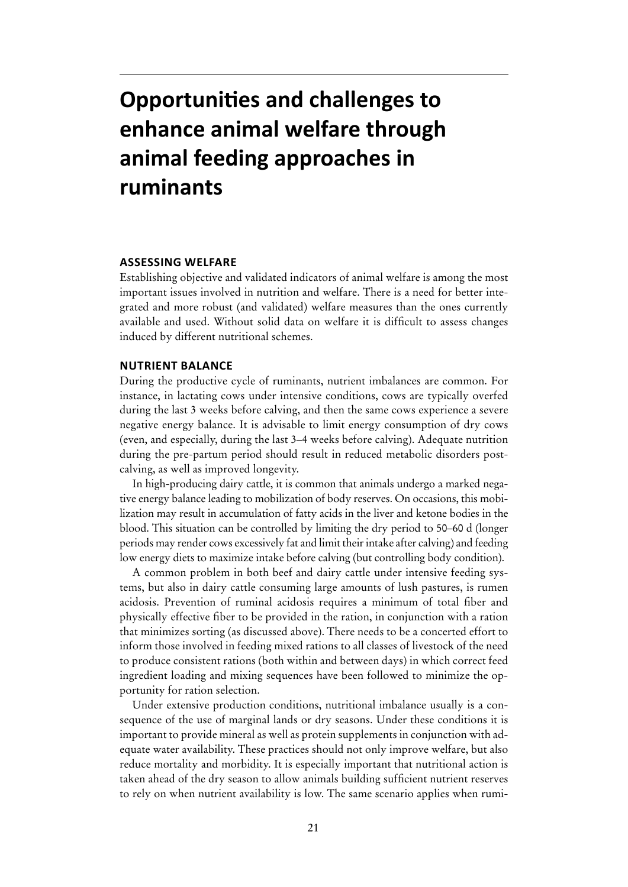# **Opportunities and challenges to enhance animal welfare through animal feeding approaches in ruminants**

#### **Assessing welfare**

Establishing objective and validated indicators of animal welfare is among the most important issues involved in nutrition and welfare. There is a need for better integrated and more robust (and validated) welfare measures than the ones currently available and used. Without solid data on welfare it is difficult to assess changes induced by different nutritional schemes.

#### **Nutrient balance**

During the productive cycle of ruminants, nutrient imbalances are common. For instance, in lactating cows under intensive conditions, cows are typically overfed during the last 3 weeks before calving, and then the same cows experience a severe negative energy balance. It is advisable to limit energy consumption of dry cows (even, and especially, during the last 3–4 weeks before calving). Adequate nutrition during the pre-partum period should result in reduced metabolic disorders postcalving, as well as improved longevity.

In high-producing dairy cattle, it is common that animals undergo a marked negative energy balance leading to mobilization of body reserves. On occasions, this mobilization may result in accumulation of fatty acids in the liver and ketone bodies in the blood. This situation can be controlled by limiting the dry period to 50–60 d (longer periods may render cows excessively fat and limit their intake after calving) and feeding low energy diets to maximize intake before calving (but controlling body condition).

A common problem in both beef and dairy cattle under intensive feeding systems, but also in dairy cattle consuming large amounts of lush pastures, is rumen acidosis. Prevention of ruminal acidosis requires a minimum of total fiber and physically effective fiber to be provided in the ration, in conjunction with a ration that minimizes sorting (as discussed above). There needs to be a concerted effort to inform those involved in feeding mixed rations to all classes of livestock of the need to produce consistent rations (both within and between days) in which correct feed ingredient loading and mixing sequences have been followed to minimize the opportunity for ration selection.

Under extensive production conditions, nutritional imbalance usually is a consequence of the use of marginal lands or dry seasons. Under these conditions it is important to provide mineral as well as protein supplements in conjunction with adequate water availability. These practices should not only improve welfare, but also reduce mortality and morbidity. It is especially important that nutritional action is taken ahead of the dry season to allow animals building sufficient nutrient reserves to rely on when nutrient availability is low. The same scenario applies when rumi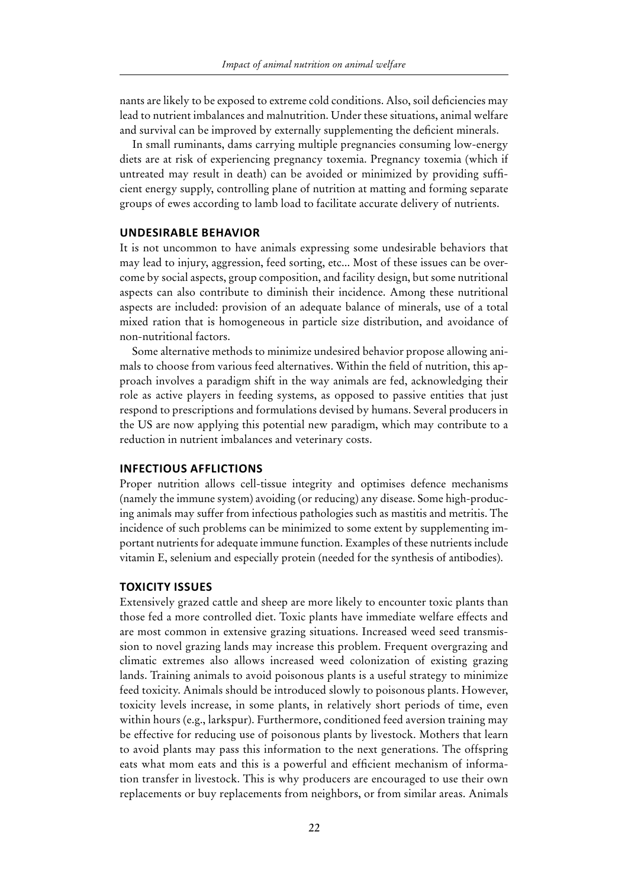nants are likely to be exposed to extreme cold conditions. Also, soil deficiencies may lead to nutrient imbalances and malnutrition. Under these situations, animal welfare and survival can be improved by externally supplementing the deficient minerals.

In small ruminants, dams carrying multiple pregnancies consuming low-energy diets are at risk of experiencing pregnancy toxemia. Pregnancy toxemia (which if untreated may result in death) can be avoided or minimized by providing sufficient energy supply, controlling plane of nutrition at matting and forming separate groups of ewes according to lamb load to facilitate accurate delivery of nutrients.

#### **Undesirable behavior**

It is not uncommon to have animals expressing some undesirable behaviors that may lead to injury, aggression, feed sorting, etc... Most of these issues can be overcome by social aspects, group composition, and facility design, but some nutritional aspects can also contribute to diminish their incidence. Among these nutritional aspects are included: provision of an adequate balance of minerals, use of a total mixed ration that is homogeneous in particle size distribution, and avoidance of non-nutritional factors.

Some alternative methods to minimize undesired behavior propose allowing animals to choose from various feed alternatives. Within the field of nutrition, this approach involves a paradigm shift in the way animals are fed, acknowledging their role as active players in feeding systems, as opposed to passive entities that just respond to prescriptions and formulations devised by humans. Several producers in the US are now applying this potential new paradigm, which may contribute to a reduction in nutrient imbalances and veterinary costs.

#### **Infectious afflictions**

Proper nutrition allows cell-tissue integrity and optimises defence mechanisms (namely the immune system) avoiding (or reducing) any disease. Some high-producing animals may suffer from infectious pathologies such as mastitis and metritis. The incidence of such problems can be minimized to some extent by supplementing important nutrients for adequate immune function. Examples of these nutrients include vitamin E, selenium and especially protein (needed for the synthesis of antibodies).

#### **Toxicity issues**

Extensively grazed cattle and sheep are more likely to encounter toxic plants than those fed a more controlled diet. Toxic plants have immediate welfare effects and are most common in extensive grazing situations. Increased weed seed transmission to novel grazing lands may increase this problem. Frequent overgrazing and climatic extremes also allows increased weed colonization of existing grazing lands. Training animals to avoid poisonous plants is a useful strategy to minimize feed toxicity. Animals should be introduced slowly to poisonous plants. However, toxicity levels increase, in some plants, in relatively short periods of time, even within hours (e.g., larkspur). Furthermore, conditioned feed aversion training may be effective for reducing use of poisonous plants by livestock. Mothers that learn to avoid plants may pass this information to the next generations. The offspring eats what mom eats and this is a powerful and efficient mechanism of information transfer in livestock. This is why producers are encouraged to use their own replacements or buy replacements from neighbors, or from similar areas. Animals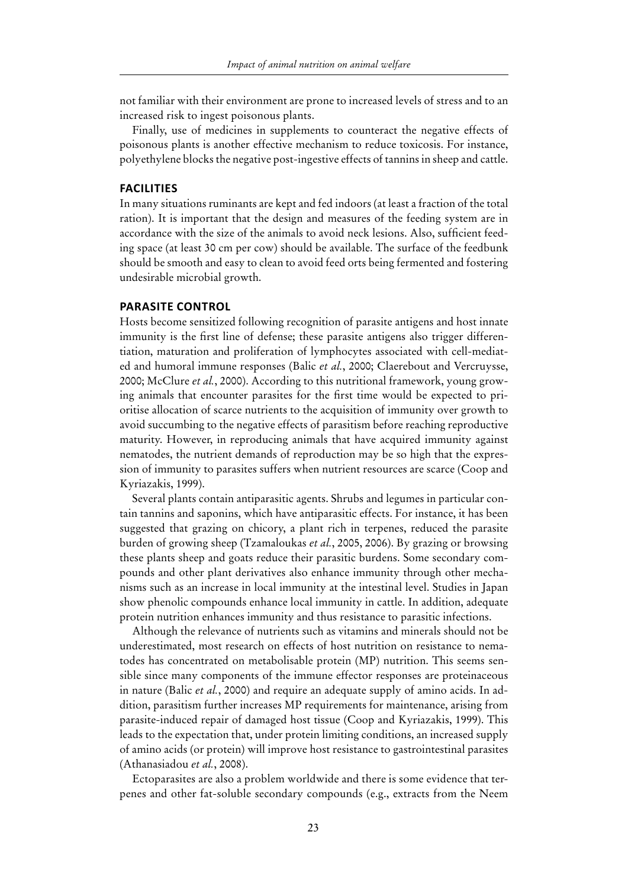not familiar with their environment are prone to increased levels of stress and to an increased risk to ingest poisonous plants.

Finally, use of medicines in supplements to counteract the negative effects of poisonous plants is another effective mechanism to reduce toxicosis. For instance, polyethylene blocks the negative post-ingestive effects of tannins in sheep and cattle.

#### **Facilities**

In many situations ruminants are kept and fed indoors (at least a fraction of the total ration). It is important that the design and measures of the feeding system are in accordance with the size of the animals to avoid neck lesions. Also, sufficient feeding space (at least 30 cm per cow) should be available. The surface of the feedbunk should be smooth and easy to clean to avoid feed orts being fermented and fostering undesirable microbial growth.

#### **Parasite control**

Hosts become sensitized following recognition of parasite antigens and host innate immunity is the first line of defense; these parasite antigens also trigger differentiation, maturation and proliferation of lymphocytes associated with cell-mediated and humoral immune responses (Balic *et al.*, 2000; Claerebout and Vercruysse, 2000; McClure *et al.*, 2000). According to this nutritional framework, young growing animals that encounter parasites for the first time would be expected to prioritise allocation of scarce nutrients to the acquisition of immunity over growth to avoid succumbing to the negative effects of parasitism before reaching reproductive maturity. However, in reproducing animals that have acquired immunity against nematodes, the nutrient demands of reproduction may be so high that the expression of immunity to parasites suffers when nutrient resources are scarce (Coop and Kyriazakis, 1999).

Several plants contain antiparasitic agents. Shrubs and legumes in particular contain tannins and saponins, which have antiparasitic effects. For instance, it has been suggested that grazing on chicory, a plant rich in terpenes, reduced the parasite burden of growing sheep (Tzamaloukas *et al.*, 2005, 2006). By grazing or browsing these plants sheep and goats reduce their parasitic burdens. Some secondary compounds and other plant derivatives also enhance immunity through other mechanisms such as an increase in local immunity at the intestinal level. Studies in Japan show phenolic compounds enhance local immunity in cattle. In addition, adequate protein nutrition enhances immunity and thus resistance to parasitic infections.

Although the relevance of nutrients such as vitamins and minerals should not be underestimated, most research on effects of host nutrition on resistance to nematodes has concentrated on metabolisable protein (MP) nutrition. This seems sensible since many components of the immune effector responses are proteinaceous in nature (Balic *et al.*, 2000) and require an adequate supply of amino acids. In addition, parasitism further increases MP requirements for maintenance, arising from parasite-induced repair of damaged host tissue (Coop and Kyriazakis, 1999). This leads to the expectation that, under protein limiting conditions, an increased supply of amino acids (or protein) will improve host resistance to gastrointestinal parasites (Athanasiadou *et al.*, 2008).

Ectoparasites are also a problem worldwide and there is some evidence that terpenes and other fat-soluble secondary compounds (e.g., extracts from the Neem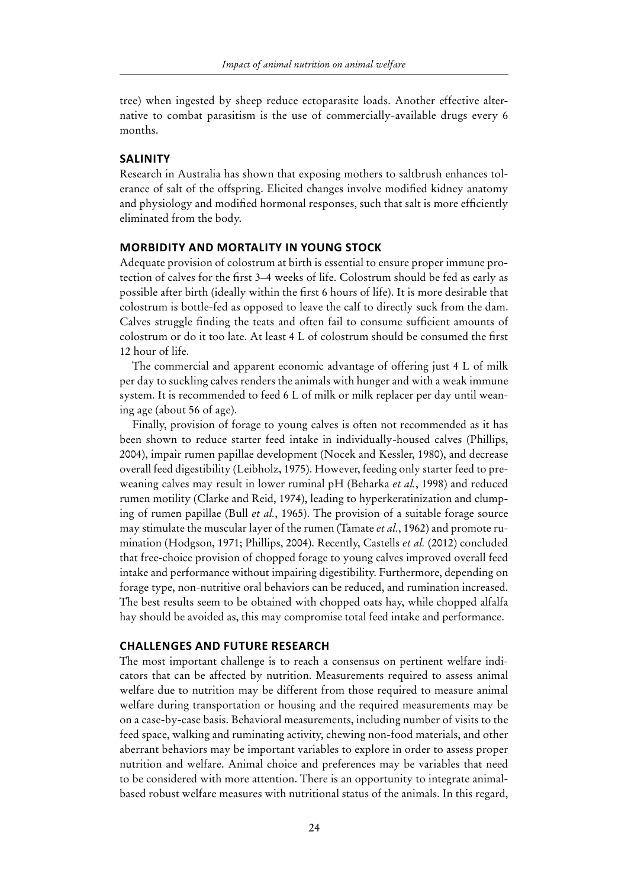tree) when ingested by sheep reduce ectoparasite loads. Another effective alternative to combat parasitism is the use of commercially-available drugs every 6 months.

#### **Salinity**

Research in Australia has shown that exposing mothers to saltbrush enhances tolerance of salt of the offspring. Elicited changes involve modified kidney anatomy and physiology and modified hormonal responses, such that salt is more efficiently eliminated from the body.

#### **Morbidity and mortality in young stock**

Adequate provision of colostrum at birth is essential to ensure proper immune protection of calves for the first 3–4 weeks of life. Colostrum should be fed as early as possible after birth (ideally within the first 6 hours of life). It is more desirable that colostrum is bottle-fed as opposed to leave the calf to directly suck from the dam. Calves struggle finding the teats and often fail to consume sufficient amounts of colostrum or do it too late. At least 4 L of colostrum should be consumed the first 12 hour of life.

The commercial and apparent economic advantage of offering just 4 L of milk per day to suckling calves renders the animals with hunger and with a weak immune system. It is recommended to feed 6 L of milk or milk replacer per day until weaning age (about 56 of age).

Finally, provision of forage to young calves is often not recommended as it has been shown to reduce starter feed intake in individually-housed calves (Phillips, 2004), impair rumen papillae development (Nocek and Kessler, 1980), and decrease overall feed digestibility (Leibholz, 1975). However, feeding only starter feed to preweaning calves may result in lower ruminal pH (Beharka *et al.*, 1998) and reduced rumen motility (Clarke and Reid, 1974), leading to hyperkeratinization and clumping of rumen papillae (Bull *et al.*, 1965). The provision of a suitable forage source may stimulate the muscular layer of the rumen (Tamate *et al.*, 1962) and promote rumination (Hodgson, 1971; Phillips, 2004). Recently, Castells *et al.* (2012) concluded that free-choice provision of chopped forage to young calves improved overall feed intake and performance without impairing digestibility. Furthermore, depending on forage type, non-nutritive oral behaviors can be reduced, and rumination increased. The best results seem to be obtained with chopped oats hay, while chopped alfalfa hay should be avoided as, this may compromise total feed intake and performance.

#### **Challenges and future research**

The most important challenge is to reach a consensus on pertinent welfare indicators that can be affected by nutrition. Measurements required to assess animal welfare due to nutrition may be different from those required to measure animal welfare during transportation or housing and the required measurements may be on a case-by-case basis. Behavioral measurements, including number of visits to the feed space, walking and ruminating activity, chewing non-food materials, and other aberrant behaviors may be important variables to explore in order to assess proper nutrition and welfare. Animal choice and preferences may be variables that need to be considered with more attention. There is an opportunity to integrate animalbased robust welfare measures with nutritional status of the animals. In this regard,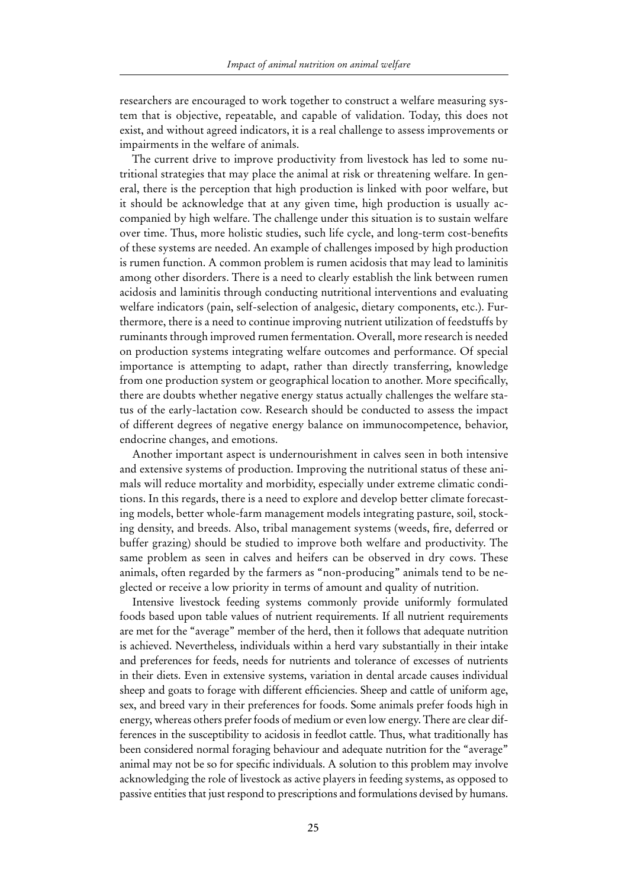researchers are encouraged to work together to construct a welfare measuring system that is objective, repeatable, and capable of validation. Today, this does not exist, and without agreed indicators, it is a real challenge to assess improvements or impairments in the welfare of animals.

The current drive to improve productivity from livestock has led to some nutritional strategies that may place the animal at risk or threatening welfare. In general, there is the perception that high production is linked with poor welfare, but it should be acknowledge that at any given time, high production is usually accompanied by high welfare. The challenge under this situation is to sustain welfare over time. Thus, more holistic studies, such life cycle, and long-term cost-benefits of these systems are needed. An example of challenges imposed by high production is rumen function. A common problem is rumen acidosis that may lead to laminitis among other disorders. There is a need to clearly establish the link between rumen acidosis and laminitis through conducting nutritional interventions and evaluating welfare indicators (pain, self-selection of analgesic, dietary components, etc.). Furthermore, there is a need to continue improving nutrient utilization of feedstuffs by ruminants through improved rumen fermentation. Overall, more research is needed on production systems integrating welfare outcomes and performance. Of special importance is attempting to adapt, rather than directly transferring, knowledge from one production system or geographical location to another. More specifically, there are doubts whether negative energy status actually challenges the welfare status of the early-lactation cow. Research should be conducted to assess the impact of different degrees of negative energy balance on immunocompetence, behavior, endocrine changes, and emotions.

Another important aspect is undernourishment in calves seen in both intensive and extensive systems of production. Improving the nutritional status of these animals will reduce mortality and morbidity, especially under extreme climatic conditions. In this regards, there is a need to explore and develop better climate forecasting models, better whole-farm management models integrating pasture, soil, stocking density, and breeds. Also, tribal management systems (weeds, fire, deferred or buffer grazing) should be studied to improve both welfare and productivity. The same problem as seen in calves and heifers can be observed in dry cows. These animals, often regarded by the farmers as "non-producing" animals tend to be neglected or receive a low priority in terms of amount and quality of nutrition.

Intensive livestock feeding systems commonly provide uniformly formulated foods based upon table values of nutrient requirements. If all nutrient requirements are met for the "average" member of the herd, then it follows that adequate nutrition is achieved. Nevertheless, individuals within a herd vary substantially in their intake and preferences for feeds, needs for nutrients and tolerance of excesses of nutrients in their diets. Even in extensive systems, variation in dental arcade causes individual sheep and goats to forage with different efficiencies. Sheep and cattle of uniform age, sex, and breed vary in their preferences for foods. Some animals prefer foods high in energy, whereas others prefer foods of medium or even low energy. There are clear differences in the susceptibility to acidosis in feedlot cattle. Thus, what traditionally has been considered normal foraging behaviour and adequate nutrition for the "average" animal may not be so for specific individuals. A solution to this problem may involve acknowledging the role of livestock as active players in feeding systems, as opposed to passive entities that just respond to prescriptions and formulations devised by humans.

25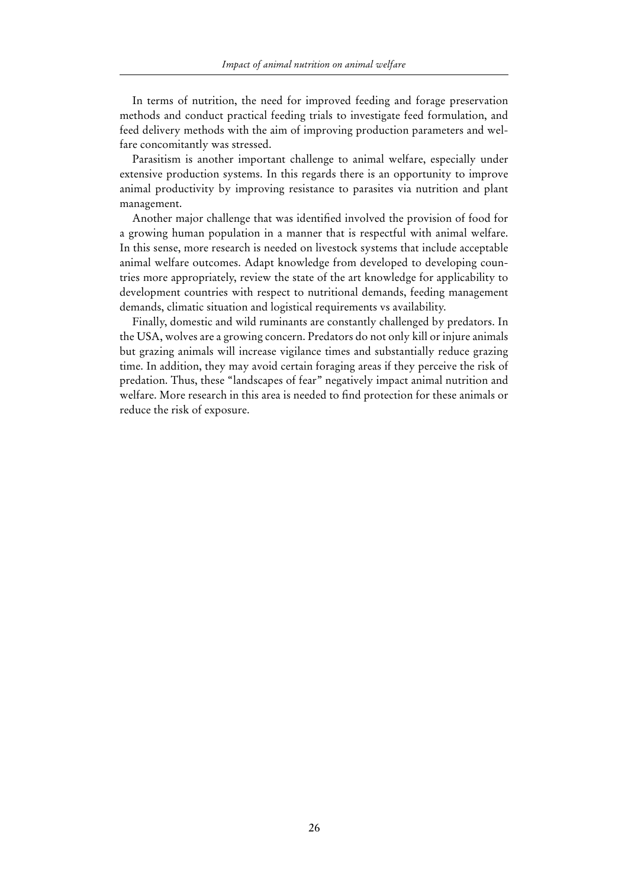In terms of nutrition, the need for improved feeding and forage preservation methods and conduct practical feeding trials to investigate feed formulation, and feed delivery methods with the aim of improving production parameters and welfare concomitantly was stressed.

Parasitism is another important challenge to animal welfare, especially under extensive production systems. In this regards there is an opportunity to improve animal productivity by improving resistance to parasites via nutrition and plant management.

Another major challenge that was identified involved the provision of food for a growing human population in a manner that is respectful with animal welfare. In this sense, more research is needed on livestock systems that include acceptable animal welfare outcomes. Adapt knowledge from developed to developing countries more appropriately, review the state of the art knowledge for applicability to development countries with respect to nutritional demands, feeding management demands, climatic situation and logistical requirements vs availability.

Finally, domestic and wild ruminants are constantly challenged by predators. In the USA, wolves are a growing concern. Predators do not only kill or injure animals but grazing animals will increase vigilance times and substantially reduce grazing time. In addition, they may avoid certain foraging areas if they perceive the risk of predation. Thus, these "landscapes of fear" negatively impact animal nutrition and welfare. More research in this area is needed to find protection for these animals or reduce the risk of exposure.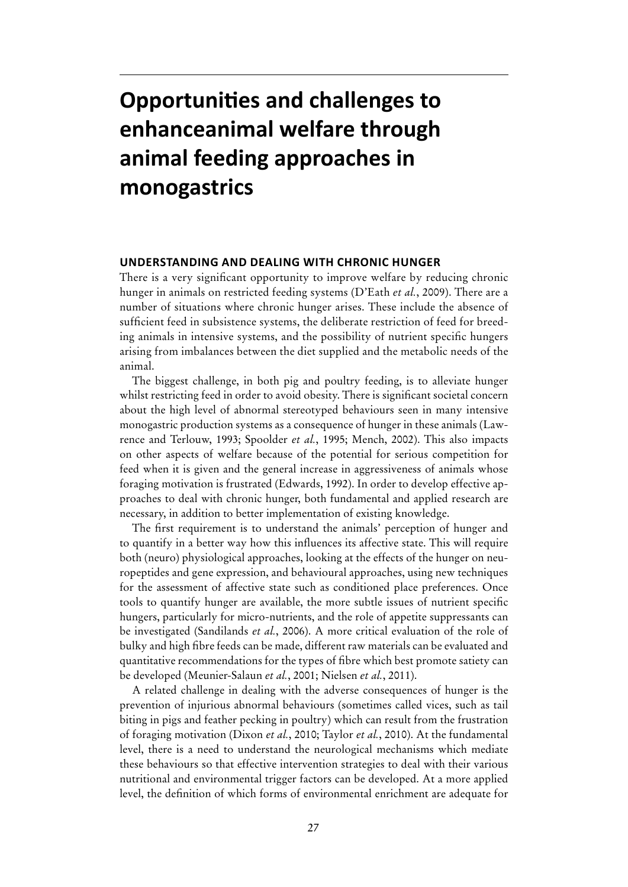# **Opportunities and challenges to enhanceanimal welfare through animal feeding approaches in monogastrics**

#### **Understanding and dealing with chronic hunger**

There is a very significant opportunity to improve welfare by reducing chronic hunger in animals on restricted feeding systems (D'Eath *et al.*, 2009). There are a number of situations where chronic hunger arises. These include the absence of sufficient feed in subsistence systems, the deliberate restriction of feed for breeding animals in intensive systems, and the possibility of nutrient specific hungers arising from imbalances between the diet supplied and the metabolic needs of the animal.

The biggest challenge, in both pig and poultry feeding, is to alleviate hunger whilst restricting feed in order to avoid obesity. There is significant societal concern about the high level of abnormal stereotyped behaviours seen in many intensive monogastric production systems as a consequence of hunger in these animals (Lawrence and Terlouw, 1993; Spoolder *et al.*, 1995; Mench, 2002). This also impacts on other aspects of welfare because of the potential for serious competition for feed when it is given and the general increase in aggressiveness of animals whose foraging motivation is frustrated (Edwards, 1992). In order to develop effective approaches to deal with chronic hunger, both fundamental and applied research are necessary, in addition to better implementation of existing knowledge.

The first requirement is to understand the animals' perception of hunger and to quantify in a better way how this influences its affective state. This will require both (neuro) physiological approaches, looking at the effects of the hunger on neuropeptides and gene expression, and behavioural approaches, using new techniques for the assessment of affective state such as conditioned place preferences. Once tools to quantify hunger are available, the more subtle issues of nutrient specific hungers, particularly for micro-nutrients, and the role of appetite suppressants can be investigated (Sandilands *et al.*, 2006). A more critical evaluation of the role of bulky and high fibre feeds can be made, different raw materials can be evaluated and quantitative recommendations for the types of fibre which best promote satiety can be developed (Meunier-Salaun *et al.*, 2001; Nielsen *et al.*, 2011).

A related challenge in dealing with the adverse consequences of hunger is the prevention of injurious abnormal behaviours (sometimes called vices, such as tail biting in pigs and feather pecking in poultry) which can result from the frustration of foraging motivation (Dixon *et al.*, 2010; Taylor *et al.*, 2010). At the fundamental level, there is a need to understand the neurological mechanisms which mediate these behaviours so that effective intervention strategies to deal with their various nutritional and environmental trigger factors can be developed. At a more applied level, the definition of which forms of environmental enrichment are adequate for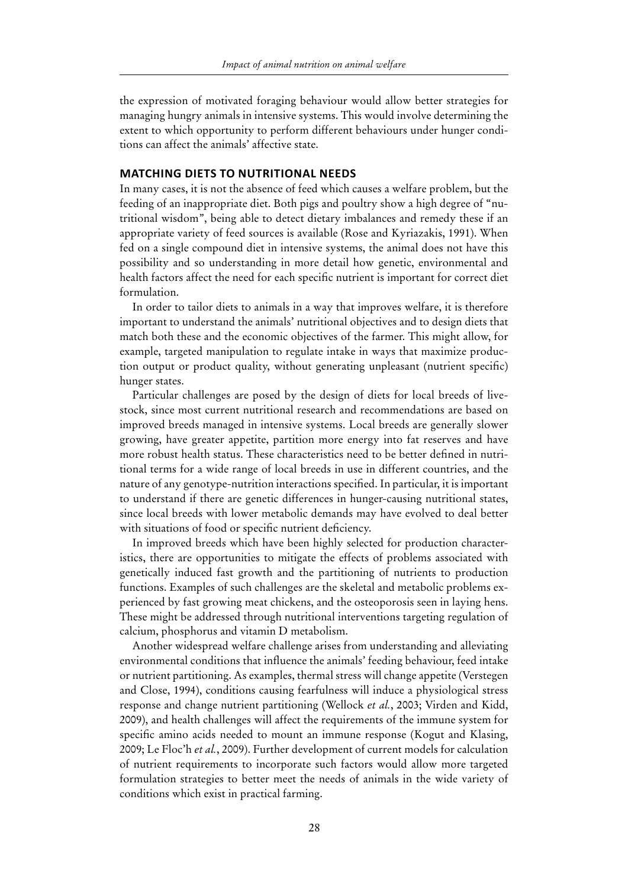the expression of motivated foraging behaviour would allow better strategies for managing hungry animals in intensive systems. This would involve determining the extent to which opportunity to perform different behaviours under hunger conditions can affect the animals' affective state.

#### **Matching diets to nutritional needs**

In many cases, it is not the absence of feed which causes a welfare problem, but the feeding of an inappropriate diet. Both pigs and poultry show a high degree of "nutritional wisdom", being able to detect dietary imbalances and remedy these if an appropriate variety of feed sources is available (Rose and Kyriazakis, 1991). When fed on a single compound diet in intensive systems, the animal does not have this possibility and so understanding in more detail how genetic, environmental and health factors affect the need for each specific nutrient is important for correct diet formulation.

In order to tailor diets to animals in a way that improves welfare, it is therefore important to understand the animals' nutritional objectives and to design diets that match both these and the economic objectives of the farmer. This might allow, for example, targeted manipulation to regulate intake in ways that maximize production output or product quality, without generating unpleasant (nutrient specific) hunger states.

Particular challenges are posed by the design of diets for local breeds of livestock, since most current nutritional research and recommendations are based on improved breeds managed in intensive systems. Local breeds are generally slower growing, have greater appetite, partition more energy into fat reserves and have more robust health status. These characteristics need to be better defined in nutritional terms for a wide range of local breeds in use in different countries, and the nature of any genotype-nutrition interactions specified. In particular, it is important to understand if there are genetic differences in hunger-causing nutritional states, since local breeds with lower metabolic demands may have evolved to deal better with situations of food or specific nutrient deficiency.

In improved breeds which have been highly selected for production characteristics, there are opportunities to mitigate the effects of problems associated with genetically induced fast growth and the partitioning of nutrients to production functions. Examples of such challenges are the skeletal and metabolic problems experienced by fast growing meat chickens, and the osteoporosis seen in laying hens. These might be addressed through nutritional interventions targeting regulation of calcium, phosphorus and vitamin D metabolism.

Another widespread welfare challenge arises from understanding and alleviating environmental conditions that influence the animals' feeding behaviour, feed intake or nutrient partitioning. As examples, thermal stress will change appetite (Verstegen and Close, 1994), conditions causing fearfulness will induce a physiological stress response and change nutrient partitioning (Wellock *et al.*, 2003; Virden and Kidd, 2009), and health challenges will affect the requirements of the immune system for specific amino acids needed to mount an immune response (Kogut and Klasing, 2009; Le Floc'h *et al.*, 2009). Further development of current models for calculation of nutrient requirements to incorporate such factors would allow more targeted formulation strategies to better meet the needs of animals in the wide variety of conditions which exist in practical farming.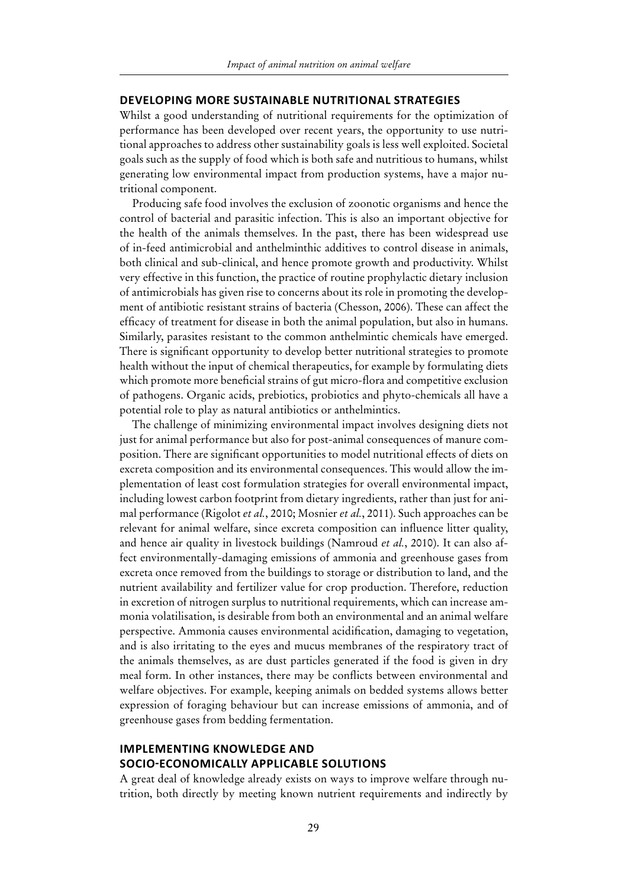#### **Developing more sustainable nutritional strategies**

Whilst a good understanding of nutritional requirements for the optimization of performance has been developed over recent years, the opportunity to use nutritional approaches to address other sustainability goals is less well exploited. Societal goals such as the supply of food which is both safe and nutritious to humans, whilst generating low environmental impact from production systems, have a major nutritional component.

Producing safe food involves the exclusion of zoonotic organisms and hence the control of bacterial and parasitic infection. This is also an important objective for the health of the animals themselves. In the past, there has been widespread use of in-feed antimicrobial and anthelminthic additives to control disease in animals, both clinical and sub-clinical, and hence promote growth and productivity. Whilst very effective in this function, the practice of routine prophylactic dietary inclusion of antimicrobials has given rise to concerns about its role in promoting the development of antibiotic resistant strains of bacteria (Chesson, 2006). These can affect the efficacy of treatment for disease in both the animal population, but also in humans. Similarly, parasites resistant to the common anthelmintic chemicals have emerged. There is significant opportunity to develop better nutritional strategies to promote health without the input of chemical therapeutics, for example by formulating diets which promote more beneficial strains of gut micro-flora and competitive exclusion of pathogens. Organic acids, prebiotics, probiotics and phyto-chemicals all have a potential role to play as natural antibiotics or anthelmintics.

The challenge of minimizing environmental impact involves designing diets not just for animal performance but also for post-animal consequences of manure composition. There are significant opportunities to model nutritional effects of diets on excreta composition and its environmental consequences. This would allow the implementation of least cost formulation strategies for overall environmental impact, including lowest carbon footprint from dietary ingredients, rather than just for animal performance (Rigolot *et al.*, 2010; Mosnier *et al.*, 2011). Such approaches can be relevant for animal welfare, since excreta composition can influence litter quality, and hence air quality in livestock buildings (Namroud *et al.*, 2010). It can also affect environmentally-damaging emissions of ammonia and greenhouse gases from excreta once removed from the buildings to storage or distribution to land, and the nutrient availability and fertilizer value for crop production. Therefore, reduction in excretion of nitrogen surplus to nutritional requirements, which can increase ammonia volatilisation, is desirable from both an environmental and an animal welfare perspective. Ammonia causes environmental acidification, damaging to vegetation, and is also irritating to the eyes and mucus membranes of the respiratory tract of the animals themselves, as are dust particles generated if the food is given in dry meal form. In other instances, there may be conflicts between environmental and welfare objectives. For example, keeping animals on bedded systems allows better expression of foraging behaviour but can increase emissions of ammonia, and of greenhouse gases from bedding fermentation.

#### **Implementing knowledge and socio-economically applicable solutions**

A great deal of knowledge already exists on ways to improve welfare through nutrition, both directly by meeting known nutrient requirements and indirectly by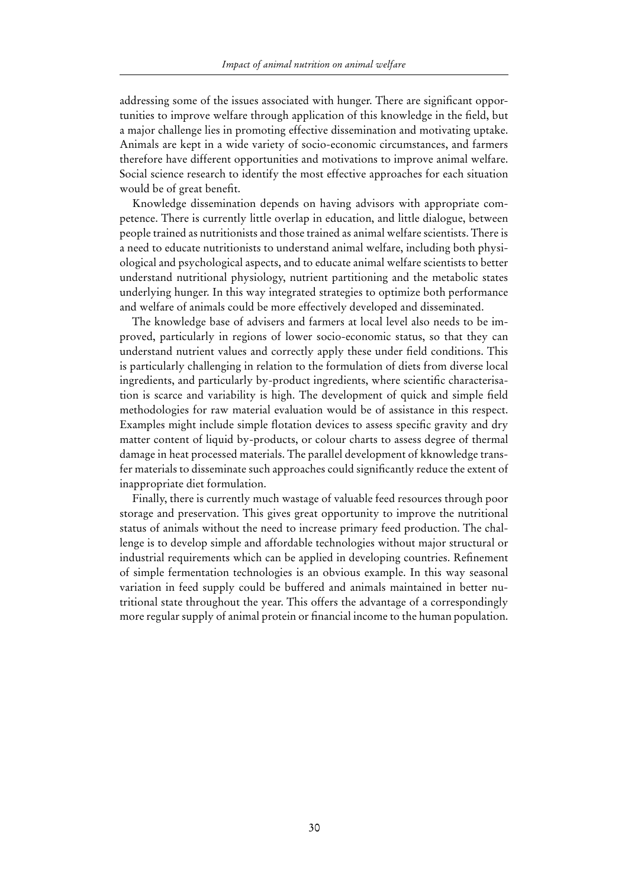addressing some of the issues associated with hunger. There are significant opportunities to improve welfare through application of this knowledge in the field, but a major challenge lies in promoting effective dissemination and motivating uptake. Animals are kept in a wide variety of socio-economic circumstances, and farmers therefore have different opportunities and motivations to improve animal welfare. Social science research to identify the most effective approaches for each situation would be of great benefit.

Knowledge dissemination depends on having advisors with appropriate competence. There is currently little overlap in education, and little dialogue, between people trained as nutritionists and those trained as animal welfare scientists. There is a need to educate nutritionists to understand animal welfare, including both physiological and psychological aspects, and to educate animal welfare scientists to better understand nutritional physiology, nutrient partitioning and the metabolic states underlying hunger. In this way integrated strategies to optimize both performance and welfare of animals could be more effectively developed and disseminated.

The knowledge base of advisers and farmers at local level also needs to be improved, particularly in regions of lower socio-economic status, so that they can understand nutrient values and correctly apply these under field conditions. This is particularly challenging in relation to the formulation of diets from diverse local ingredients, and particularly by-product ingredients, where scientific characterisation is scarce and variability is high. The development of quick and simple field methodologies for raw material evaluation would be of assistance in this respect. Examples might include simple flotation devices to assess specific gravity and dry matter content of liquid by-products, or colour charts to assess degree of thermal damage in heat processed materials. The parallel development of kknowledge transfer materials to disseminate such approaches could significantly reduce the extent of inappropriate diet formulation.

Finally, there is currently much wastage of valuable feed resources through poor storage and preservation. This gives great opportunity to improve the nutritional status of animals without the need to increase primary feed production. The challenge is to develop simple and affordable technologies without major structural or industrial requirements which can be applied in developing countries. Refinement of simple fermentation technologies is an obvious example. In this way seasonal variation in feed supply could be buffered and animals maintained in better nutritional state throughout the year. This offers the advantage of a correspondingly more regular supply of animal protein or financial income to the human population.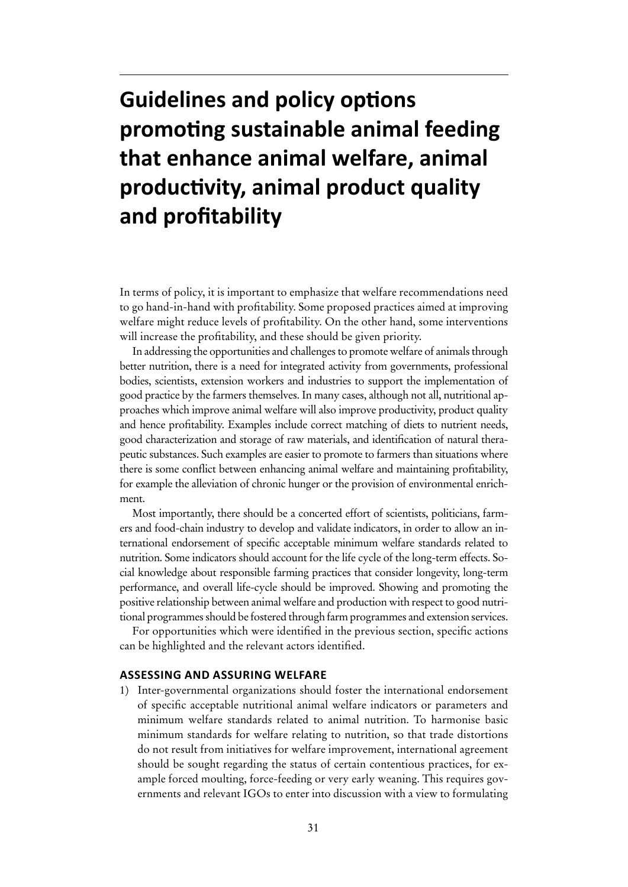# **Guidelines and policy options promoting sustainable animal feeding that enhance animal welfare, animal productivity, animal product quality and profitability**

In terms of policy, it is important to emphasize that welfare recommendations need to go hand-in-hand with profitability. Some proposed practices aimed at improving welfare might reduce levels of profitability. On the other hand, some interventions will increase the profitability, and these should be given priority.

In addressing the opportunities and challenges to promote welfare of animals through better nutrition, there is a need for integrated activity from governments, professional bodies, scientists, extension workers and industries to support the implementation of good practice by the farmers themselves. In many cases, although not all, nutritional approaches which improve animal welfare will also improve productivity, product quality and hence profitability. Examples include correct matching of diets to nutrient needs, good characterization and storage of raw materials, and identification of natural therapeutic substances. Such examples are easier to promote to farmers than situations where there is some conflict between enhancing animal welfare and maintaining profitability, for example the alleviation of chronic hunger or the provision of environmental enrichment.

Most importantly, there should be a concerted effort of scientists, politicians, farmers and food-chain industry to develop and validate indicators, in order to allow an international endorsement of specific acceptable minimum welfare standards related to nutrition. Some indicators should account for the life cycle of the long-term effects. Social knowledge about responsible farming practices that consider longevity, long-term performance, and overall life-cycle should be improved. Showing and promoting the positive relationship between animal welfare and production with respect to good nutritional programmes should be fostered through farm programmes and extension services.

For opportunities which were identified in the previous section, specific actions can be highlighted and the relevant actors identified.

#### **Assessing and assuring welfare**

1) Inter-governmental organizations should foster the international endorsement of specific acceptable nutritional animal welfare indicators or parameters and minimum welfare standards related to animal nutrition. To harmonise basic minimum standards for welfare relating to nutrition, so that trade distortions do not result from initiatives for welfare improvement, international agreement should be sought regarding the status of certain contentious practices, for example forced moulting, force-feeding or very early weaning. This requires governments and relevant IGOs to enter into discussion with a view to formulating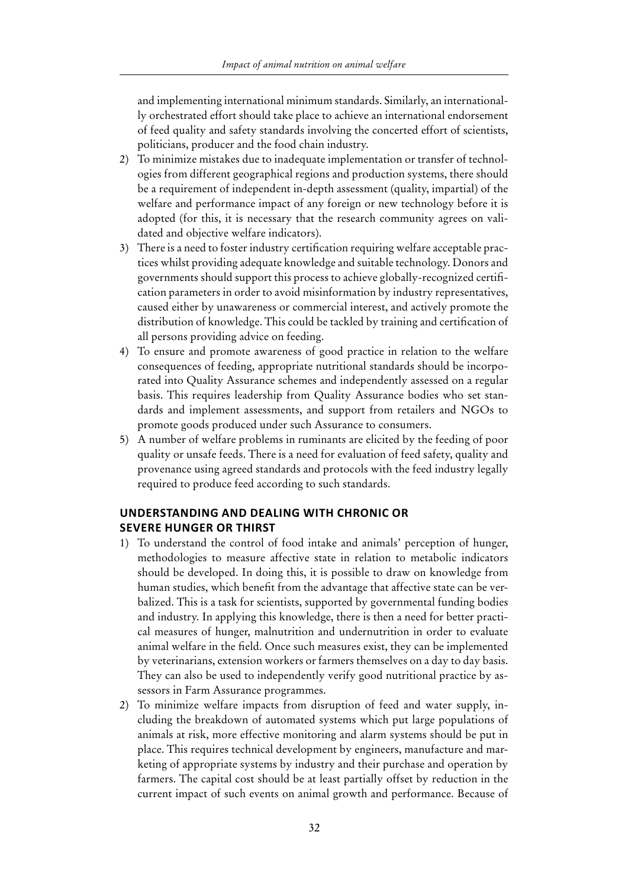and implementing international minimum standards. Similarly, an internationally orchestrated effort should take place to achieve an international endorsement of feed quality and safety standards involving the concerted effort of scientists, politicians, producer and the food chain industry.

- 2) To minimize mistakes due to inadequate implementation or transfer of technologies from different geographical regions and production systems, there should be a requirement of independent in-depth assessment (quality, impartial) of the welfare and performance impact of any foreign or new technology before it is adopted (for this, it is necessary that the research community agrees on validated and objective welfare indicators).
- 3) There is a need to foster industry certification requiring welfare acceptable practices whilst providing adequate knowledge and suitable technology. Donors and governments should support this process to achieve globally-recognized certification parameters in order to avoid misinformation by industry representatives, caused either by unawareness or commercial interest, and actively promote the distribution of knowledge. This could be tackled by training and certification of all persons providing advice on feeding.
- 4) To ensure and promote awareness of good practice in relation to the welfare consequences of feeding, appropriate nutritional standards should be incorporated into Quality Assurance schemes and independently assessed on a regular basis. This requires leadership from Quality Assurance bodies who set standards and implement assessments, and support from retailers and NGOs to promote goods produced under such Assurance to consumers.
- 5) A number of welfare problems in ruminants are elicited by the feeding of poor quality or unsafe feeds. There is a need for evaluation of feed safety, quality and provenance using agreed standards and protocols with the feed industry legally required to produce feed according to such standards.

#### **Understanding and dealing with chronic or severe hunger or thirst**

- 1) To understand the control of food intake and animals' perception of hunger, methodologies to measure affective state in relation to metabolic indicators should be developed. In doing this, it is possible to draw on knowledge from human studies, which benefit from the advantage that affective state can be verbalized. This is a task for scientists, supported by governmental funding bodies and industry. In applying this knowledge, there is then a need for better practical measures of hunger, malnutrition and undernutrition in order to evaluate animal welfare in the field. Once such measures exist, they can be implemented by veterinarians, extension workers or farmers themselves on a day to day basis. They can also be used to independently verify good nutritional practice by assessors in Farm Assurance programmes.
- 2) To minimize welfare impacts from disruption of feed and water supply, including the breakdown of automated systems which put large populations of animals at risk, more effective monitoring and alarm systems should be put in place. This requires technical development by engineers, manufacture and marketing of appropriate systems by industry and their purchase and operation by farmers. The capital cost should be at least partially offset by reduction in the current impact of such events on animal growth and performance. Because of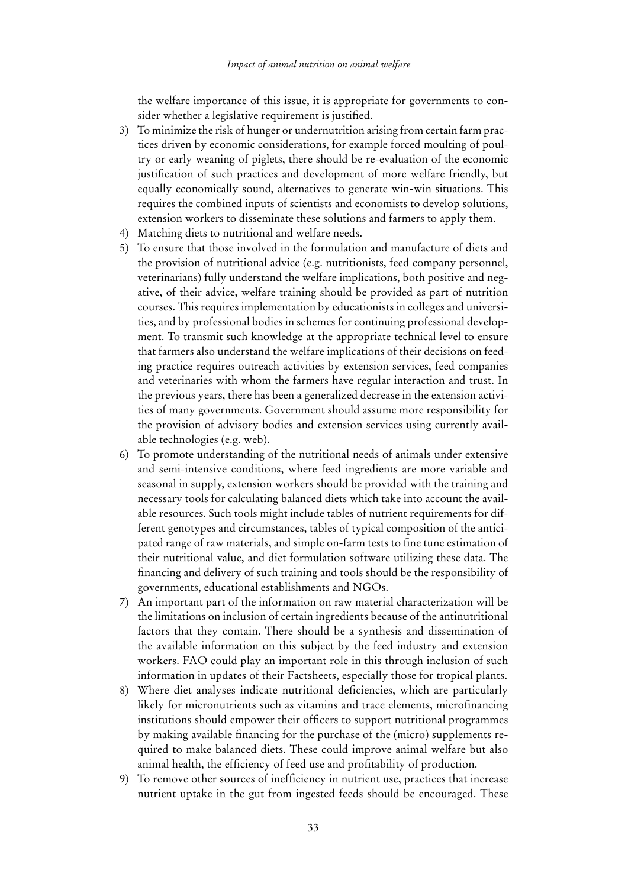the welfare importance of this issue, it is appropriate for governments to consider whether a legislative requirement is justified.

- 3) To minimize the risk of hunger or undernutrition arising from certain farm practices driven by economic considerations, for example forced moulting of poultry or early weaning of piglets, there should be re-evaluation of the economic justification of such practices and development of more welfare friendly, but equally economically sound, alternatives to generate win-win situations. This requires the combined inputs of scientists and economists to develop solutions, extension workers to disseminate these solutions and farmers to apply them.
- 4) Matching diets to nutritional and welfare needs.
- 5) To ensure that those involved in the formulation and manufacture of diets and the provision of nutritional advice (e.g. nutritionists, feed company personnel, veterinarians) fully understand the welfare implications, both positive and negative, of their advice, welfare training should be provided as part of nutrition courses. This requires implementation by educationists in colleges and universities, and by professional bodies in schemes for continuing professional development. To transmit such knowledge at the appropriate technical level to ensure that farmers also understand the welfare implications of their decisions on feeding practice requires outreach activities by extension services, feed companies and veterinaries with whom the farmers have regular interaction and trust. In the previous years, there has been a generalized decrease in the extension activities of many governments. Government should assume more responsibility for the provision of advisory bodies and extension services using currently available technologies (e.g. web).
- 6) To promote understanding of the nutritional needs of animals under extensive and semi-intensive conditions, where feed ingredients are more variable and seasonal in supply, extension workers should be provided with the training and necessary tools for calculating balanced diets which take into account the available resources. Such tools might include tables of nutrient requirements for different genotypes and circumstances, tables of typical composition of the anticipated range of raw materials, and simple on-farm tests to fine tune estimation of their nutritional value, and diet formulation software utilizing these data. The financing and delivery of such training and tools should be the responsibility of governments, educational establishments and NGOs.
- 7) An important part of the information on raw material characterization will be the limitations on inclusion of certain ingredients because of the antinutritional factors that they contain. There should be a synthesis and dissemination of the available information on this subject by the feed industry and extension workers. FAO could play an important role in this through inclusion of such information in updates of their Factsheets, especially those for tropical plants.
- 8) Where diet analyses indicate nutritional deficiencies, which are particularly likely for micronutrients such as vitamins and trace elements, microfinancing institutions should empower their officers to support nutritional programmes by making available financing for the purchase of the (micro) supplements required to make balanced diets. These could improve animal welfare but also animal health, the efficiency of feed use and profitability of production.
- 9) To remove other sources of inefficiency in nutrient use, practices that increase nutrient uptake in the gut from ingested feeds should be encouraged. These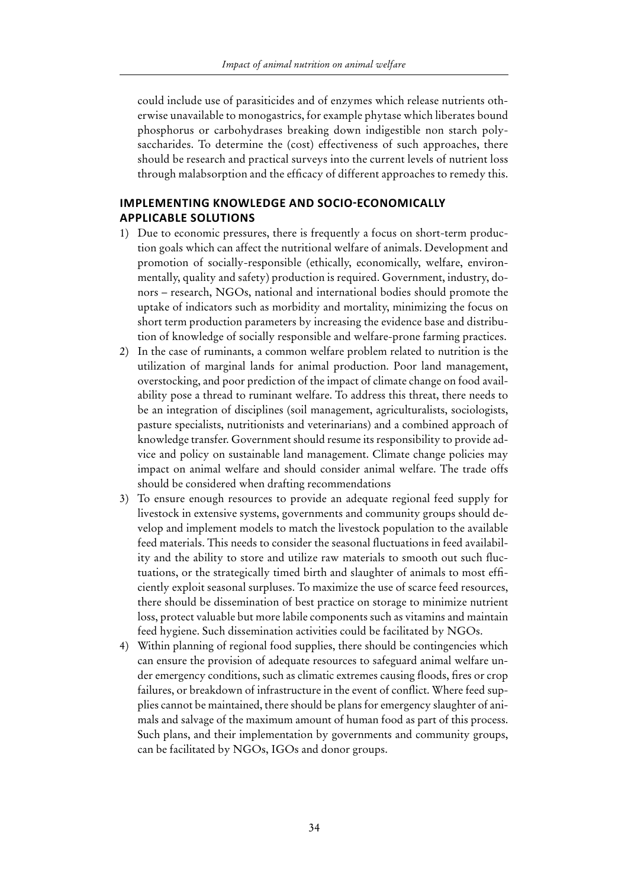could include use of parasiticides and of enzymes which release nutrients otherwise unavailable to monogastrics, for example phytase which liberates bound phosphorus or carbohydrases breaking down indigestible non starch polysaccharides. To determine the (cost) effectiveness of such approaches, there should be research and practical surveys into the current levels of nutrient loss through malabsorption and the efficacy of different approaches to remedy this.

#### **Implementing knowledge and socio-economically applicable solutions**

- 1) Due to economic pressures, there is frequently a focus on short-term production goals which can affect the nutritional welfare of animals. Development and promotion of socially-responsible (ethically, economically, welfare, environmentally, quality and safety) production is required. Government, industry, donors – research, NGOs, national and international bodies should promote the uptake of indicators such as morbidity and mortality, minimizing the focus on short term production parameters by increasing the evidence base and distribution of knowledge of socially responsible and welfare-prone farming practices.
- 2) In the case of ruminants, a common welfare problem related to nutrition is the utilization of marginal lands for animal production. Poor land management, overstocking, and poor prediction of the impact of climate change on food availability pose a thread to ruminant welfare. To address this threat, there needs to be an integration of disciplines (soil management, agriculturalists, sociologists, pasture specialists, nutritionists and veterinarians) and a combined approach of knowledge transfer. Government should resume its responsibility to provide advice and policy on sustainable land management. Climate change policies may impact on animal welfare and should consider animal welfare. The trade offs should be considered when drafting recommendations
- 3) To ensure enough resources to provide an adequate regional feed supply for livestock in extensive systems, governments and community groups should develop and implement models to match the livestock population to the available feed materials. This needs to consider the seasonal fluctuations in feed availability and the ability to store and utilize raw materials to smooth out such fluctuations, or the strategically timed birth and slaughter of animals to most efficiently exploit seasonal surpluses. To maximize the use of scarce feed resources, there should be dissemination of best practice on storage to minimize nutrient loss, protect valuable but more labile components such as vitamins and maintain feed hygiene. Such dissemination activities could be facilitated by NGOs.
- 4) Within planning of regional food supplies, there should be contingencies which can ensure the provision of adequate resources to safeguard animal welfare under emergency conditions, such as climatic extremes causing floods, fires or crop failures, or breakdown of infrastructure in the event of conflict. Where feed supplies cannot be maintained, there should be plans for emergency slaughter of animals and salvage of the maximum amount of human food as part of this process. Such plans, and their implementation by governments and community groups, can be facilitated by NGOs, IGOs and donor groups.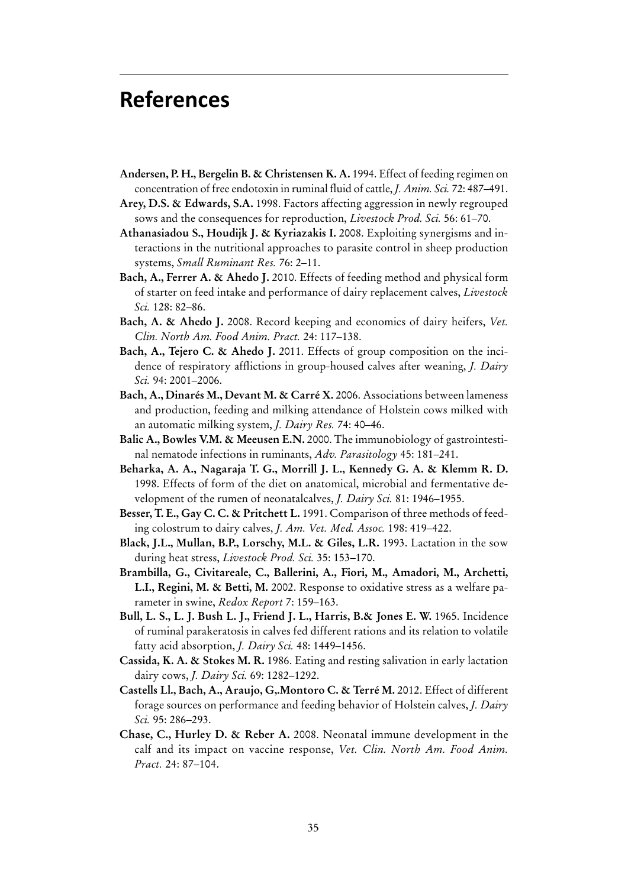### **References**

- **Andersen, P. H., Bergelin B. & Christensen K. A.** 1994. Effect of feeding regimen on concentration of free endotoxin in ruminal fluid of cattle, *J. Anim. Sci.* 72: 487–491.
- **Arey, D.S. & Edwards, S.A.** 1998. Factors affecting aggression in newly regrouped sows and the consequences for reproduction, *Livestock Prod. Sci.* 56: 61–70.
- **Athanasiadou S., Houdijk J. & Kyriazakis I.** 2008. Exploiting synergisms and interactions in the nutritional approaches to parasite control in sheep production systems, *Small Ruminant Res.* 76: 2–11.
- **Bach, A., Ferrer A. & Ahedo J.** 2010. Effects of feeding method and physical form of starter on feed intake and performance of dairy replacement calves, *Livestock Sci.* 128: 82–86.
- **Bach, A. & Ahedo J.** 2008. Record keeping and economics of dairy heifers, *Vet. Clin. North Am. Food Anim. Pract.* 24: 117–138.
- **Bach, A., Tejero C. & Ahedo J.** 2011. Effects of group composition on the incidence of respiratory afflictions in group-housed calves after weaning, *J. Dairy Sci.* 94: 2001–2006.
- **Bach, A., Dinarés M., Devant M. & Carré X.** 2006. Associations between lameness and production, feeding and milking attendance of Holstein cows milked with an automatic milking system, *J. Dairy Res.* 74: 40–46.
- **Balic A., Bowles V.M. & Meeusen E.N.** 2000. The immunobiology of gastrointestinal nematode infections in ruminants, *Adv. Parasitology* 45: 181–241.
- **Beharka, A. A., Nagaraja T. G., Morrill J. L., Kennedy G. A. & Klemm R. D.** 1998. Effects of form of the diet on anatomical, microbial and fermentative development of the rumen of neonatalcalves, *J. Dairy Sci.* 81: 1946–1955.
- **Besser, T. E., Gay C. C. & Pritchett L.** 1991. Comparison of three methods of feeding colostrum to dairy calves, *J. Am. Vet. Med. Assoc.* 198: 419–422.
- **Black, J.L., Mullan, B.P., Lorschy, M.L. & Giles, L.R.** 1993. Lactation in the sow during heat stress, *Livestock Prod. Sci.* 35: 153–170.
- **Brambilla, G., Civitareale, C., Ballerini, A., Fiori, M., Amadori, M., Archetti, L.I., Regini, M. & Betti, M.** 2002. Response to oxidative stress as a welfare parameter in swine, *Redox Report* 7: 159–163.
- **Bull, L. S., L. J. Bush L. J., Friend J. L., Harris, B.& Jones E. W.** 1965. Incidence of ruminal parakeratosis in calves fed different rations and its relation to volatile fatty acid absorption, *J. Dairy Sci.* 48: 1449–1456.
- **Cassida, K. A. & Stokes M. R.** 1986. Eating and resting salivation in early lactation dairy cows, *J. Dairy Sci.* 69: 1282–1292.
- **Castells Ll., Bach, A., Araujo, G,.Montoro C. & Terré M.** 2012. Effect of different forage sources on performance and feeding behavior of Holstein calves, *J. Dairy Sci.* 95: 286–293.
- **Chase, C., Hurley D. & Reber A.** 2008. Neonatal immune development in the calf and its impact on vaccine response, *Vet. Clin. North Am. Food Anim. Pract.* 24: 87–104.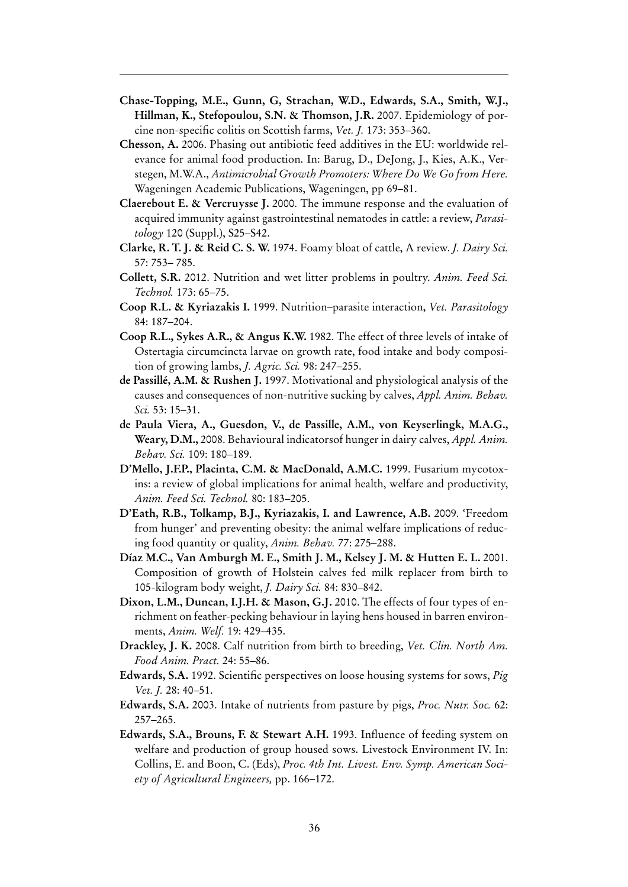- **Chase-Topping, M.E., Gunn, G, Strachan, W.D., Edwards, S.A., Smith, W.J., Hillman, K., Stefopoulou, S.N. & Thomson, J.R.** 2007. Epidemiology of porcine non-specific colitis on Scottish farms, *Vet. J.* 173: 353–360.
- **Chesson, A.** 2006. Phasing out antibiotic feed additives in the EU: worldwide relevance for animal food production. In: Barug, D., DeJong, J., Kies, A.K., Verstegen, M.W.A., *Antimicrobial Growth Promoters: Where Do We Go from Here.* Wageningen Academic Publications, Wageningen, pp 69–81.
- **Claerebout E. & Vercruysse J.** 2000. The immune response and the evaluation of acquired immunity against gastrointestinal nematodes in cattle: a review, *Parasitology* 120 (Suppl.), S25–S42.
- **Clarke, R. T. J. & Reid C. S. W.** 1974. Foamy bloat of cattle, A review. *J. Dairy Sci.*  57: 753– 785.
- **Collett, S.R.** 2012. Nutrition and wet litter problems in poultry. *Anim. Feed Sci. Technol.* 173: 65–75.
- **Coop R.L. & Kyriazakis I.** 1999. Nutrition–parasite interaction, *Vet. Parasitology*  84: 187–204.
- **Coop R.L., Sykes A.R., & Angus K.W.** 1982. The effect of three levels of intake of Ostertagia circumcincta larvae on growth rate, food intake and body composition of growing lambs, *J. Agric. Sci.* 98: 247–255.
- **de Passillé, A.M. & Rushen J.** 1997. Motivational and physiological analysis of the causes and consequences of non-nutritive sucking by calves, *Appl. Anim. Behav. Sci.* 53: 15–31.
- **de Paula Viera, A., Guesdon, V., de Passille, A.M., von Keyserlingk, M.A.G., Weary, D.M.,** 2008. Behavioural indicatorsof hunger in dairy calves, *Appl. Anim. Behav. Sci.* 109: 180–189.
- **D'Mello, J.F.P., Placinta, C.M. & MacDonald, A.M.C.** 1999. Fusarium mycotoxins: a review of global implications for animal health, welfare and productivity, *Anim. Feed Sci. Technol.* 80: 183–205.
- **D'Eath, R.B., Tolkamp, B.J., Kyriazakis, I. and Lawrence, A.B.** 2009. 'Freedom from hunger' and preventing obesity: the animal welfare implications of reducing food quantity or quality, *Anim. Behav.* 77: 275–288.
- **Díaz M.C., Van Amburgh M. E., Smith J. M., Kelsey J. M. & Hutten E. L.** 2001. Composition of growth of Holstein calves fed milk replacer from birth to 105-kilogram body weight, *J. Dairy Sci.* 84: 830–842.
- **Dixon, L.M., Duncan, I.J.H. & Mason, G.J.** 2010. The effects of four types of enrichment on feather-pecking behaviour in laying hens housed in barren environments, *Anim. Welf.* 19: 429–435.
- **Drackley, J. K.** 2008. Calf nutrition from birth to breeding, *Vet. Clin. North Am. Food Anim. Pract.* 24: 55–86.
- **Edwards, S.A.** 1992. Scientific perspectives on loose housing systems for sows, *Pig Vet. J.* 28: 40–51.
- **Edwards, S.A.** 2003. Intake of nutrients from pasture by pigs, *Proc. Nutr. Soc.* 62: 257–265.
- **Edwards, S.A., Brouns, F. & Stewart A.H.** 1993. Influence of feeding system on welfare and production of group housed sows. Livestock Environment IV. In: Collins, E. and Boon, C. (Eds), *Proc. 4th Int. Livest. Env. Symp. American Society of Agricultural Engineers,* pp. 166–172.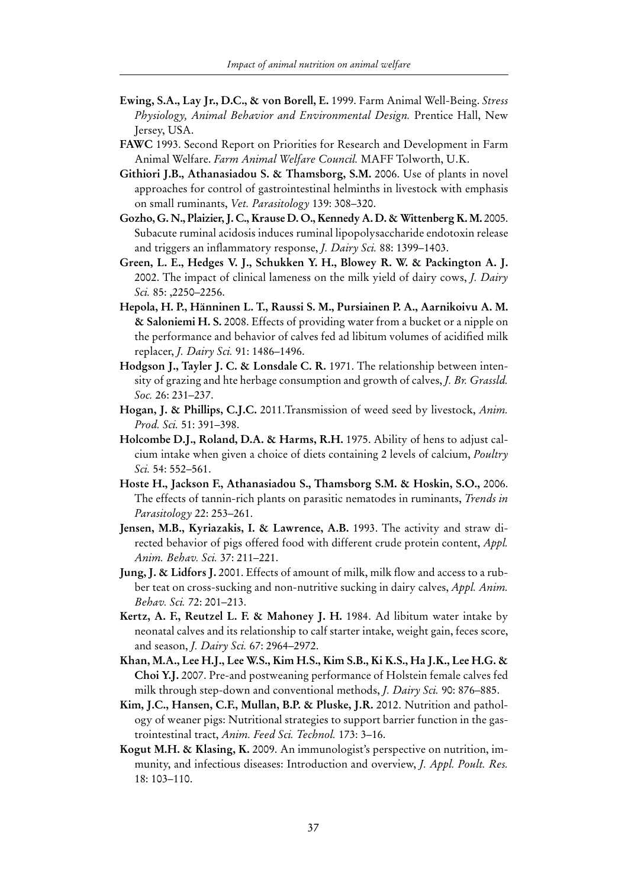- **Ewing, S.A., Lay Jr., D.C., & von Borell, E.** 1999. Farm Animal Well-Being. *Stress Physiology, Animal Behavior and Environmental Design.* Prentice Hall, New Jersey, USA.
- **FAWC** 1993. Second Report on Priorities for Research and Development in Farm Animal Welfare. *Farm Animal Welfare Council.* MAFF Tolworth, U.K.
- **Githiori J.B., Athanasiadou S. & Thamsborg, S.M.** 2006. Use of plants in novel approaches for control of gastrointestinal helminths in livestock with emphasis on small ruminants, *Vet. Parasitology* 139: 308–320.
- **Gozho, G. N., Plaizier, J. C., Krause D. O., Kennedy A. D. & Wittenberg K. M.** 2005. Subacute ruminal acidosis induces ruminal lipopolysaccharide endotoxin release and triggers an inflammatory response, *J. Dairy Sci.* 88: 1399–1403.
- **Green, L. E., Hedges V. J., Schukken Y. H., Blowey R. W. & Packington A. J.** 2002. The impact of clinical lameness on the milk yield of dairy cows, *J. Dairy Sci.* 85: ,2250–2256.
- **Hepola, H. P., Hänninen L. T., Raussi S. M., Pursiainen P. A., Aarnikoivu A. M. & Saloniemi H. S.** 2008. Effects of providing water from a bucket or a nipple on the performance and behavior of calves fed ad libitum volumes of acidified milk replacer, *J. Dairy Sci.* 91: 1486–1496.
- **Hodgson J., Tayler J. C. & Lonsdale C. R.** 1971. The relationship between intensity of grazing and hte herbage consumption and growth of calves, *J. Br. Grassld. Soc.* 26: 231–237.
- **Hogan, J. & Phillips, C.J.C.** 2011.Transmission of weed seed by livestock, *Anim. Prod. Sci.* 51: 391–398.
- **Holcombe D.J., Roland, D.A. & Harms, R.H.** 1975. Ability of hens to adjust calcium intake when given a choice of diets containing 2 levels of calcium, *Poultry Sci.* 54: 552–561.
- **Hoste H., Jackson F., Athanasiadou S., Thamsborg S.M. & Hoskin, S.O.,** 2006. The effects of tannin-rich plants on parasitic nematodes in ruminants, *Trends in Parasitology* 22: 253–261.
- **Jensen, M.B., Kyriazakis, I. & Lawrence, A.B.** 1993. The activity and straw directed behavior of pigs offered food with different crude protein content, *Appl. Anim. Behav. Sci.* 37: 211–221.
- **Jung, J. & Lidfors J.** 2001. Effects of amount of milk, milk flow and access to a rubber teat on cross-sucking and non-nutritive sucking in dairy calves, *Appl. Anim. Behav. Sci.* 72: 201–213.
- **Kertz, A. F., Reutzel L. F. & Mahoney J. H.** 1984. Ad libitum water intake by neonatal calves and its relationship to calf starter intake, weight gain, feces score, and season, *J. Dairy Sci.* 67: 2964–2972.
- **Khan, M.A., Lee H.J., Lee W.S., Kim H.S., Kim S.B., Ki K.S., Ha J.K., Lee H.G. & Choi Y.J.** 2007. Pre-and postweaning performance of Holstein female calves fed milk through step-down and conventional methods, *J. Dairy Sci.* 90: 876–885.
- **Kim, J.C., Hansen, C.F., Mullan, B.P. & Pluske, J.R.** 2012. Nutrition and pathology of weaner pigs: Nutritional strategies to support barrier function in the gastrointestinal tract, *Anim. Feed Sci. Technol.* 173: 3–16.
- **Kogut M.H. & Klasing, K.** 2009. An immunologist's perspective on nutrition, immunity, and infectious diseases: Introduction and overview, *J. Appl. Poult. Res.*  18: 103–110.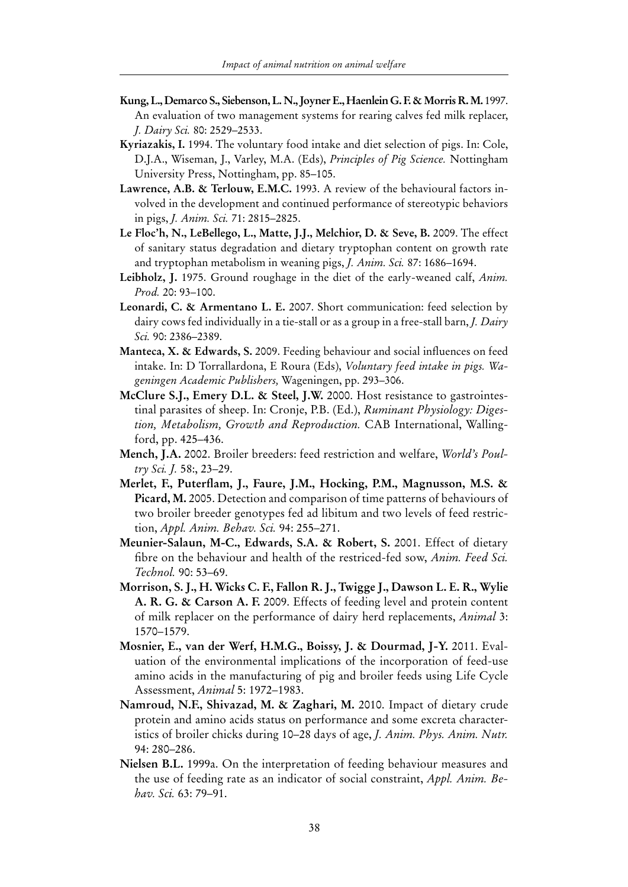- **Kung, L., Demarco S., Siebenson, L. N., Joyner E., Haenlein G. F. & Morris R. M.** 1997. An evaluation of two management systems for rearing calves fed milk replacer, *J. Dairy Sci.* 80: 2529–2533.
- **Kyriazakis, I.** 1994. The voluntary food intake and diet selection of pigs. In: Cole, D.J.A., Wiseman, J., Varley, M.A. (Eds), *Principles of Pig Science.* Nottingham University Press, Nottingham, pp. 85–105.
- **Lawrence, A.B. & Terlouw, E.M.C.** 1993. A review of the behavioural factors involved in the development and continued performance of stereotypic behaviors in pigs, *J. Anim. Sci.* 71: 2815–2825.
- **Le Floc'h, N., LeBellego, L., Matte, J.J., Melchior, D. & Seve, B.** 2009. The effect of sanitary status degradation and dietary tryptophan content on growth rate and tryptophan metabolism in weaning pigs, *J. Anim. Sci.* 87: 1686–1694.
- **Leibholz, J.** 1975. Ground roughage in the diet of the early-weaned calf, *Anim. Prod.* 20: 93–100.
- **Leonardi, C. & Armentano L. E.** 2007. Short communication: feed selection by dairy cows fed individually in a tie-stall or as a group in a free-stall barn, *J. Dairy Sci.* 90: 2386–2389.
- **Manteca, X. & Edwards, S.** 2009. Feeding behaviour and social influences on feed intake. In: D Torrallardona, E Roura (Eds), *Voluntary feed intake in pigs. Wageningen Academic Publishers,* Wageningen, pp. 293–306.
- **McClure S.J., Emery D.L. & Steel, J.W.** 2000. Host resistance to gastrointestinal parasites of sheep. In: Cronje, P.B. (Ed.), *Ruminant Physiology: Digestion, Metabolism, Growth and Reproduction.* CAB International, Wallingford, pp. 425–436.
- **Mench, J.A.** 2002. Broiler breeders: feed restriction and welfare, *World's Poultry Sci. J.* 58:, 23–29.
- **Merlet, F., Puterflam, J., Faure, J.M., Hocking, P.M., Magnusson, M.S. & Picard, M.** 2005. Detection and comparison of time patterns of behaviours of two broiler breeder genotypes fed ad libitum and two levels of feed restriction, *Appl. Anim. Behav. Sci.* 94: 255–271.
- **Meunier-Salaun, M-C., Edwards, S.A. & Robert, S.** 2001. Effect of dietary fibre on the behaviour and health of the restriced-fed sow, *Anim. Feed Sci. Technol.* 90: 53–69.
- **Morrison, S. J., H. Wicks C. F., Fallon R. J., Twigge J., Dawson L. E. R., Wylie A. R. G. & Carson A. F.** 2009. Effects of feeding level and protein content of milk replacer on the performance of dairy herd replacements, *Animal* 3: 1570–1579.
- **Mosnier, E., van der Werf, H.M.G., Boissy, J. & Dourmad, J-Y.** 2011. Evaluation of the environmental implications of the incorporation of feed-use amino acids in the manufacturing of pig and broiler feeds using Life Cycle Assessment, *Animal* 5: 1972–1983.
- **Namroud, N.F., Shivazad, M. & Zaghari, M.** 2010. Impact of dietary crude protein and amino acids status on performance and some excreta characteristics of broiler chicks during 10–28 days of age, *J. Anim. Phys. Anim. Nutr.*  94: 280–286.
- **Nielsen B.L.** 1999a. On the interpretation of feeding behaviour measures and the use of feeding rate as an indicator of social constraint, *Appl. Anim. Behav. Sci.* 63: 79–91.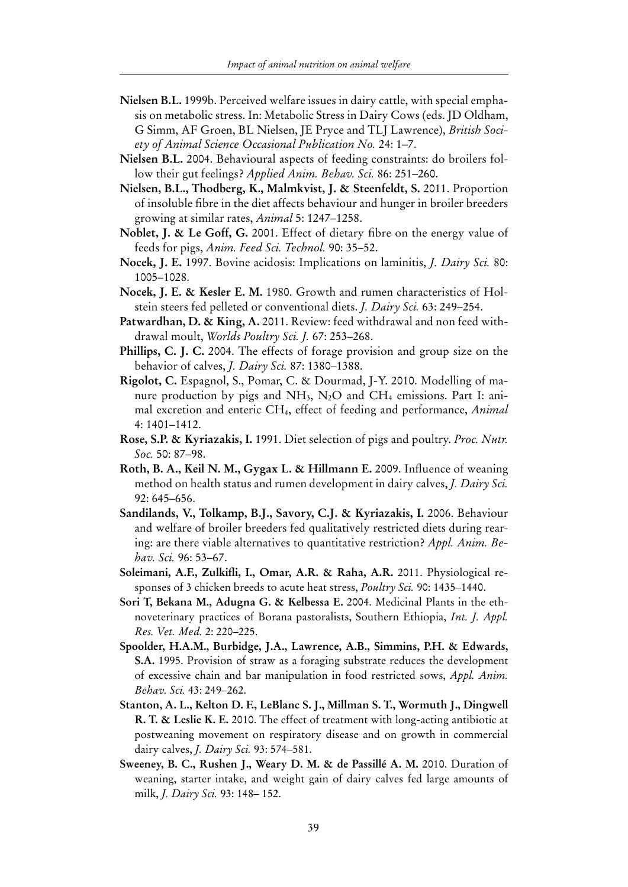- **Nielsen B.L.** 1999b. Perceived welfare issues in dairy cattle, with special emphasis on metabolic stress. In: Metabolic Stress in Dairy Cows (eds. JD Oldham, G Simm, AF Groen, BL Nielsen, JE Pryce and TLJ Lawrence), *British Society of Animal Science Occasional Publication No.* 24: 1–7.
- **Nielsen B.L.** 2004. Behavioural aspects of feeding constraints: do broilers follow their gut feelings? *Applied Anim. Behav. Sci.* 86: 251–260.
- **Nielsen, B.L., Thodberg, K., Malmkvist, J. & Steenfeldt, S.** 2011. Proportion of insoluble fibre in the diet affects behaviour and hunger in broiler breeders growing at similar rates, *Animal* 5: 1247–1258.
- **Noblet, J. & Le Goff, G.** 2001. Effect of dietary fibre on the energy value of feeds for pigs, *Anim. Feed Sci. Technol.* 90: 35–52.
- **Nocek, J. E.** 1997. Bovine acidosis: Implications on laminitis, *J. Dairy Sci.* 80: 1005–1028.
- **Nocek, J. E. & Kesler E. M.** 1980. Growth and rumen characteristics of Holstein steers fed pelleted or conventional diets. *J. Dairy Sci.* 63: 249–254.
- **Patwardhan, D. & King, A.** 2011. Review: feed withdrawal and non feed withdrawal moult, *Worlds Poultry Sci. J.* 67: 253–268.
- **Phillips, C. J. C.** 2004. The effects of forage provision and group size on the behavior of calves, *J. Dairy Sci.* 87: 1380–1388.
- **Rigolot, C.** Espagnol, S., Pomar, C. & Dourmad, J-Y. 2010. Modelling of manure production by pigs and  $NH<sub>3</sub>$ , N<sub>2</sub>O and CH<sub>4</sub> emissions. Part I: animal excretion and enteric CH4, effect of feeding and performance, *Animal* 4: 1401–1412.
- **Rose, S.P. & Kyriazakis, I.** 1991. Diet selection of pigs and poultry. *Proc. Nutr. Soc.* 50: 87–98.
- **Roth, B. A., Keil N. M., Gygax L. & Hillmann E.** 2009. Influence of weaning method on health status and rumen development in dairy calves, *J. Dairy Sci.*  92: 645–656.
- **Sandilands, V., Tolkamp, B.J., Savory, C.J. & Kyriazakis, I.** 2006. Behaviour and welfare of broiler breeders fed qualitatively restricted diets during rearing: are there viable alternatives to quantitative restriction? *Appl. Anim. Behav. Sci.* 96: 53–67.
- **Soleimani, A.F., Zulkifli, I., Omar, A.R. & Raha, A.R.** 2011. Physiological responses of 3 chicken breeds to acute heat stress, *Poultry Sci.* 90: 1435–1440.
- **Sori T, Bekana M., Adugna G. & Kelbessa E.** 2004. Medicinal Plants in the ethnoveterinary practices of Borana pastoralists, Southern Ethiopia, *Int. J. Appl. Res. Vet. Med.* 2: 220–225.
- **Spoolder, H.A.M., Burbidge, J.A., Lawrence, A.B., Simmins, P.H. & Edwards, S.A.** 1995. Provision of straw as a foraging substrate reduces the development of excessive chain and bar manipulation in food restricted sows, *Appl. Anim. Behav. Sci.* 43: 249–262.
- **Stanton, A. L., Kelton D. F., LeBlanc S. J., Millman S. T., Wormuth J., Dingwell R. T. & Leslie K. E.** 2010. The effect of treatment with long-acting antibiotic at postweaning movement on respiratory disease and on growth in commercial dairy calves, *J. Dairy Sci.* 93: 574–581.
- **Sweeney, B. C., Rushen J., Weary D. M. & de Passillé A. M.** 2010. Duration of weaning, starter intake, and weight gain of dairy calves fed large amounts of milk, *J. Dairy Sci.* 93: 148– 152.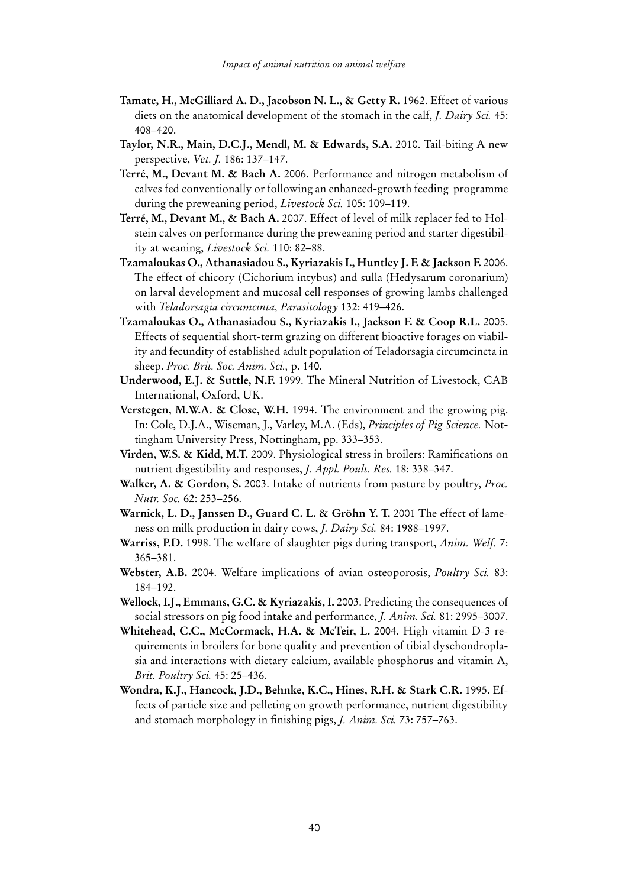- Tamate, H., McGilliard A. D., Jacobson N. L., & Getty R. 1962. Effect of various diets on the anatomical development of the stomach in the calf, *J. Dairy Sci.* 45: 408–420.
- **Taylor, N.R., Main, D.C.J., Mendl, M. & Edwards, S.A.** 2010. Tail-biting A new perspective, *Vet. J.* 186: 137–147.
- **Terré, M., Devant M. & Bach A.** 2006. Performance and nitrogen metabolism of calves fed conventionally or following an enhanced-growth feeding programme during the preweaning period, *Livestock Sci.* 105: 109–119.
- **Terré, M., Devant M., & Bach A.** 2007. Effect of level of milk replacer fed to Holstein calves on performance during the preweaning period and starter digestibility at weaning, *Livestock Sci.* 110: 82–88.
- **Tzamaloukas O., Athanasiadou S., Kyriazakis I., Huntley J. F. & Jackson F.** 2006. The effect of chicory (Cichorium intybus) and sulla (Hedysarum coronarium) on larval development and mucosal cell responses of growing lambs challenged with *Teladorsagia circumcinta, Parasitology* 132: 419–426.
- **Tzamaloukas O., Athanasiadou S., Kyriazakis I., Jackson F. & Coop R.L.** 2005. Effects of sequential short-term grazing on different bioactive forages on viability and fecundity of established adult population of Teladorsagia circumcincta in sheep. *Proc. Brit. Soc. Anim. Sci.,* p. 140.
- **Underwood, E.J. & Suttle, N.F.** 1999. The Mineral Nutrition of Livestock, CAB International, Oxford, UK.
- **Verstegen, M.W.A. & Close, W.H.** 1994. The environment and the growing pig. In: Cole, D.J.A., Wiseman, J., Varley, M.A. (Eds), *Principles of Pig Science.* Nottingham University Press, Nottingham, pp. 333–353.
- **Virden, W.S. & Kidd, M.T.** 2009. Physiological stress in broilers: Ramifications on nutrient digestibility and responses, *J. Appl. Poult. Res.* 18: 338–347.
- **Walker, A. & Gordon, S.** 2003. Intake of nutrients from pasture by poultry, *Proc. Nutr. Soc.* 62: 253–256.
- **Warnick, L. D., Janssen D., Guard C. L. & Gröhn Y. T. 2001** The effect of lameness on milk production in dairy cows, *J. Dairy Sci.* 84: 1988–1997.
- **Warriss, P.D.** 1998. The welfare of slaughter pigs during transport, *Anim. Welf.* 7: 365–381.
- **Webster, A.B.** 2004. Welfare implications of avian osteoporosis, *Poultry Sci.* 83: 184–192.
- **Wellock, I.J., Emmans, G.C. & Kyriazakis, I.** 2003. Predicting the consequences of social stressors on pig food intake and performance, *J. Anim. Sci.* 81: 2995–3007.
- **Whitehead, C.C., McCormack, H.A. & McTeir, L.** 2004. High vitamin D-3 requirements in broilers for bone quality and prevention of tibial dyschondroplasia and interactions with dietary calcium, available phosphorus and vitamin A, *Brit. Poultry Sci.* 45: 25–436.
- **Wondra, K.J., Hancock, J.D., Behnke, K.C., Hines, R.H. & Stark C.R.** 1995. Effects of particle size and pelleting on growth performance, nutrient digestibility and stomach morphology in finishing pigs, *J. Anim. Sci.* 73: 757–763.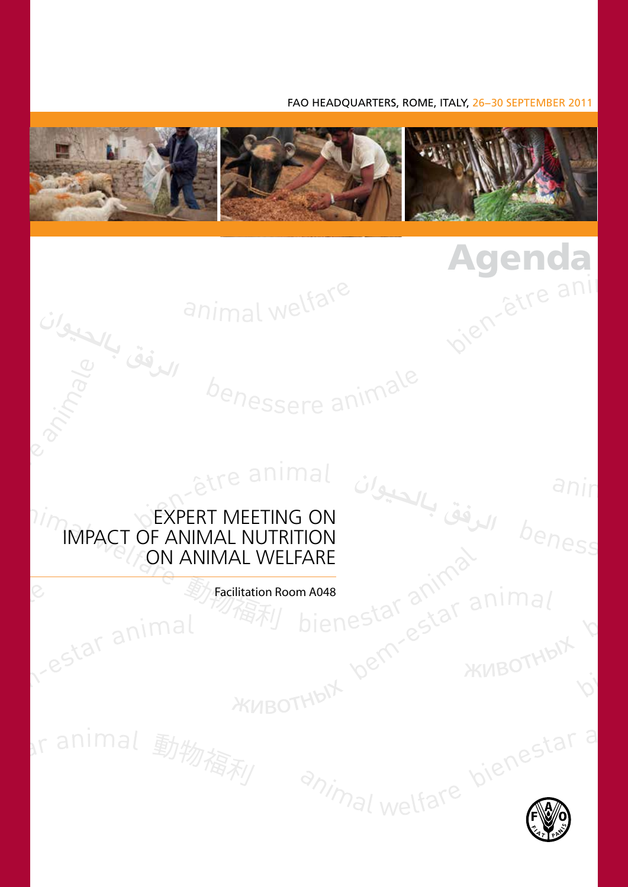#### FAO HEADQUARTERS, ROME, ITALY, 26−30 SEPTEMBER 2011

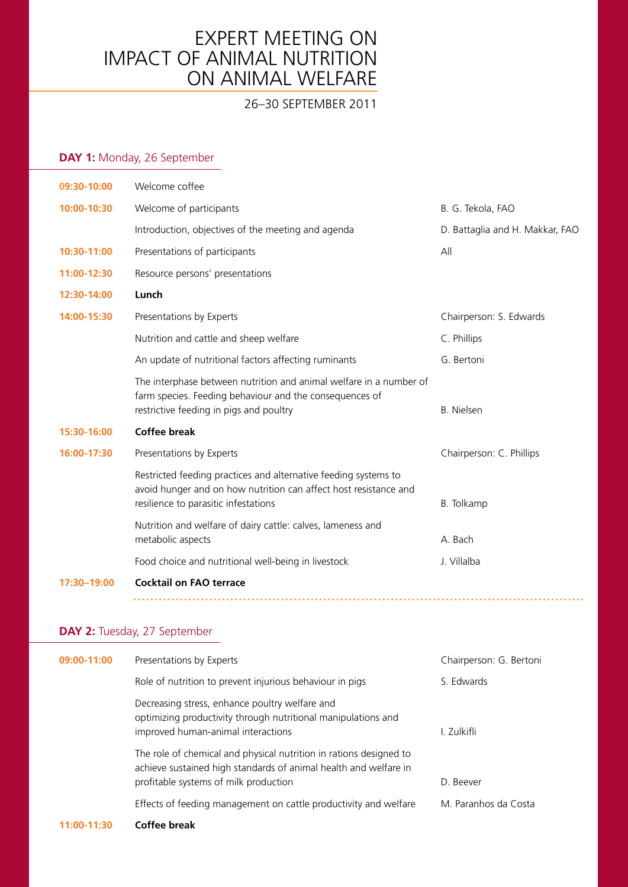### Expert Meeting on Impact of animal nutrition oN animal welfare

### 26–30 september 2011

### **DAY 1:** Monday, 26 September

| 09:30-10:00 | Welcome coffee                                                                                                                                                              |                                 |
|-------------|-----------------------------------------------------------------------------------------------------------------------------------------------------------------------------|---------------------------------|
| 10:00-10:30 | Welcome of participants                                                                                                                                                     | B. G. Tekola, FAO               |
|             | Introduction, objectives of the meeting and agenda                                                                                                                          | D. Battaglia and H. Makkar, FAO |
| 10:30-11:00 | Presentations of participants                                                                                                                                               | All                             |
| 11:00-12:30 | Resource persons' presentations                                                                                                                                             |                                 |
| 12:30-14:00 | Lunch                                                                                                                                                                       |                                 |
| 14:00-15:30 | Presentations by Experts                                                                                                                                                    | Chairperson: S. Edwards         |
|             | Nutrition and cattle and sheep welfare                                                                                                                                      | C. Phillips                     |
|             | An update of nutritional factors affecting ruminants                                                                                                                        | G. Bertoni                      |
|             | The interphase between nutrition and animal welfare in a number of<br>farm species. Feeding behaviour and the consequences of<br>restrictive feeding in pigs and poultry    | <b>B.</b> Nielsen               |
| 15:30-16:00 | <b>Coffee break</b>                                                                                                                                                         |                                 |
| 16:00-17:30 | Presentations by Experts                                                                                                                                                    | Chairperson: C. Phillips        |
|             | Restricted feeding practices and alternative feeding systems to<br>avoid hunger and on how nutrition can affect host resistance and<br>resilience to parasitic infestations | B. Tolkamp                      |
|             | Nutrition and welfare of dairy cattle: calves, lameness and<br>metabolic aspects                                                                                            | A. Bach                         |
|             | Food choice and nutritional well-being in livestock                                                                                                                         | J. Villalba                     |
| 17:30-19:00 | <b>Cocktail on FAO terrace</b>                                                                                                                                              |                                 |
|             |                                                                                                                                                                             |                                 |

### **DAY 2:** Tuesday, 27 September

| 09:00-11:00 | Presentations by Experts                                                                                                                                                        | Chairperson: G. Bertoni |
|-------------|---------------------------------------------------------------------------------------------------------------------------------------------------------------------------------|-------------------------|
|             | Role of nutrition to prevent injurious behaviour in pigs                                                                                                                        | S. Edwards              |
|             | Decreasing stress, enhance poultry welfare and<br>optimizing productivity through nutritional manipulations and<br>improved human-animal interactions                           | I. Zulkifli             |
|             | The role of chemical and physical nutrition in rations designed to<br>achieve sustained high standards of animal health and welfare in<br>profitable systems of milk production | D. Beever               |
|             | Effects of feeding management on cattle productivity and welfare                                                                                                                | M. Paranhos da Costa    |
|             |                                                                                                                                                                                 |                         |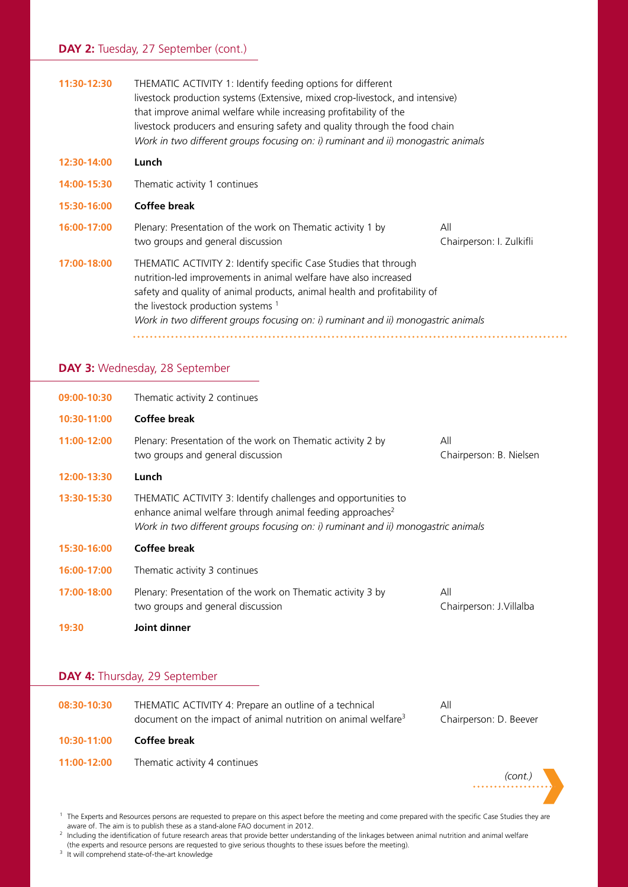#### DAY 2: Tuesday, 27 September (cont.)

| THEMATIC ACTIVITY 1: Identify feeding options for different<br>livestock production systems (Extensive, mixed crop-livestock, and intensive)<br>that improve animal welfare while increasing profitability of the<br>livestock producers and ensuring safety and quality through the food chain<br>Work in two different groups focusing on: i) ruminant and ii) monogastric animals |                                 |
|--------------------------------------------------------------------------------------------------------------------------------------------------------------------------------------------------------------------------------------------------------------------------------------------------------------------------------------------------------------------------------------|---------------------------------|
| Lunch                                                                                                                                                                                                                                                                                                                                                                                |                                 |
| Thematic activity 1 continues                                                                                                                                                                                                                                                                                                                                                        |                                 |
| Coffee break                                                                                                                                                                                                                                                                                                                                                                         |                                 |
| Plenary: Presentation of the work on Thematic activity 1 by<br>two groups and general discussion                                                                                                                                                                                                                                                                                     | All<br>Chairperson: I. Zulkifli |
| THEMATIC ACTIVITY 2: Identify specific Case Studies that through<br>nutrition-led improvements in animal welfare have also increased<br>safety and quality of animal products, animal health and profitability of<br>the livestock production systems 1<br>Work in two different groups focusing on: i) ruminant and ii) monogastric animals                                         |                                 |
|                                                                                                                                                                                                                                                                                                                                                                                      |                                 |

#### **DAY 3:** Wednesday, 28 September

| 19:30       | Joint dinner                                                                                                                                                                                                                |                                 |
|-------------|-----------------------------------------------------------------------------------------------------------------------------------------------------------------------------------------------------------------------------|---------------------------------|
| 17:00-18:00 | Plenary: Presentation of the work on Thematic activity 3 by<br>two groups and general discussion                                                                                                                            | All<br>Chairperson: J. Villalba |
| 16:00-17:00 | Thematic activity 3 continues                                                                                                                                                                                               |                                 |
| 15:30-16:00 | Coffee break                                                                                                                                                                                                                |                                 |
| 13:30-15:30 | THEMATIC ACTIVITY 3: Identify challenges and opportunities to<br>enhance animal welfare through animal feeding approaches <sup>2</sup><br>Work in two different groups focusing on: i) ruminant and ii) monogastric animals |                                 |
| 12:00-13:30 | Lunch                                                                                                                                                                                                                       |                                 |
| 11:00-12:00 | Plenary: Presentation of the work on Thematic activity 2 by<br>two groups and general discussion                                                                                                                            | All<br>Chairperson: B. Nielsen  |
| 10:30-11:00 | Coffee break                                                                                                                                                                                                                |                                 |
| 09:00-10:30 | Thematic activity 2 continues                                                                                                                                                                                               |                                 |

#### **DAY 4:** Thursday, 29 September

| 08:30-10:30 | THEMATIC ACTIVITY 4: Prepare an outline of a technical<br>document on the impact of animal nutrition on animal welfare <sup>3</sup> | All<br>Chairperson: D. Beever |
|-------------|-------------------------------------------------------------------------------------------------------------------------------------|-------------------------------|
| 10:30-11:00 | Coffee break                                                                                                                        |                               |
| 11:00-12:00 | Thematic activity 4 continues                                                                                                       |                               |
|             |                                                                                                                                     | (cont.)                       |

<sup>&</sup>lt;sup>1</sup> The Experts and Resources persons are requested to prepare on this aspect before the meeting and come prepared with the specific Case Studies they are aware of. The aim is to publish these as a stand-alone FAO document in 2012.

<sup>3</sup> It will comprehend state-of-the-art knowledge

<sup>&</sup>lt;sup>2</sup> Including the identification of future research areas that provide better understanding of the linkages between animal nutrition and animal welfare (the experts and resource persons are requested to give serious thoughts to these issues before the meeting).